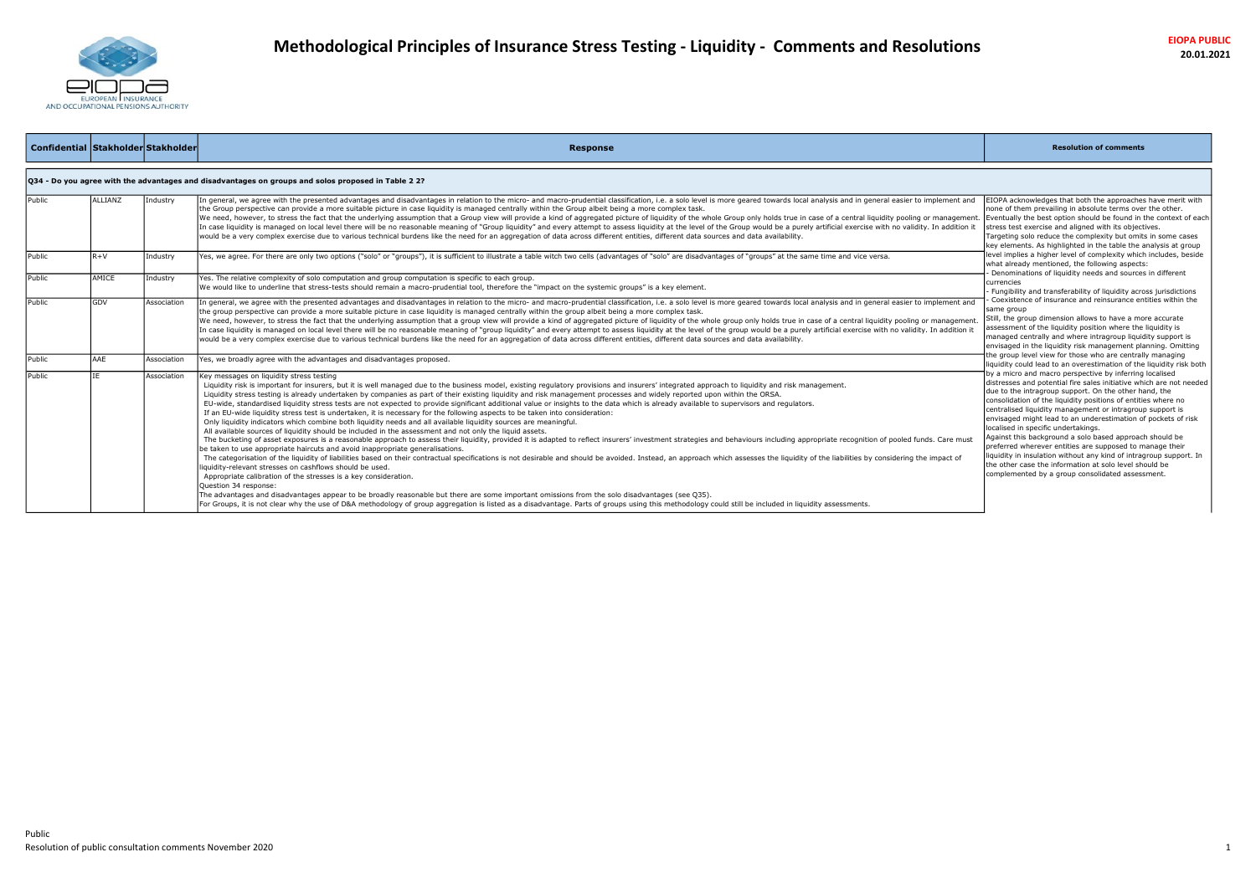

| Confidential Stakholder Stakholder |             |             | <b>Response</b>                                                                                                                                                                                                                                                                                                                                                                                                                                                                                                                                                                                                                                                                                                                                                                                                                                                                                                                                                                                                                                                                                                                                                                                                                                                                                                                                                                                                                                                                                                                                                                                                                                                                             | <b>Resolution of comments</b>                                                                                                                                                                                                                                                                                                                                                                                                                                                                                                                                                                                                                                                                                                            |
|------------------------------------|-------------|-------------|---------------------------------------------------------------------------------------------------------------------------------------------------------------------------------------------------------------------------------------------------------------------------------------------------------------------------------------------------------------------------------------------------------------------------------------------------------------------------------------------------------------------------------------------------------------------------------------------------------------------------------------------------------------------------------------------------------------------------------------------------------------------------------------------------------------------------------------------------------------------------------------------------------------------------------------------------------------------------------------------------------------------------------------------------------------------------------------------------------------------------------------------------------------------------------------------------------------------------------------------------------------------------------------------------------------------------------------------------------------------------------------------------------------------------------------------------------------------------------------------------------------------------------------------------------------------------------------------------------------------------------------------------------------------------------------------|------------------------------------------------------------------------------------------------------------------------------------------------------------------------------------------------------------------------------------------------------------------------------------------------------------------------------------------------------------------------------------------------------------------------------------------------------------------------------------------------------------------------------------------------------------------------------------------------------------------------------------------------------------------------------------------------------------------------------------------|
|                                    |             |             | Q34 - Do you agree with the advantages and disadvantages on groups and solos proposed in Table 2 2?                                                                                                                                                                                                                                                                                                                                                                                                                                                                                                                                                                                                                                                                                                                                                                                                                                                                                                                                                                                                                                                                                                                                                                                                                                                                                                                                                                                                                                                                                                                                                                                         |                                                                                                                                                                                                                                                                                                                                                                                                                                                                                                                                                                                                                                                                                                                                          |
| Public                             | ALLIANZ     | Industry    | In general, we agree with the presented advantages and disadvantages in relation to the micro- and macro-prudential classification, i.e. a solo level is more geared towards local analysis and in general easier to implement<br>the Group perspective can provide a more suitable picture in case liquidity is managed centrally within the Group albeit being a more complex task.<br>We need, however, to stress the fact that the underlying assumption that a Group view will provide a kind of aggregated picture of liquidity of the whole Group only holds true in case of a central liquidity pooling or mana<br>In case liquidity is managed on local level there will be no reasonable meaning of "Group liquidity" and every attempt to assess liquidity at the level of the Group would be a purely artificial exercise with no validity. I<br>would be a very complex exercise due to various technical burdens like the need for an aggregation of data across different entities, different data sources and data availability.                                                                                                                                                                                                                                                                                                                                                                                                                                                                                                                                                                                                                                            | EIOPA acknowledges that both the approaches have merit with<br>none of them prevailing in absolute terms over the other.<br>Eventually the best option should be found in the context of each<br>stress test exercise and aligned with its objectives.<br>Targeting solo reduce the complexity but omits in some cases<br>key elements. As highlighted in the table the analysis at group                                                                                                                                                                                                                                                                                                                                                |
| Public                             | $R+V$       | Industry    | Yes, we agree. For there are only two options ("solo" or "groups"), it is sufficient to illustrate a table witch two cells (advantages of "solo" are disadvantages of "groups" at the same time and vice versa.                                                                                                                                                                                                                                                                                                                                                                                                                                                                                                                                                                                                                                                                                                                                                                                                                                                                                                                                                                                                                                                                                                                                                                                                                                                                                                                                                                                                                                                                             | level implies a higher level of complexity which includes, beside<br>what already mentioned, the following aspects:<br>- Denominations of liquidity needs and sources in different                                                                                                                                                                                                                                                                                                                                                                                                                                                                                                                                                       |
| Public                             | AMICE       | Industry    | Yes. The relative complexity of solo computation and group computation is specific to each group.<br>We would like to underline that stress-tests should remain a macro-prudential tool, therefore the "impact on the systemic groups" is a key element.                                                                                                                                                                                                                                                                                                                                                                                                                                                                                                                                                                                                                                                                                                                                                                                                                                                                                                                                                                                                                                                                                                                                                                                                                                                                                                                                                                                                                                    | currencies<br>- Fungibility and transferability of liquidity across jurisdictions                                                                                                                                                                                                                                                                                                                                                                                                                                                                                                                                                                                                                                                        |
| Public                             | <b>IGDV</b> | Association | In general, we agree with the presented advantages and disadvantages in relation to the micro- and macro-prudential classification, i.e. a solo level is more geared towards local analysis and in general easier to implement<br>the group perspective can provide a more suitable picture in case liquidity is managed centrally within the group albeit being a more complex task.<br>We need, however, to stress the fact that the underlying assumption that a group view will provide a kind of aggregated picture of liquidity of the whole group only holds true in case of a central liquidity pooling or mana<br>In case liquidity is managed on local level there will be no reasonable meaning of "group liquidity" and every attempt to assess liquidity at the level of the group would be a purely artificial exercise with no validity. I<br>would be a very complex exercise due to various technical burdens like the need for an aggregation of data across different entities, different data sources and data availability.                                                                                                                                                                                                                                                                                                                                                                                                                                                                                                                                                                                                                                            | Coexistence of insurance and reinsurance entities within the<br>same group<br>Still, the group dimension allows to have a more accurate<br>assessment of the liquidity position where the liquidity is<br>managed centrally and where intragroup liquidity support is<br>envisaged in the liquidity risk management planning. Omitting                                                                                                                                                                                                                                                                                                                                                                                                   |
| Public                             | AAF         | Association | Yes, we broadly agree with the advantages and disadvantages proposed.                                                                                                                                                                                                                                                                                                                                                                                                                                                                                                                                                                                                                                                                                                                                                                                                                                                                                                                                                                                                                                                                                                                                                                                                                                                                                                                                                                                                                                                                                                                                                                                                                       | the group level view for those who are centrally managing<br>liquidity could lead to an overestimation of the liquidity risk both                                                                                                                                                                                                                                                                                                                                                                                                                                                                                                                                                                                                        |
| Public                             |             | Association | Key messages on liquidity stress testing<br>Liquidity risk is important for insurers, but it is well managed due to the business model, existing regulatory provisions and insurers' integrated approach to liquidity and risk management.<br>Liquidity stress testing is already undertaken by companies as part of their existing liquidity and risk management processes and widely reported upon within the ORSA.<br>EU-wide, standardised liquidity stress tests are not expected to provide significant additional value or insights to the data which is already available to supervisors and regulators.<br>If an EU-wide liquidity stress test is undertaken, it is necessary for the following aspects to be taken into consideration:<br>Only liquidity indicators which combine both liquidity needs and all available liquidity sources are meaningful.<br>All available sources of liquidity should be included in the assessment and not only the liquid assets.<br>The bucketing of asset exposures is a reasonable approach to assess their liquidity, provided it is adapted to reflect insurers' investment strategies and behaviours including appropriate recognition of pooled funds. Care<br>be taken to use appropriate haircuts and avoid inappropriate generalisations.<br>The categorisation of the liquidity of liabilities based on their contractual specifications is not desirable and should be avoided. Instead, an approach which assesses the liquidity of the liabilities by considering the i<br>liquidity-relevant stresses on cashflows should be used.<br>Appropriate calibration of the stresses is a key consideration.<br>Ouestion 34 response: | by a micro and macro perspective by inferring localised<br>distresses and potential fire sales initiative which are not needed<br>due to the intragroup support. On the other hand, the<br>consolidation of the liquidity positions of entities where no<br>centralised liquidity management or intragroup support is<br>envisaged might lead to an underestimation of pockets of risk<br>localised in specific undertakings.<br>Against this background a solo based approach should be<br>preferred wherever entities are supposed to manage their<br>liquidity in insulation without any kind of intragroup support. In<br>the other case the information at solo level should be<br>complemented by a group consolidated assessment. |
|                                    |             |             | The advantages and disadvantages appear to be broadly reasonable but there are some important omissions from the solo disadvantages (see Q35).<br>For Groups, it is not clear why the use of D&A methodology of group aggregation is listed as a disadvantage. Parts of groups using this methodology could still be included in liquidity assessments.                                                                                                                                                                                                                                                                                                                                                                                                                                                                                                                                                                                                                                                                                                                                                                                                                                                                                                                                                                                                                                                                                                                                                                                                                                                                                                                                     |                                                                                                                                                                                                                                                                                                                                                                                                                                                                                                                                                                                                                                                                                                                                          |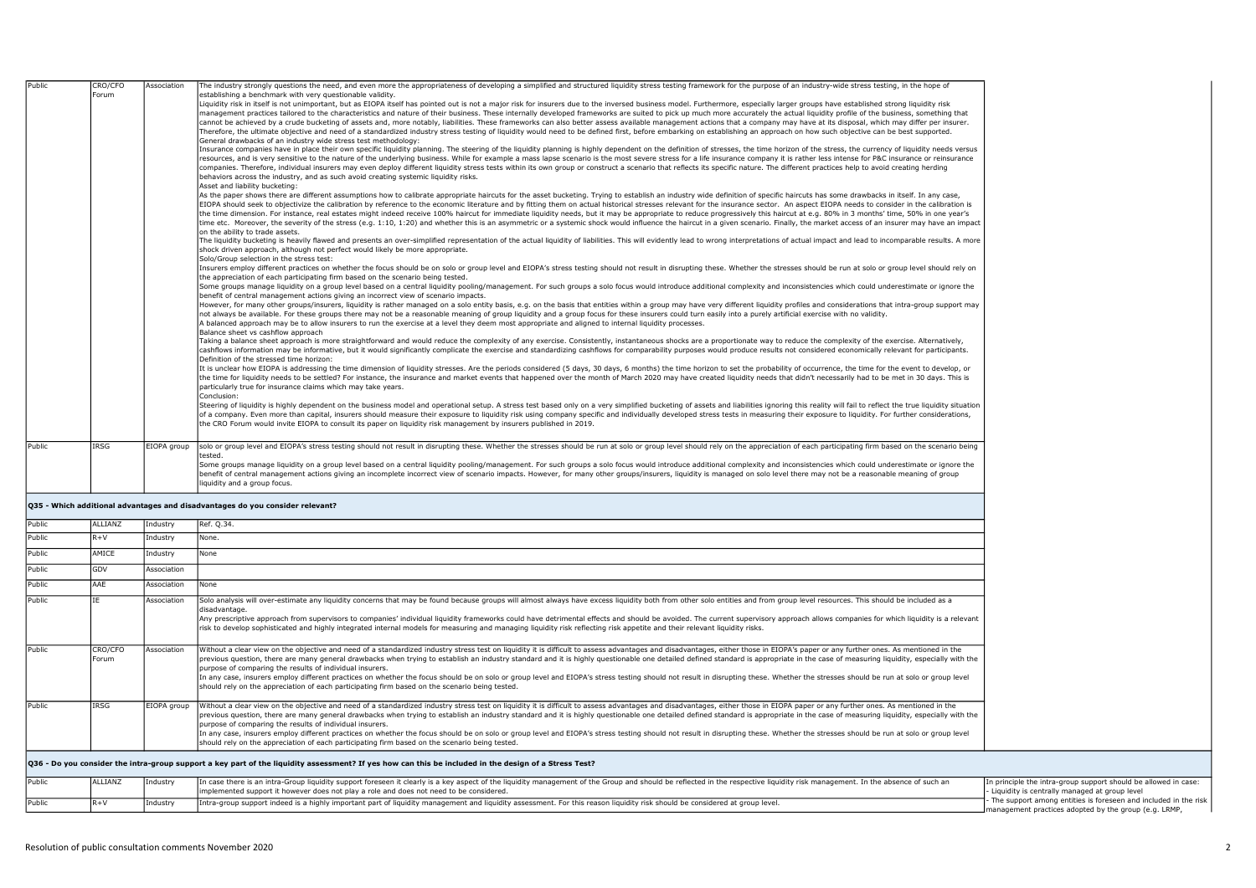| Public | CRO/CFO | Association | The industry strongly questions the need, and even more the appropriateness of developing a simplified and structured liquidity stress testing framework for the purpose of an industry-wide stress testing, in the hope of                                                                                                                                                                                                                                      |                                             |
|--------|---------|-------------|------------------------------------------------------------------------------------------------------------------------------------------------------------------------------------------------------------------------------------------------------------------------------------------------------------------------------------------------------------------------------------------------------------------------------------------------------------------|---------------------------------------------|
|        | Forum   |             | establishing a benchmark with very questionable validity.<br>Liquidity risk in itself is not unimportant, but as EIOPA itself has pointed out is not a major risk for insurers due to the inversed business model. Furthermore, especially larger groups have established strong liquidity                                                                                                                                                                       |                                             |
|        |         |             | management practices tailored to the characteristics and nature of their business. These internally developed frameworks are suited to pick up much more accurately the actual liquidity profile of the business, something th                                                                                                                                                                                                                                   |                                             |
|        |         |             | cannot be achieved by a crude bucketing of assets and, more notably, liabilities. These frameworks can also better assess available management actions that a company may have at its disposal, which may differ per insurer.                                                                                                                                                                                                                                    |                                             |
|        |         |             | Therefore, the ultimate objective and need of a standardized industry stress testing of liquidity would need to be defined first, before embarking on establishing an approach on how such objective can be best supported.<br>General drawbacks of an industry wide stress test methodology:                                                                                                                                                                    |                                             |
|        |         |             | Insurance companies have in place their own specific liquidity planning. The steering of the liquidity planning is highly dependent on the definition of stresses, the time horizon of the stress, the currency of liquidity n                                                                                                                                                                                                                                   |                                             |
|        |         |             | resources, and is very sensitive to the nature of the underlying business. While for example a mass lapse scenario is the most severe stress for a life insurance company it is rather less intense for P&C insurance or reins                                                                                                                                                                                                                                   |                                             |
|        |         |             | companies. Therefore, individual insurers may even deploy different liquidity stress tests within its own group or construct a scenario that reflects its specific nature. The different practices help to avoid creating herd<br>behaviors across the industry, and as such avoid creating systemic liquidity risks.                                                                                                                                            |                                             |
|        |         |             | Asset and liability bucketing:                                                                                                                                                                                                                                                                                                                                                                                                                                   |                                             |
|        |         |             | As the paper shows there are different assumptions how to calibrate appropriate haircuts for the asset bucketing. Trying to establish an industry wide definition of specific haircuts has some drawbacks in itself. In any ca                                                                                                                                                                                                                                   |                                             |
|        |         |             | EIOPA should seek to objectivize the calibration by reference to the economic literature and by fitting them on actual historical stresses relevant for the insurance sector. An aspect EIOPA needs to consider in the calibra<br>the time dimension. For instance, real estates might indeed receive 100% haircut for immediate liquidity needs, but it may be appropriate to reduce progressively this haircut at e.g. 80% in 3 months' time, 50% in one year' |                                             |
|        |         |             | time etc. Moreover, the severity of the stress (e.g. 1:10, 1:20) and whether this is an asymmetric or a systemic shock would influence the haircut in a given scenario. Finally, the market access of an insurer may have an i                                                                                                                                                                                                                                   |                                             |
|        |         |             | on the ability to trade assets.                                                                                                                                                                                                                                                                                                                                                                                                                                  |                                             |
|        |         |             | The liquidity bucketing is heavily flawed and presents an over-simplified representation of the actual liquidity of liabilities. This will evidently lead to wrong interpretations of actual impact and lead to incomparable r<br>shock driven approach, although not perfect would likely be more appropriate.                                                                                                                                                  |                                             |
|        |         |             | Solo/Group selection in the stress test:                                                                                                                                                                                                                                                                                                                                                                                                                         |                                             |
|        |         |             | Insurers employ different practices on whether the focus should be on solo or group level and EIOPA's stress testing should not result in disrupting these. Whether the stresses should be run at solo or group level should r                                                                                                                                                                                                                                   |                                             |
|        |         |             | the appreciation of each participating firm based on the scenario being tested.<br>Some groups manage liquidity on a group level based on a central liquidity pooling/management. For such groups a solo focus would introduce additional complexity and inconsistencies which could underestimate or ignore the                                                                                                                                                 |                                             |
|        |         |             | benefit of central management actions giving an incorrect view of scenario impacts.                                                                                                                                                                                                                                                                                                                                                                              |                                             |
|        |         |             | However, for many other groups/insurers, liquidity is rather managed on a solo entity basis, e.g. on the basis that entities within a group may have very different liquidity profiles and considerations that intra-group sup                                                                                                                                                                                                                                   |                                             |
|        |         |             | not always be available. For these groups there may not be a reasonable meaning of group liquidity and a group focus for these insurers could turn easily into a purely artificial exercise with no validity.                                                                                                                                                                                                                                                    |                                             |
|        |         |             | A balanced approach may be to allow insurers to run the exercise at a level they deem most appropriate and aligned to internal liquidity processes.<br>Balance sheet vs cashflow approach                                                                                                                                                                                                                                                                        |                                             |
|        |         |             | Taking a balance sheet approach is more straightforward and would reduce the complexity of any exercise. Consistently, instantaneous shocks are a proportionate way to reduce the complexity of the exercise. Alternatively,                                                                                                                                                                                                                                     |                                             |
|        |         |             | cashflows information may be informative, but it would significantly complicate the exercise and standardizing cashflows for comparability purposes would produce results not considered economically relevant for participant<br>Definition of the stressed time horizon:                                                                                                                                                                                       |                                             |
|        |         |             | It is unclear how EIOPA is addressing the time dimension of liquidity stresses. Are the periods considered (5 days, 30 days, 6 months) the time horizon to set the probability of occurrence, the time for the event to develo                                                                                                                                                                                                                                   |                                             |
|        |         |             | the time for liquidity needs to be settled? For instance, the insurance and market events that happened over the month of March 2020 may have created liquidity needs that didn't necessarily had to be met in 30 days. This i                                                                                                                                                                                                                                   |                                             |
|        |         |             | particularly true for insurance claims which may take years.                                                                                                                                                                                                                                                                                                                                                                                                     |                                             |
|        |         |             | Conclusion:<br>Steering of liquidity is highly dependent on the business model and operational setup. A stress test based only on a very simplified bucketing of assets and liabilities ignoring this reality will fail to reflect the true l                                                                                                                                                                                                                    |                                             |
|        |         |             | of a company. Even more than capital, insurers should measure their exposure to liquidity risk using company specific and individually developed stress tests in measuring their exposure to liquidity. For further considerat                                                                                                                                                                                                                                   |                                             |
|        |         |             | the CRO Forum would invite EIOPA to consult its paper on liquidity risk management by insurers published in 2019.                                                                                                                                                                                                                                                                                                                                                |                                             |
|        |         |             |                                                                                                                                                                                                                                                                                                                                                                                                                                                                  |                                             |
| Public | IRSG    |             | EIOPA group solo or group level and EIOPA's stress testing should not result in disrupting these. Whether the stresses should be run at solo or group level should rely on the appreciation of each participating firm based o<br>hetee <sup>.</sup>                                                                                                                                                                                                             |                                             |
|        |         |             | Some groups manage liquidity on a group level based on a central liquidity pooling/management. For such groups a solo focus would introduce additional complexity and inconsistencies which could underestimate or ignore the                                                                                                                                                                                                                                    |                                             |
|        |         |             | benefit of central management actions giving an incomplete incorrect view of scenario impacts. However, for many other groups/insurers, liguidity is managed on solo level there may not be a reasonable meaning of group                                                                                                                                                                                                                                        |                                             |
|        |         |             | liquidity and a group focus.                                                                                                                                                                                                                                                                                                                                                                                                                                     |                                             |
|        |         |             | Q35 - Which additional advantages and disadvantages do you consider relevant?                                                                                                                                                                                                                                                                                                                                                                                    |                                             |
| Public | ALLIANZ | Industry    | Ref. Q.34.                                                                                                                                                                                                                                                                                                                                                                                                                                                       |                                             |
| Public | $R + V$ | Industry    | None.                                                                                                                                                                                                                                                                                                                                                                                                                                                            |                                             |
| Public | AMICE   | Industry    | None                                                                                                                                                                                                                                                                                                                                                                                                                                                             |                                             |
| Public | GDV     | Association |                                                                                                                                                                                                                                                                                                                                                                                                                                                                  |                                             |
| Public | AAE     | Association | None                                                                                                                                                                                                                                                                                                                                                                                                                                                             |                                             |
| Public | TF.     | Association | Solo analysis will over-estimate any liquidity concerns that may be found because groups will almost always have excess liquidity both from other solo entities and from group level resources. This should be included as a                                                                                                                                                                                                                                     |                                             |
|        |         |             | disadvantage.                                                                                                                                                                                                                                                                                                                                                                                                                                                    |                                             |
|        |         |             | Any prescriptive approach from supervisors to companies' individual liquidity frameworks could have detrimental effects and should be avoided. The current supervisory approach allows companies for which liquidity is a rele                                                                                                                                                                                                                                   |                                             |
|        |         |             | risk to develop sophisticated and highly integrated internal models for measuring and managing liquidity risk reflecting risk appetite and their relevant liquidity risks.                                                                                                                                                                                                                                                                                       |                                             |
| Public | CRO/CFO | Association | Without a clear view on the objective and need of a standardized industry stress test on liquidity it is difficult to assess advantages and disadvantages, either those in EIOPA's paper or any further ones. As mentioned in                                                                                                                                                                                                                                    |                                             |
|        | Forum   |             | previous question, there are many general drawbacks when trying to establish an industry standard and it is highly questionable one detailed defined standard is appropriate in the case of measuring liquidity, especially wi                                                                                                                                                                                                                                   |                                             |
|        |         |             | purpose of comparing the results of individual insurers.                                                                                                                                                                                                                                                                                                                                                                                                         |                                             |
|        |         |             | In any case, insurers employ different practices on whether the focus should be on solo or group level and EIOPA's stress testing should not result in disrupting these. Whether the stresses should be run at solo or group l<br>should rely on the appreciation of each participating firm based on the scenario being tested.                                                                                                                                 |                                             |
|        |         |             |                                                                                                                                                                                                                                                                                                                                                                                                                                                                  |                                             |
| Public | IRSG    | EIOPA group | Without a clear view on the objective and need of a standardized industry stress test on liquidity it is difficult to assess advantages and disadvantages, either those in EIOPA paper or any further ones. As mentioned in th                                                                                                                                                                                                                                   |                                             |
|        |         |             | previous question, there are many general drawbacks when trying to establish an industry standard and it is highly questionable one detailed defined standard is appropriate in the case of measuring liquidity, especially wi                                                                                                                                                                                                                                   |                                             |
|        |         |             | purpose of comparing the results of individual insurers.<br>In any case, insurers employ different practices on whether the focus should be on solo or group level and EIOPA's stress testing should not result in disrupting these. Whether the stresses should be run at solo or group l                                                                                                                                                                       |                                             |
|        |         |             | should rely on the appreciation of each participating firm based on the scenario being tested.                                                                                                                                                                                                                                                                                                                                                                   |                                             |
|        |         |             |                                                                                                                                                                                                                                                                                                                                                                                                                                                                  |                                             |
|        |         |             | Q36 - Do you consider the intra-group support a key part of the liquidity assessment? If yes how can this be included in the design of a Stress Test?                                                                                                                                                                                                                                                                                                            |                                             |
| Public | ALLIANZ | Industry    | In case there is an intra-Group liquidity support foreseen it clearly is a key aspect of the liquidity management of the Group and should be reflected in the respective liquidity risk management. In the absence of such an                                                                                                                                                                                                                                    | In principle the intra-group support should |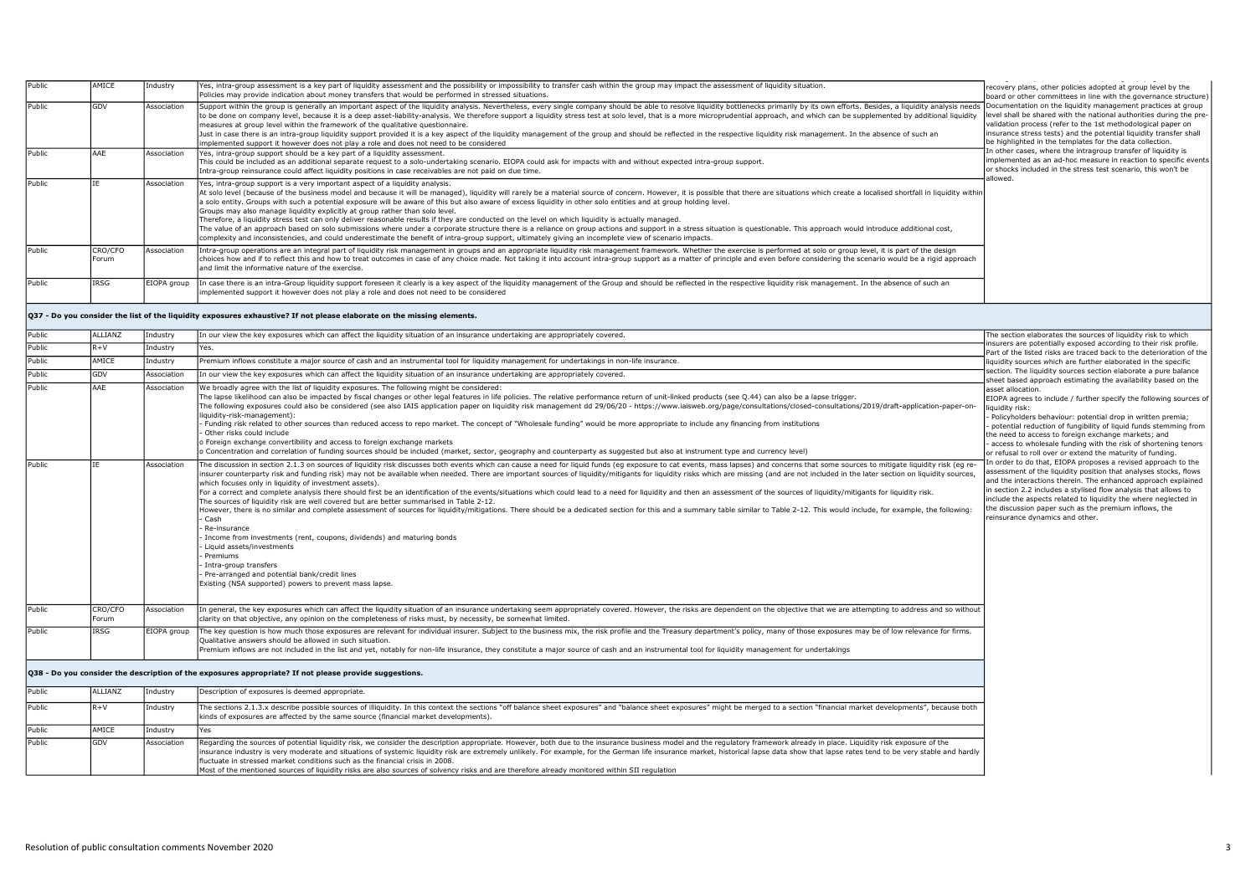| Public | AMICE            | Industry    | Yes, intra-group assessment is a key part of liquidity assessment and the possibility or impossibility to transfer cash within the group may impact the assessment of liquidity situation.<br>olicies may provide indication about money transfers that would be performed in stressed situations.                                                                                                                                                                                                                                                                                                                                                                                                                                                                                                                                                                                                                                                                                                                                                                                                                                                                                                                                                                                                                                                                   | ecovery plans, other policies adopted at group level by the<br>board or other committees in line with the governance structure)                                                                                                                                                                                                                                                                                                      |
|--------|------------------|-------------|----------------------------------------------------------------------------------------------------------------------------------------------------------------------------------------------------------------------------------------------------------------------------------------------------------------------------------------------------------------------------------------------------------------------------------------------------------------------------------------------------------------------------------------------------------------------------------------------------------------------------------------------------------------------------------------------------------------------------------------------------------------------------------------------------------------------------------------------------------------------------------------------------------------------------------------------------------------------------------------------------------------------------------------------------------------------------------------------------------------------------------------------------------------------------------------------------------------------------------------------------------------------------------------------------------------------------------------------------------------------|--------------------------------------------------------------------------------------------------------------------------------------------------------------------------------------------------------------------------------------------------------------------------------------------------------------------------------------------------------------------------------------------------------------------------------------|
| Public | GDV              | Association | Support within the group is generally an important aspect of the liquidity analysis. Nevertheless, every single company should be able to resolve liquidity bottlenecks primarily by its own efforts. Besides, a liquidity ana<br>to be done on company level, because it is a deep asset-liability-analysis. We therefore support a liquidity stress test at solo level, that is a more microprudential approach, and which can be supplemented by additional l<br>measures at group level within the framework of the qualitative questionnaire.<br>Just in case there is an intra-group liquidity support provided it is a key aspect of the liquidity management of the group and should be reflected in the respective liquidity risk management. In the absence of such an<br>implemented support it however does not play a role and does not need to be considered                                                                                                                                                                                                                                                                                                                                                                                                                                                                                           | Documentation on the liquidity management practices at group<br>level shall be shared with the national authorities during the pre-<br>validation process (refer to the 1st methodological paper on<br>insurance stress tests) and the potential liquidity transfer shall<br>be highlighted in the templates for the data collection.                                                                                                |
| Public | AAE              | Association | Yes, intra-group support should be a key part of a liquidity assessment.<br>This could be included as an additional separate request to a solo-undertaking scenario. EIOPA could ask for impacts with and without expected intra-group support.<br>Intra-group reinsurance could affect liquidity positions in case receivables are not paid on due time.                                                                                                                                                                                                                                                                                                                                                                                                                                                                                                                                                                                                                                                                                                                                                                                                                                                                                                                                                                                                            | In other cases, where the intragroup transfer of liquidity is<br>implemented as an ad-hoc measure in reaction to specific events<br>or shocks included in the stress test scenario, this won't be                                                                                                                                                                                                                                    |
| Public | <b>TF</b>        | Association | Yes, intra-group support is a very important aspect of a liquidity analysis.<br>At solo level (because of the business model and because it will be managed), liquidity will rarely be a material source of concern. However, it is possible that there are situations which create a localised shortfall in l<br>a solo entity. Groups with such a potential exposure will be aware of this but also aware of excess liquidity in other solo entities and at group holding level.<br>Groups may also manage liquidity explicitly at group rather than solo level.<br>Therefore, a liquidity stress test can only deliver reasonable results if they are conducted on the level on which liquidity is actually managed.<br>The value of an approach based on solo submissions where under a corporate structure there is a reliance on group actions and support in a stress situation is questionable. This approach would introduce additional cost,<br>complexity and inconsistencies, and could underestimate the benefit of intra-group support, ultimately giving an incomplete view of scenario impacts.                                                                                                                                                                                                                                                      | allowed.                                                                                                                                                                                                                                                                                                                                                                                                                             |
| Public | CRO/CFO<br>Forum | Association | Intra-group operations are an integral part of liquidity risk management in groups and an appropriate liquidity risk management framework. Whether the exercise is performed at solo or group level, it is part of the design<br>choices how and if to reflect this and how to treat outcomes in case of any choice made. Not taking it into account intra-group support as a matter of principle and even before considering the scenario would be a rigid app<br>and limit the informative nature of the exercise.                                                                                                                                                                                                                                                                                                                                                                                                                                                                                                                                                                                                                                                                                                                                                                                                                                                 |                                                                                                                                                                                                                                                                                                                                                                                                                                      |
| Public | IRSG             | EIOPA group | In case there is an intra-Group liquidity support foreseen it clearly is a key aspect of the liquidity management of the Group and should be reflected in the respective liquidity risk management. In the absence of such an<br>mplemented support it however does not play a role and does not need to be considered                                                                                                                                                                                                                                                                                                                                                                                                                                                                                                                                                                                                                                                                                                                                                                                                                                                                                                                                                                                                                                               |                                                                                                                                                                                                                                                                                                                                                                                                                                      |
|        |                  |             | Q37 - Do you consider the list of the liquidity exposures exhaustive? If not please elaborate on the missing elements.                                                                                                                                                                                                                                                                                                                                                                                                                                                                                                                                                                                                                                                                                                                                                                                                                                                                                                                                                                                                                                                                                                                                                                                                                                               |                                                                                                                                                                                                                                                                                                                                                                                                                                      |
| Public | <b>ALLIANZ</b>   | Industry    | In our view the key exposures which can affect the liquidity situation of an insurance undertaking are appropriately covered.                                                                                                                                                                                                                                                                                                                                                                                                                                                                                                                                                                                                                                                                                                                                                                                                                                                                                                                                                                                                                                                                                                                                                                                                                                        | The section elaborates the sources of liquidity risk to which                                                                                                                                                                                                                                                                                                                                                                        |
| Public | $R + V$          | Industry    | Yes.                                                                                                                                                                                                                                                                                                                                                                                                                                                                                                                                                                                                                                                                                                                                                                                                                                                                                                                                                                                                                                                                                                                                                                                                                                                                                                                                                                 | nsurers are potentially exposed according to their risk profile.<br>Part of the listed risks are traced back to the deterioration of the                                                                                                                                                                                                                                                                                             |
| Public | AMICE            | Industry    | Premium inflows constitute a major source of cash and an instrumental tool for liquidity management for undertakings in non-life insurance.                                                                                                                                                                                                                                                                                                                                                                                                                                                                                                                                                                                                                                                                                                                                                                                                                                                                                                                                                                                                                                                                                                                                                                                                                          | liquidity sources which are further elaborated in the specific                                                                                                                                                                                                                                                                                                                                                                       |
| Public | GDV              | Association | In our view the key exposures which can affect the liquidity situation of an insurance undertaking are appropriately covered.                                                                                                                                                                                                                                                                                                                                                                                                                                                                                                                                                                                                                                                                                                                                                                                                                                                                                                                                                                                                                                                                                                                                                                                                                                        | section. The liquidity sources section elaborate a pure balance<br>sheet based approach estimating the availability based on the                                                                                                                                                                                                                                                                                                     |
| Public | AAE              | Association | We broadly agree with the list of liquidity exposures. The following might be considered:<br>The lapse likelihood can also be impacted by fiscal changes or other legal features in life policies. The relative performance return of unit-linked products (see 0.44) can also be a lapse trigger.<br>The following exposures could also be considered (see also IAIS application paper on liquidity risk management dd 29/06/20 - https://www.iaisweb.org/page/consultations/closed-consultations/2019/draft-application-paper-on-<br>liquidity-risk-management):<br>Funding risk related to other sources than reduced access to repo market. The concept of "Wholesale funding" would be more appropriate to include any financing from institutions<br>Other risks could include<br>Foreign exchange convertibility and access to foreign exchange markets<br>O Concentration and correlation of funding sources should be included (market, sector, geography and counterparty as suggested but also at instrument type and currency level)                                                                                                                                                                                                                                                                                                                     | asset allocation.<br>EIOPA agrees to include / further specify the following sources of<br>liquidity risk:<br>Policyholders behaviour: potential drop in written premia;<br>potential reduction of fungibility of liquid funds stemming from<br>the need to access to foreign exchange markets; and<br>access to wholesale funding with the risk of shortening tenors<br>or refusal to roll over or extend the maturity of funding.  |
| Public | <b>TF</b>        | Association | The discussion in section 2.1.3 on sources of liquidity risk discusses both events which can cause a need for liquid funds (eq exposure to cat events, mass lapses) and concerns that some sources to mitigate liquidity risk<br>nsurer counterparty risk and funding risk) may not be available when needed. There are important sources of liquidity/mitigants for liquidity risks which are missing (and are not included in the later section on liquidity<br>which focuses only in liquidity of investment assets).<br>For a correct and complete analysis there should first be an identification of the events/situations which could lead to a need for liquidity and then an assessment of the sources of liquidity/mitigants for liquidity risk.<br>The sources of liquidity risk are well covered but are better summarised in Table 2-12.<br>However, there is no similar and complete assessment of sources for liquidity/mitigations. There should be a dedicated section for this and a summary table similar to Table 2-12. This would include, for example, the follow<br>Cash<br>Re-insurance<br>Income from investments (rent, coupons, dividends) and maturing bonds<br>Liquid assets/investments<br>Premiums<br>Intra-group transfers<br>Pre-arranged and potential bank/credit lines<br>Existing (NSA supported) powers to prevent mass lapse. | In order to do that, EIOPA proposes a revised approach to the<br>assessment of the liquidity position that analyses stocks, flows<br>and the interactions therein. The enhanced approach explained<br>in section 2.2 includes a stylised flow analysis that allows to<br>include the aspects related to liquidity the where neglected in<br>the discussion paper such as the premium inflows, the<br>reinsurance dynamics and other. |
| Public | CRO/CFO<br>Forum | Association | In general, the key exposures which can affect the liquidity situation of an insurance undertaking seem appropriately covered. However, the risks are dependent on the objective that we are attempting to address and so with<br>larity on that objective, any opinion on the completeness of risks must, by necessity, be somewhat limited.                                                                                                                                                                                                                                                                                                                                                                                                                                                                                                                                                                                                                                                                                                                                                                                                                                                                                                                                                                                                                        |                                                                                                                                                                                                                                                                                                                                                                                                                                      |
| Public | IRSG             | EIOPA group | The key question is how much those exposures are relevant for individual insurer. Subject to the business mix, the risk profile and the Treasury department's policy, many of those exposures may be of low relevance for firm<br>Oualitative answers should be allowed in such situation.<br>Premium inflows are not included in the list and yet, notably for non-life insurance, they constitute a major source of cash and an instrumental tool for liquidity management for undertakings                                                                                                                                                                                                                                                                                                                                                                                                                                                                                                                                                                                                                                                                                                                                                                                                                                                                        |                                                                                                                                                                                                                                                                                                                                                                                                                                      |
|        |                  |             | Q38 - Do you consider the description of the exposures appropriate? If not please provide suggestions.                                                                                                                                                                                                                                                                                                                                                                                                                                                                                                                                                                                                                                                                                                                                                                                                                                                                                                                                                                                                                                                                                                                                                                                                                                                               |                                                                                                                                                                                                                                                                                                                                                                                                                                      |
| Public | ALLIANZ          | Industry    | Description of exposures is deemed appropriate.                                                                                                                                                                                                                                                                                                                                                                                                                                                                                                                                                                                                                                                                                                                                                                                                                                                                                                                                                                                                                                                                                                                                                                                                                                                                                                                      |                                                                                                                                                                                                                                                                                                                                                                                                                                      |
| Public | $R + V$          | Industry    | The sections 2.1.3.x describe possible sources of illiquidity. In this context the sections "off balance sheet exposures" and "balance sheet exposures" might be merged to a section "financial market developments", because<br>kinds of exposures are affected by the same source (financial market developments).                                                                                                                                                                                                                                                                                                                                                                                                                                                                                                                                                                                                                                                                                                                                                                                                                                                                                                                                                                                                                                                 |                                                                                                                                                                                                                                                                                                                                                                                                                                      |
| Public | AMICE            | Industry    | Yes                                                                                                                                                                                                                                                                                                                                                                                                                                                                                                                                                                                                                                                                                                                                                                                                                                                                                                                                                                                                                                                                                                                                                                                                                                                                                                                                                                  |                                                                                                                                                                                                                                                                                                                                                                                                                                      |
| Public | GDV              | Association | Regarding the sources of potential liquidity risk, we consider the description appropriate. However, both due to the insurance business model and the regulatory framework already in place. Liquidity risk exposure of the<br>nsurance industry is very moderate and situations of systemic liquidity risk are extremely unlikely. For example, for the German life insurance market, historical lapse data show that lapse rates tend to be very stable and<br>fluctuate in stressed market conditions such as the financial crisis in 2008.<br>Most of the mentioned sources of liquidity risks are also sources of solvency risks and are therefore already monitored within SII regulation                                                                                                                                                                                                                                                                                                                                                                                                                                                                                                                                                                                                                                                                      |                                                                                                                                                                                                                                                                                                                                                                                                                                      |
|        |                  |             |                                                                                                                                                                                                                                                                                                                                                                                                                                                                                                                                                                                                                                                                                                                                                                                                                                                                                                                                                                                                                                                                                                                                                                                                                                                                                                                                                                      |                                                                                                                                                                                                                                                                                                                                                                                                                                      |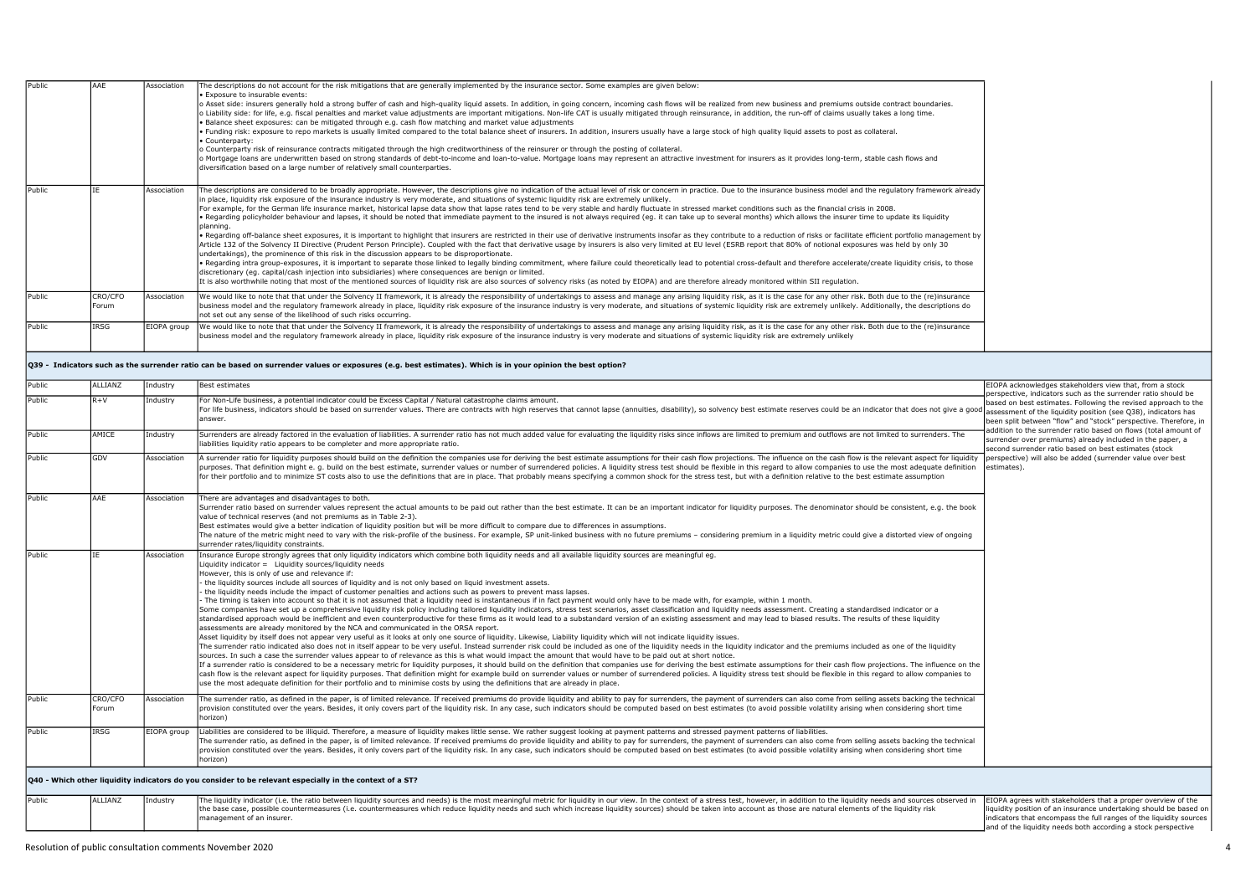| <b>IPublic</b> | AAE              | Association | The descriptions do not account for the risk mitigations that are generally implemented by the insurance sector. Some examples are given below:<br>. Exposure to insurable events:<br>o Asset side: insurers generally hold a strong buffer of cash and high-quality liquid assets. In addition, in going concern, incoming cash flows will be realized from new business and premiums outside contract boundaries.<br>o Liability side: for life, e.g. fiscal penalties and market value adjustments are important mitigations. Non-life CAT is usually mitigated through reinsurance, in addition, the run-off of claims usually takes a long time.<br>Balance sheet exposures: can be mitigated through e.g. cash flow matching and market value adjustments<br>. Funding risk: exposure to repo markets is usually limited compared to the total balance sheet of insurers. In addition, insurers usually have a large stock of high quality liquid assets to post as collateral.<br>Counterparty:<br>o Counterparty risk of reinsurance contracts mitigated through the high creditworthiness of the reinsurer or through the posting of collateral.<br>o Mortgage loans are underwritten based on strong standards of debt-to-income and loan-to-value. Mortgage loans may represent an attractive investment for insurers as it provides long-term, stable cash flows and<br>diversification based on a large number of relatively small counterparties.                                                                                                                                                                                                                                                                                                                                                                                                                                                                                                        |
|----------------|------------------|-------------|------------------------------------------------------------------------------------------------------------------------------------------------------------------------------------------------------------------------------------------------------------------------------------------------------------------------------------------------------------------------------------------------------------------------------------------------------------------------------------------------------------------------------------------------------------------------------------------------------------------------------------------------------------------------------------------------------------------------------------------------------------------------------------------------------------------------------------------------------------------------------------------------------------------------------------------------------------------------------------------------------------------------------------------------------------------------------------------------------------------------------------------------------------------------------------------------------------------------------------------------------------------------------------------------------------------------------------------------------------------------------------------------------------------------------------------------------------------------------------------------------------------------------------------------------------------------------------------------------------------------------------------------------------------------------------------------------------------------------------------------------------------------------------------------------------------------------------------------------------------------------------------------------------------------------------------------------------------------|
| Public         |                  | Association | The descriptions are considered to be broadly appropriate. However, the descriptions give no indication of the actual level of risk or concern in practice. Due to the insurance business model and the requlatory framework a<br>in place, liquidity risk exposure of the insurance industry is very moderate, and situations of systemic liquidity risk are extremely unlikely.<br>For example, for the German life insurance market, historical lapse data show that lapse rates tend to be very stable and hardly fluctuate in stressed market conditions such as the financial crisis in 2008.<br>. Regarding policyholder behaviour and lapses, it should be noted that immediate payment to the insured is not always required (eq. it can take up to several months) which allows the insurer time to update its liquidity<br>Iplanning.<br>. Regarding off-balance sheet exposures, it is important to highlight that insurers are restricted in their use of derivative instruments insofar as they contribute to a reduction of risks or facilitate efficient portfolio<br>Article 132 of the Solvency II Directive (Prudent Person Principle). Coupled with the fact that derivative usage by insurers is also very limited at EU level (ESRB report that 80% of notional exposures was held by only 30<br>undertakings), the prominence of this risk in the discussion appears to be disproportionate.<br>. Regarding intra group-exposures, it is important to separate those linked to legally binding commitment, where failure could theoretically lead to potential cross-default and therefore accelerate/create liquidity crisis,<br>discretionary (eq. capital/cash injection into subsidiaries) where consequences are benign or limited.<br>It is also worthwhile noting that most of the mentioned sources of liquidity risk are also sources of solvency risks (as noted by EIOPA) and are therefore already monitored within SII requlation. |
| Public         | CRO/CFO<br>Forum | Association | We would like to note that that under the Solvency II framework, it is already the responsibility of undertakings to assess and manage any arising liquidity risk, as it is the case for any other risk. Both due to the (re)i<br>business model and the requlatory framework already in place, liquidity risk exposure of the insurance industry is very moderate, and situations of systemic liquidity risk are extremely unlikely. Additionally, the descript<br>Inot set out any sense of the likelihood of such risks occurring.                                                                                                                                                                                                                                                                                                                                                                                                                                                                                                                                                                                                                                                                                                                                                                                                                                                                                                                                                                                                                                                                                                                                                                                                                                                                                                                                                                                                                                  |
| Public         | IRSG             | EIOPA group | We would like to note that that under the Solvency II framework, it is already the responsibility of undertakings to assess and manage any arising liquidity risk, as it is the case for any other risk. Both due to the (re)i<br>business model and the requlatory framework already in place, liquidity risk exposure of the insurance industry is very moderate and situations of systemic liquidity risk are extremely unlikely                                                                                                                                                                                                                                                                                                                                                                                                                                                                                                                                                                                                                                                                                                                                                                                                                                                                                                                                                                                                                                                                                                                                                                                                                                                                                                                                                                                                                                                                                                                                    |

Q39 - Indicators such as the surrender ratio can be based on surrender values or exposures (e.g. best estimates). Which is in your opinion the best option?

| Public | ALLIANZ          | Industry    | Best estimates                                                                                                                                                                                                                                                                                                                                                                                                                                                                                                                                                                                                                                                                                                                                                                                                                                                                                                                                                                                                                                                                                                                                                                                                                                                                                                                                                                                                                                                                                                                                                                                                                                                                                                                                                                                                                                                                                                                                                                                                                                                                                                                                                                                                                                                                                                                                                                                                                       | EIOPA acknowledges stakeholders view that, from a stock                                                                                                                                                                                                                  |
|--------|------------------|-------------|--------------------------------------------------------------------------------------------------------------------------------------------------------------------------------------------------------------------------------------------------------------------------------------------------------------------------------------------------------------------------------------------------------------------------------------------------------------------------------------------------------------------------------------------------------------------------------------------------------------------------------------------------------------------------------------------------------------------------------------------------------------------------------------------------------------------------------------------------------------------------------------------------------------------------------------------------------------------------------------------------------------------------------------------------------------------------------------------------------------------------------------------------------------------------------------------------------------------------------------------------------------------------------------------------------------------------------------------------------------------------------------------------------------------------------------------------------------------------------------------------------------------------------------------------------------------------------------------------------------------------------------------------------------------------------------------------------------------------------------------------------------------------------------------------------------------------------------------------------------------------------------------------------------------------------------------------------------------------------------------------------------------------------------------------------------------------------------------------------------------------------------------------------------------------------------------------------------------------------------------------------------------------------------------------------------------------------------------------------------------------------------------------------------------------------------|--------------------------------------------------------------------------------------------------------------------------------------------------------------------------------------------------------------------------------------------------------------------------|
| Public | $R+V$            | Industry    | For Non-Life business, a potential indicator could be Excess Capital / Natural catastrophe claims amount.<br>For life business, indicators should be based on surrender values. There are contracts with high reserves that cannot lapse (annuities, disability), so solvency best estimate reserves could be an indicator that does not gi<br>lanswer.                                                                                                                                                                                                                                                                                                                                                                                                                                                                                                                                                                                                                                                                                                                                                                                                                                                                                                                                                                                                                                                                                                                                                                                                                                                                                                                                                                                                                                                                                                                                                                                                                                                                                                                                                                                                                                                                                                                                                                                                                                                                              | perspective, indicators such as the surrender ratio should be<br>based on best estimates. Following the revised approach to the<br>been split between "flow" and "stock" perspective. Therefore, in                                                                      |
| Public | AMICE            | Industry    | Surrenders are already factored in the evaluation of liabilities. A surrender ratio has not much added value for evaluating the liquidity risks since inflows are limited to premium and outflows are not limited to surrender<br>liabilities liquidity ratio appears to be completer and more appropriate ratio.                                                                                                                                                                                                                                                                                                                                                                                                                                                                                                                                                                                                                                                                                                                                                                                                                                                                                                                                                                                                                                                                                                                                                                                                                                                                                                                                                                                                                                                                                                                                                                                                                                                                                                                                                                                                                                                                                                                                                                                                                                                                                                                    | addition to the surrender ratio based on flows (total amount of<br>surrender over premiums) already included in the paper, a<br>second surrender ratio based on best estimates (stock                                                                                    |
| Public | GDV              | Association | A surrender ratio for liquidity purposes should build on the definition the companies use for deriving the best estimate assumptions for their cash flow projections. The influence on the cash flow is the relevant aspect fo<br>purposes. That definition might e. q. build on the best estimate, surrender values or number of surrendered policies. A liquidity stress test should be flexible in this regard to allow companies to use the most adequate de<br>for their portfolio and to minimize ST costs also to use the definitions that are in place. That probably means specifying a common shock for the stress test, but with a definition relative to the best estimate assumption                                                                                                                                                                                                                                                                                                                                                                                                                                                                                                                                                                                                                                                                                                                                                                                                                                                                                                                                                                                                                                                                                                                                                                                                                                                                                                                                                                                                                                                                                                                                                                                                                                                                                                                                    | perspective) will also be added (surrender value over best<br>estimates).                                                                                                                                                                                                |
| Public | AAE              | Association | There are advantages and disadvantages to both.<br>Surrender ratio based on surrender values represent the actual amounts to be paid out rather than the best estimate. It can be an important indicator for liquidity purposes. The denominator should be consistent, e.q. the b<br>value of technical reserves (and not premiums as in Table 2-3).<br>Best estimates would give a better indication of liquidity position but will be more difficult to compare due to differences in assumptions.<br>The nature of the metric might need to vary with the risk-profile of the business. For example, SP unit-linked business with no future premiums - considering premium in a liquidity metric could give a distorted view of ong<br>surrender rates/liquidity constraints.                                                                                                                                                                                                                                                                                                                                                                                                                                                                                                                                                                                                                                                                                                                                                                                                                                                                                                                                                                                                                                                                                                                                                                                                                                                                                                                                                                                                                                                                                                                                                                                                                                                     |                                                                                                                                                                                                                                                                          |
| Public |                  | Association | Insurance Europe strongly agrees that only liquidity indicators which combine both liquidity needs and all available liquidity sources are meaningful eq.<br>Liquidity indicator = Liquidity sources/liquidity needs<br>However, this is only of use and relevance if:<br>- the liquidity sources include all sources of liquidity and is not only based on liquid investment assets.<br>the liquidity needs include the impact of customer penalties and actions such as powers to prevent mass lapses.<br>The timing is taken into account so that it is not assumed that a liquidity need is instantaneous if in fact payment would only have to be made with, for example, within 1 month.<br>Some companies have set up a comprehensive liquidity risk policy including tailored liquidity indicators, stress test scenarios, asset classification and liquidity needs assessment. Creating a standardised indicator or a<br>standardised approach would be inefficient and even counterproductive for these firms as it would lead to a substandard version of an existing assessment and may lead to biased results. The results of these liquidity<br>assessments are already monitored by the NCA and communicated in the ORSA report.<br>Asset liquidity by itself does not appear very useful as it looks at only one source of liquidity. Likewise, Liability liquidity which will not indicate liquidity issues.<br>The surrender ratio indicated also does not in itself appear to be very useful. Instead surrender risk could be included as one of the liquidity needs in the liquidity nidicator and the premiums included as one of the liqu<br>sources. In such a case the surrender values appear to of relevance as this is what would impact the amount that would have to be paid out at short notice.<br>If a surrender ratio is considered to be a necessary metric for liquidity purposes, it should build on the definition that companies use for deriving the best estimate assumptions for their cash flow projections. The influ<br>cash flow is the relevant aspect for liquidity purposes. That definition might for example build on surrender values or number of surrendered policies. A liquidity stress test should be flexible in this reqard to allow com<br>use the most adequate definition for their portfolio and to minimise costs by using the definitions that are already in place. |                                                                                                                                                                                                                                                                          |
| Public | CRO/CFO<br>Forum | Association | The surrender ratio, as defined in the paper, is of limited relevance. If received premiums do provide liquidity and ability to pay for surrenders, the payment of surrenders can also come from selling assets backing the te<br>provision constituted over the years. Besides, it only covers part of the liquidity risk. In any case, such indicators should be computed based on best estimates (to avoid possible volatility arising when considering short<br>horizon)                                                                                                                                                                                                                                                                                                                                                                                                                                                                                                                                                                                                                                                                                                                                                                                                                                                                                                                                                                                                                                                                                                                                                                                                                                                                                                                                                                                                                                                                                                                                                                                                                                                                                                                                                                                                                                                                                                                                                         |                                                                                                                                                                                                                                                                          |
| Public | IRSG             | EIOPA group | Liabilities are considered to be illiquid. Therefore, a measure of liquidity makes little sense. We rather suggest looking at payment patterns and stressed payment patterns of liabilities.<br>The surrender ratio, as defined in the paper, is of limited relevance. If received premiums do provide liquidity and ability to pay for surrenders, the payment of surrenders can also come from selling assets backing the te<br>provision constituted over the years. Besides, it only covers part of the liquidity risk. In any case, such indicators should be computed based on best estimates (to avoid possible volatility arising when considering short<br>horizon)                                                                                                                                                                                                                                                                                                                                                                                                                                                                                                                                                                                                                                                                                                                                                                                                                                                                                                                                                                                                                                                                                                                                                                                                                                                                                                                                                                                                                                                                                                                                                                                                                                                                                                                                                         |                                                                                                                                                                                                                                                                          |
|        |                  |             | Q40 - Which other liquidity indicators do you consider to be relevant especially in the context of a ST?                                                                                                                                                                                                                                                                                                                                                                                                                                                                                                                                                                                                                                                                                                                                                                                                                                                                                                                                                                                                                                                                                                                                                                                                                                                                                                                                                                                                                                                                                                                                                                                                                                                                                                                                                                                                                                                                                                                                                                                                                                                                                                                                                                                                                                                                                                                             |                                                                                                                                                                                                                                                                          |
| Public | ALLIANZ          | Industry    | The liquidity indicator (i.e. the ratio between liquidity sources and needs) is the most meaningful metric for liquidity in our view. In the context of a stress test, however, in addition to the liquidity needs and sources<br>the base case, possible countermeasures (i.e. countermeasures which reduce liquidity needs and such which increase liquidity sources) should be taken into account as those are natural elements of the liquidity risk<br>management of an insurer.                                                                                                                                                                                                                                                                                                                                                                                                                                                                                                                                                                                                                                                                                                                                                                                                                                                                                                                                                                                                                                                                                                                                                                                                                                                                                                                                                                                                                                                                                                                                                                                                                                                                                                                                                                                                                                                                                                                                                | EIOPA agrees with stakeholders that a proper overview of the<br>liquidity position of an insurance undertaking should be based on<br>indicators that encompass the full ranges of the liquidity sources<br>and of the liquidity needs both according a stock perspective |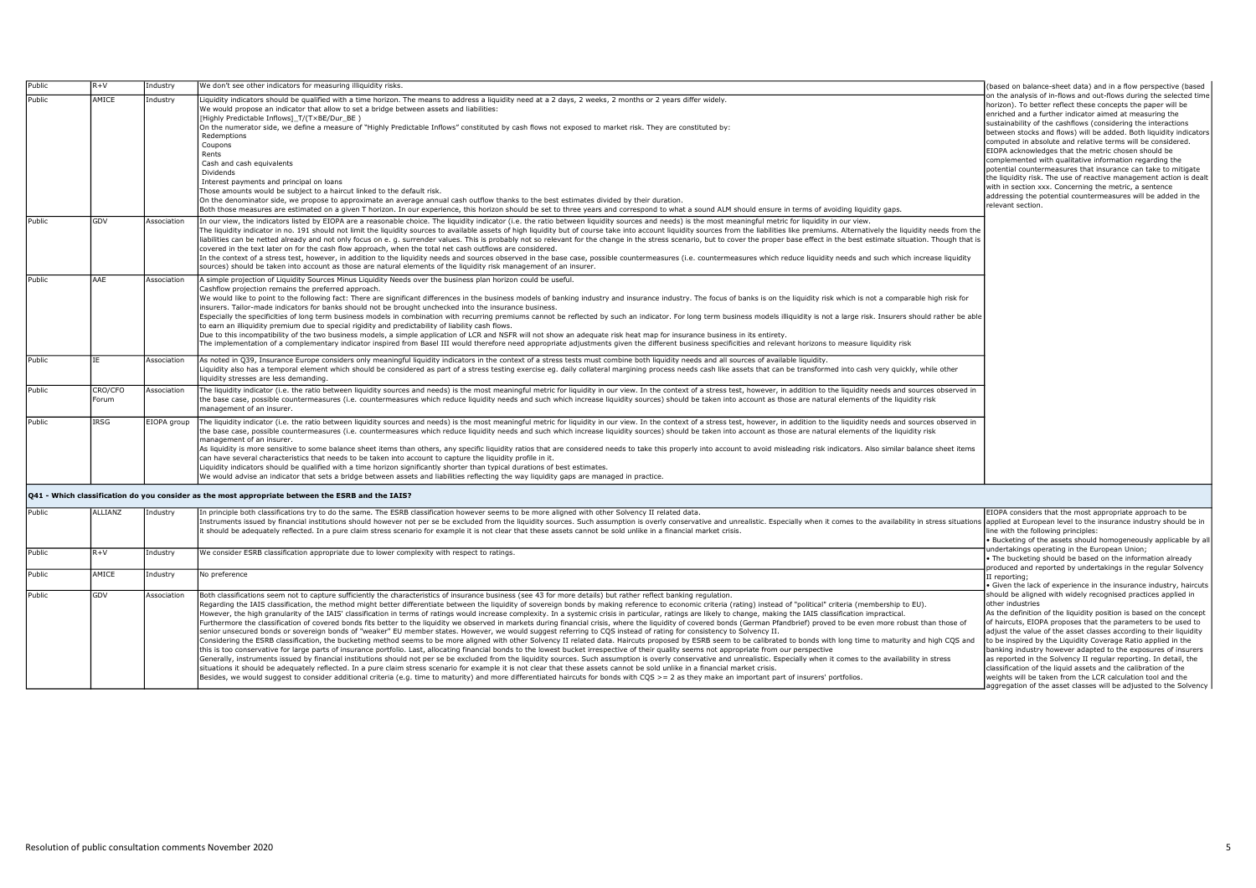| Public           | $R + V$          | industry                | We don't see other indicators for measuring illiquidity risks.                                                                                                                                                                                                                                                                                                                                                                                                                                                                                                                                                                                                                                                                                                                                                                                                                                                                                                                                                                                                                                                                                                                                                                                                                                                                                                                                                                                                                                                                                                                                                                                                                                                                                                                                                                                                                                                                                                                                                                                                                                 | (based on balance-sheet data) and in a flow perspective (based                                                                                                                                                                                                                                                                                                                                                                                                                                                                                                                                                                                                                                                                                                                                               |
|------------------|------------------|-------------------------|------------------------------------------------------------------------------------------------------------------------------------------------------------------------------------------------------------------------------------------------------------------------------------------------------------------------------------------------------------------------------------------------------------------------------------------------------------------------------------------------------------------------------------------------------------------------------------------------------------------------------------------------------------------------------------------------------------------------------------------------------------------------------------------------------------------------------------------------------------------------------------------------------------------------------------------------------------------------------------------------------------------------------------------------------------------------------------------------------------------------------------------------------------------------------------------------------------------------------------------------------------------------------------------------------------------------------------------------------------------------------------------------------------------------------------------------------------------------------------------------------------------------------------------------------------------------------------------------------------------------------------------------------------------------------------------------------------------------------------------------------------------------------------------------------------------------------------------------------------------------------------------------------------------------------------------------------------------------------------------------------------------------------------------------------------------------------------------------|--------------------------------------------------------------------------------------------------------------------------------------------------------------------------------------------------------------------------------------------------------------------------------------------------------------------------------------------------------------------------------------------------------------------------------------------------------------------------------------------------------------------------------------------------------------------------------------------------------------------------------------------------------------------------------------------------------------------------------------------------------------------------------------------------------------|
| Public<br>Public | AMICE<br>GDV     | Industry<br>Association | Liquidity indicators should be qualified with a time horizon. The means to address a liquidity need at a 2 days, 2 weeks, 2 months or 2 years differ widely.<br>We would propose an indicator that allow to set a bridge between assets and liabilities:<br>[Highly Predictable Inflows] T/(TxBE/Dur BE)<br>On the numerator side, we define a measure of "Highly Predictable Inflows" constituted by cash flows not exposed to market risk. They are constituted by:<br>Redemptions<br>Coupons<br>Rents<br>Cash and cash equivalents<br>Dividends<br>Interest payments and principal on loans<br>Those amounts would be subject to a haircut linked to the default risk.<br>On the denominator side, we propose to approximate an average annual cash outflow thanks to the best estimates divided by their duration.<br>Both those measures are estimated on a given T horizon. In our experience, this horizon should be set to three years and correspond to what a sound ALM should ensure in terms of avoiding liquidity gaps.<br>In our view, the indicators listed by EIOPA are a reasonable choice. The liquidity indicator (i.e. the ratio between liquidity sources and needs) is the most meaningful metric for liquidity in our view.                                                                                                                                                                                                                                                                                                                                                                                                                                                                                                                                                                                                                                                                                                                                                                                                                                             | on the analysis of in-flows and out-flows during the selected time<br>horizon). To better reflect these concepts the paper will be<br>enriched and a further indicator aimed at measuring the<br>sustainability of the cashflows (considering the interactions<br>between stocks and flows) will be added. Both liquidity indicators<br>computed in absolute and relative terms will be considered.<br>EIOPA acknowledges that the metric chosen should be<br>complemented with qualitative information regarding the<br>potential countermeasures that insurance can take to mitigate<br>the liquidity risk. The use of reactive management action is dealt<br>with in section xxx. Concerning the metric, a sentence<br>addressing the potential countermeasures will be added in the<br>relevant section. |
|                  |                  |                         | The liquidity indicator in no. 191 should not limit the liquidity sources to available assets of high liquidity but of course take into account liquidity sources from the liabilities like premiums. Alternatively the liquid<br>liabilities can be netted already and not only focus on e. g. surrender values. This is probably not so relevant for the change in the stress scenario, but to cover the proper base effect in the best estimate situation. Th<br>covered in the text later on for the cash flow approach, when the total net cash outflows are considered.<br>In the context of a stress test, however, in addition to the liquidity needs and sources observed in the base case, possible countermeasures (i.e. countermeasures which reduce liquidity needs and such which increase liquid<br>sources) should be taken into account as those are natural elements of the liquidity risk management of an insurer.                                                                                                                                                                                                                                                                                                                                                                                                                                                                                                                                                                                                                                                                                                                                                                                                                                                                                                                                                                                                                                                                                                                                                         |                                                                                                                                                                                                                                                                                                                                                                                                                                                                                                                                                                                                                                                                                                                                                                                                              |
| Public           | AAE              | Association             | A simple projection of Liquidity Sources Minus Liquidity Needs over the business plan horizon could be useful.<br>Cashflow projection remains the preferred approach.<br>We would like to point to the following fact: There are significant differences in the business models of banking industry and insurance industry. The focus of banks is on the liquidity risk which is not a comparable high<br>insurers. Tailor-made indicators for banks should not be brought unchecked into the insurance business.<br>Especially the specificities of long term business models in combination with recurring premiums cannot be reflected by such an indicator. For long term business models illiquidity is not a large risk. Insurers should rath<br>to earn an illiquidity premium due to special rigidity and predictability of liability cash flows.<br>Due to this incompatibility of the two business models, a simple application of LCR and NSFR will not show an adequate risk heat map for insurance business in its entirety.<br>The implementation of a complementary indicator inspired from Basel III would therefore need appropriate adjustments given the different business specificities and relevant horizons to measure liquidity risk                                                                                                                                                                                                                                                                                                                                                                                                                                                                                                                                                                                                                                                                                                                                                                                                                                   |                                                                                                                                                                                                                                                                                                                                                                                                                                                                                                                                                                                                                                                                                                                                                                                                              |
| Public           | <b>TF</b>        | Association             | As noted in Q39, Insurance Europe considers only meaningful liquidity indicators in the context of a stress tests must combine both liquidity needs and all sources of available liquidity.<br>Liquidity also has a temporal element which should be considered as part of a stress testing exercise eq. daily collateral margining process needs cash like assets that can be transformed into cash very quickly, while othe<br>liquidity stresses are less demanding.                                                                                                                                                                                                                                                                                                                                                                                                                                                                                                                                                                                                                                                                                                                                                                                                                                                                                                                                                                                                                                                                                                                                                                                                                                                                                                                                                                                                                                                                                                                                                                                                                        |                                                                                                                                                                                                                                                                                                                                                                                                                                                                                                                                                                                                                                                                                                                                                                                                              |
| Public           | CRO/CFO<br>Forum | Association             | The liquidity indicator (i.e. the ratio between liquidity sources and needs) is the most meaningful metric for liquidity in our view. In the context of a stress test, however, in addition to the liquidity needs and sources<br>the base case, possible countermeasures (i.e. countermeasures which reduce liquidity needs and such which increase liquidity sources) should be taken into account as those are natural elements of the liquidity risk<br>management of an insurer.                                                                                                                                                                                                                                                                                                                                                                                                                                                                                                                                                                                                                                                                                                                                                                                                                                                                                                                                                                                                                                                                                                                                                                                                                                                                                                                                                                                                                                                                                                                                                                                                          |                                                                                                                                                                                                                                                                                                                                                                                                                                                                                                                                                                                                                                                                                                                                                                                                              |
| Public           | <b>IRSG</b>      | EIOPA group             | The liquidity indicator (i.e. the ratio between liquidity sources and needs) is the most meaningful metric for liquidity in our view. In the context of a stress test, however, in addition to the liquidity needs and sources<br>the base case, possible countermeasures (i.e. countermeasures which reduce liquidity needs and such which increase liquidity sources) should be taken into account as those are natural elements of the liquidity risk<br>management of an insurer.<br>As liquidity is more sensitive to some balance sheet items than others, any specific liquidity ratios that are considered needs to take this properly into account to avoid misleading risk indicators. Also similar balance s<br>can have several characteristics that needs to be taken into account to capture the liquidity profile in it.<br>Liquidity indicators should be qualified with a time horizon significantly shorter than typical durations of best estimates.<br>We would advise an indicator that sets a bridge between assets and liabilities reflecting the way liquidity gaps are managed in practice.                                                                                                                                                                                                                                                                                                                                                                                                                                                                                                                                                                                                                                                                                                                                                                                                                                                                                                                                                                           |                                                                                                                                                                                                                                                                                                                                                                                                                                                                                                                                                                                                                                                                                                                                                                                                              |
|                  |                  |                         | Q41 - Which classification do you consider as the most appropriate between the ESRB and the IAIS?                                                                                                                                                                                                                                                                                                                                                                                                                                                                                                                                                                                                                                                                                                                                                                                                                                                                                                                                                                                                                                                                                                                                                                                                                                                                                                                                                                                                                                                                                                                                                                                                                                                                                                                                                                                                                                                                                                                                                                                              |                                                                                                                                                                                                                                                                                                                                                                                                                                                                                                                                                                                                                                                                                                                                                                                                              |
| Public           | ALLIANZ          | Industry                | In principle both classifications try to do the same. The ESRB classification however seems to be more aligned with other Solvency II related data.<br>Instruments issued by financial institutions should however not per se be excluded from the liquidity sources. Such assumption is overly conservative and unrealistic. Especially when it comes to the availability in stress<br>it should be adequately reflected. In a pure claim stress scenario for example it is not clear that these assets cannot be sold unlike in a financial market crisis.                                                                                                                                                                                                                                                                                                                                                                                                                                                                                                                                                                                                                                                                                                                                                                                                                                                                                                                                                                                                                                                                                                                                                                                                                                                                                                                                                                                                                                                                                                                                   | EIOPA considers that the most appropriate approach to be<br>line with the following principles:<br>. Bucketing of the assets should homogeneously applicable by all                                                                                                                                                                                                                                                                                                                                                                                                                                                                                                                                                                                                                                          |
| Public           | $R+V$            | Industry                | We consider ESRB classification appropriate due to lower complexity with respect to ratings.                                                                                                                                                                                                                                                                                                                                                                                                                                                                                                                                                                                                                                                                                                                                                                                                                                                                                                                                                                                                                                                                                                                                                                                                                                                                                                                                                                                                                                                                                                                                                                                                                                                                                                                                                                                                                                                                                                                                                                                                   | undertakings operating in the European Union;<br>The bucketing should be based on the information already<br>produced and reported by undertakings in the regular Solvency                                                                                                                                                                                                                                                                                                                                                                                                                                                                                                                                                                                                                                   |
| Public           | AMICE            | Industry                | No preference                                                                                                                                                                                                                                                                                                                                                                                                                                                                                                                                                                                                                                                                                                                                                                                                                                                                                                                                                                                                                                                                                                                                                                                                                                                                                                                                                                                                                                                                                                                                                                                                                                                                                                                                                                                                                                                                                                                                                                                                                                                                                  | II reporting;<br>Given the lack of experience in the insurance industry, haircuts                                                                                                                                                                                                                                                                                                                                                                                                                                                                                                                                                                                                                                                                                                                            |
| Public           | GDV              | Association             | Both classifications seem not to capture sufficiently the characteristics of insurance business (see 43 for more details) but rather reflect banking regulation.<br>Regarding the IAIS classification, the method might better differentiate between the liquidity of sovereign bonds by making reference to economic criteria (rating) instead of "political" criteria (membership to EU).<br>However, the high granularity of the IAIS' classification in terms of ratings would increase complexity. In a systemic crisis in particular, ratings are likely to change, making the IAIS classification impractical.<br>Furthermore the classification of covered bonds fits better to the liquidity we observed in markets during financial crisis, where the liquidity of covered bonds (German Pfandbrief) proved to be even more robust than those<br>senior unsecured bonds or sovereign bonds of "weaker" EU member states. However, we would suggest referring to COS instead of rating for consistency to Solvency II.<br>Considering the ESRB classification, the bucketing method seems to be more aligned with other Solvency II related data. Haircuts proposed by ESRB seem to be calibrated to bonds with long time to maturity and high COS and<br>this is too conservative for large parts of insurance portfolio. Last, allocating financial bonds to the lowest bucket irrespective of their quality seems not appropriate from our perspective<br>Generally, instruments issued by financial institutions should not per se be excluded from the liquidity sources. Such assumption is overly conservative and unrealistic. Especially when it comes to the availability in stre<br>situations it should be adequately reflected. In a pure claim stress scenario for example it is not clear that these assets cannot be sold unlike in a financial market crisis.<br>Besides, we would suggest to consider additional criteria (e.g. time to maturity) and more differentiated haircuts for bonds with COS > = 2 as they make an important part of insurers' portfolios. | should be aligned with widely recognised practices applied in<br>other industries<br>As the definition of the liquidity position is based on the concept<br>of haircuts, EIOPA proposes that the parameters to be used to<br>adjust the value of the asset classes according to their liquidity<br>to be inspired by the Liquidity Coverage Ratio applied in the<br>banking industry however adapted to the exposures of insurers<br>as reported in the Solvency II regular reporting. In detail, the<br>classification of the liquid assets and the calibration of the<br>weights will be taken from the LCR calculation tool and the<br>aggregation of the asset classes will be adjusted to the Solvency                                                                                                  |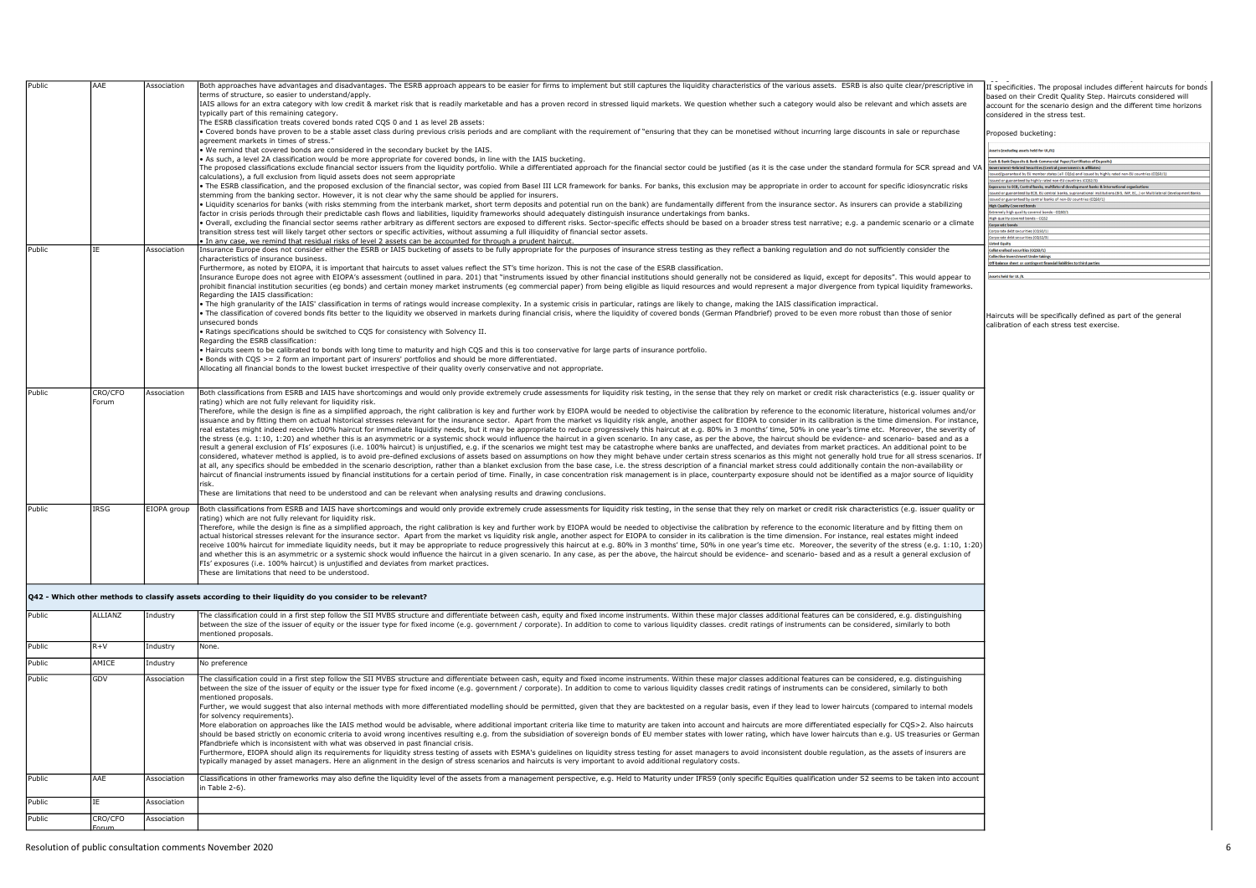| Public | AAE         | Association | Both approaches have advantages and disadvantages. The ESRB approach appears to be easier for firms to implement but still captures the liquidity characteristics of the various assets. ESRB is also quite clear/prescriptive                                                                                                                                                                                                                                   | II specificities. The proposal includes different haircuts for bonds                                                                                              |
|--------|-------------|-------------|------------------------------------------------------------------------------------------------------------------------------------------------------------------------------------------------------------------------------------------------------------------------------------------------------------------------------------------------------------------------------------------------------------------------------------------------------------------|-------------------------------------------------------------------------------------------------------------------------------------------------------------------|
|        |             |             | erms of structure, so easier to understand/apply.<br>IAIS allows for an extra category with low credit & market risk that is readily marketable and has a proven record in stressed liquid markets. We question whether such a category would also be relevant and which assets are                                                                                                                                                                              | based on their Credit Quality Step. Haircuts considered will<br>account for the scenario design and the different time horizons                                   |
|        |             |             | typically part of this remaining category.                                                                                                                                                                                                                                                                                                                                                                                                                       | considered in the stress test.                                                                                                                                    |
|        |             |             | The ESRB classification treats covered bonds rated CQS 0 and 1 as level 2B assets:<br>Covered bonds have proven to be a stable asset class during previous crisis periods and are compliant with the requirement of "ensuring that they can be monetised without incurring large discounts in sale or repurchase<br>agreement markets in times of stress."                                                                                                       | Proposed bucketing:                                                                                                                                               |
|        |             |             | We remind that covered bonds are considered in the secondary bucket by the IAIS.                                                                                                                                                                                                                                                                                                                                                                                 | ssets (excluding assets held for UL/IL)                                                                                                                           |
|        |             |             | As such, a level 2A classification would be more appropriate for covered bonds, in line with the IAIS bucketing.                                                                                                                                                                                                                                                                                                                                                 | Cash & Bank Deposits & Bank Commercial Paper/Certificates of Deposits)<br>Securities (Central governments & affili                                                |
|        |             |             | The proposed classifications exclude financial sector issuers from the liquidity portfolio. While a differentiated approach for the financial sector could be justified (as it is the case under the standard formula for SCR<br>calculations), a full exclusion from liquid assets does not seem appropriate                                                                                                                                                    | ued/guaranteed by EU member states (all CQSs) and issued by highly rated non-EU countries (CO                                                                     |
|        |             |             | . The ESRB classification, and the proposed exclusion of the financial sector, was copied from Basel III LCR framework for banks. For banks, this exclusion may be appropriate in order to account for specific idiosyncratic                                                                                                                                                                                                                                    | ed or guaranteed by highly rated non-EU countries (CC<br>posures to ECB, Central banks, multilateral development banks & international organ                      |
|        |             |             | stemming from the banking sector. However, it is not clear why the same should be applied for insurers.                                                                                                                                                                                                                                                                                                                                                          | ed or guaranteed by ECB, EU central banks, supranational institutions (BIS, IMF, EC,) or Multil<br>ued or guaranteed by central banks of non-EU countries (CQSO/1 |
|        |             |             | Liquidity scenarios for banks (with risks stemming from the interbank market, short term deposits and potential run on the bank) are fundamentally different from the insurance sector. As insurers can provide a stabilizing                                                                                                                                                                                                                                    |                                                                                                                                                                   |
|        |             |             | factor in crisis periods through their predictable cash flows and liabilities, liquidity frameworks should adequately distinguish insurance undertakings from banks.                                                                                                                                                                                                                                                                                             | dremely high quality covered bonds - CQSO/<br>High quality covered bonds - CQS2                                                                                   |
|        |             |             | · Overall, excluding the financial sector seems rather arbitrary as different sectors are exposed to different risks. Sector-specific effects should be based on a broader stress test narrative; e.g. a pandemic scenario or                                                                                                                                                                                                                                    | <b>Corporate bonds</b><br>rporate debt securities (CQSO/1)                                                                                                        |
|        |             |             | transition stress test will likely target other sectors or specific activities, without assuming a full illiquidity of financial sector assets.<br>In any case, we remind that residual risks of level 2 assets can be accounted for through a prudent haircut.                                                                                                                                                                                                  | rporate debt securities (CQS2/3)                                                                                                                                  |
| Public | IE          | Association | insurance Europe does not consider either the ESRB or IAIS bucketing of assets to be fully appropriate for the purposes of insurance stress testing as they reflect a banking regulation and do not sufficiently consider the                                                                                                                                                                                                                                    | ollateralised securities (CQSO/1)                                                                                                                                 |
|        |             |             | characteristics of insurance business.                                                                                                                                                                                                                                                                                                                                                                                                                           | Off-balance sheet or contingent financial liabilities to third parti                                                                                              |
|        |             |             | Furthermore, as noted by EIOPA, it is important that haircuts to asset values reflect the ST's time horizon. This is not the case of the ESRB classification.                                                                                                                                                                                                                                                                                                    |                                                                                                                                                                   |
|        |             |             | Insurance Europe does not agree with EIOPA's assessment (outlined in para. 201) that "instruments issued by other financial institutions should generally not be considered as liquid, except for deposits". This would appear                                                                                                                                                                                                                                   | Assets held for UL/R                                                                                                                                              |
|        |             |             | prohibit financial institution securities (eg bonds) and certain money market instruments (eg commercial paper) from being eligible as liquid resources and would represent a major divergence from typical liquidity framewor<br>Regarding the TATS classification:                                                                                                                                                                                             |                                                                                                                                                                   |
|        |             |             | The high granularity of the IAIS' classification in terms of ratings would increase complexity. In a systemic crisis in particular, ratings are likely to change, making the IAIS classification impractical.                                                                                                                                                                                                                                                    |                                                                                                                                                                   |
|        |             |             | . The classification of covered bonds fits better to the liquidity we observed in markets during financial crisis, where the liquidity of covered bonds (German Pfandbrief) proved to be even more robust than those of senior                                                                                                                                                                                                                                   | Haircuts will be specifically defined as part of the general                                                                                                      |
|        |             |             | unsecured bonds                                                                                                                                                                                                                                                                                                                                                                                                                                                  | calibration of each stress test exercise.                                                                                                                         |
|        |             |             | Ratings specifications should be switched to CQS for consistency with Solvency II.                                                                                                                                                                                                                                                                                                                                                                               |                                                                                                                                                                   |
|        |             |             | Regarding the ESRB classification:                                                                                                                                                                                                                                                                                                                                                                                                                               |                                                                                                                                                                   |
|        |             |             | Haircuts seem to be calibrated to bonds with long time to maturity and high CQS and this is too conservative for large parts of insurance portfolio.                                                                                                                                                                                                                                                                                                             |                                                                                                                                                                   |
|        |             |             | Bonds with COS >= 2 form an important part of insurers' portfolios and should be more differentiated.                                                                                                                                                                                                                                                                                                                                                            |                                                                                                                                                                   |
|        |             |             | Allocating all financial bonds to the lowest bucket irrespective of their quality overly conservative and not appropriate.                                                                                                                                                                                                                                                                                                                                       |                                                                                                                                                                   |
|        |             |             |                                                                                                                                                                                                                                                                                                                                                                                                                                                                  |                                                                                                                                                                   |
| Public | CRO/CFO     | Association | Both classifications from ESRB and IAIS have shortcomings and would only provide extremely crude assessments for liquidity risk testing, in the sense that they rely on market or credit risk characteristics (e.g. issuer qua                                                                                                                                                                                                                                   |                                                                                                                                                                   |
|        | Forum       |             | ating) which are not fully relevant for liquidity risk.                                                                                                                                                                                                                                                                                                                                                                                                          |                                                                                                                                                                   |
|        |             |             | Therefore, while the design is fine as a simplified approach, the right calibration is key and further work by EIOPA would be needed to objectivise the calibration by reference to the economic literature, historical volume                                                                                                                                                                                                                                   |                                                                                                                                                                   |
|        |             |             | issuance and by fitting them on actual historical stresses relevant for the insurance sector. Apart from the market vs liquidity risk angle, another aspect for EIOPA to consider in its calibration is the time dimension. Fo                                                                                                                                                                                                                                   |                                                                                                                                                                   |
|        |             |             | real estates might indeed receive 100% haircut for immediate liquidity needs, but it may be appropriate to reduce progressively this haircut at e.g. 80% in 3 months' time, 50% in one year's time etc. Moreover, the severity<br>the stress (e.g. 1:10, 1:20) and whether this is an asymmetric or a systemic shock would influence the haircut in a given scenario. In any case, as per the above, the haircut should be evidence- and scenario- based and as  |                                                                                                                                                                   |
|        |             |             | result a general exclusion of FIs' exposures (i.e. 100% haircut) is unjustified, e.g. if the scenarios we might test may be catastrophe where banks are unaffected, and deviates from market practices. An additional point to                                                                                                                                                                                                                                   |                                                                                                                                                                   |
|        |             |             | considered, whatever method is applied, is to avoid pre-defined exclusions of assets based on assumptions on how they might behave under certain stress scenarios as this might not generally hold true for all stress scenari                                                                                                                                                                                                                                   |                                                                                                                                                                   |
|        |             |             | at all, any specifics should be embedded in the scenario description, rather than a blanket exclusion from the base case, i.e. the stress description of a financial market stress could additionally contain the non-availabi                                                                                                                                                                                                                                   |                                                                                                                                                                   |
|        |             |             | haircut of financial instruments issued by financial institutions for a certain period of time. Finally, in case concentration risk management is in place, counterparty exposure should not be identified as a major source o                                                                                                                                                                                                                                   |                                                                                                                                                                   |
|        |             |             | risk.                                                                                                                                                                                                                                                                                                                                                                                                                                                            |                                                                                                                                                                   |
|        |             |             | These are limitations that need to be understood and can be relevant when analysing results and drawing conclusions.                                                                                                                                                                                                                                                                                                                                             |                                                                                                                                                                   |
| Public | <b>IRSG</b> | EIOPA group | Both classifications from ESRB and IAIS have shortcomings and would only provide extremely crude assessments for liquidity risk testing, in the sense that they rely on market or credit risk characteristics (e.g. issuer qua                                                                                                                                                                                                                                   |                                                                                                                                                                   |
|        |             |             | ating) which are not fully relevant for liquidity risk.                                                                                                                                                                                                                                                                                                                                                                                                          |                                                                                                                                                                   |
|        |             |             | Therefore, while the design is fine as a simplified approach, the right calibration is key and further work by EIOPA would be needed to objectivise the calibration by reference to the economic literature and by fitting the                                                                                                                                                                                                                                   |                                                                                                                                                                   |
|        |             |             | actual historical stresses relevant for the insurance sector. Apart from the market vs liquidity risk angle, another aspect for EIOPA to consider in its calibration is the time dimension. For instance, real estates might i                                                                                                                                                                                                                                   |                                                                                                                                                                   |
|        |             |             | receive 100% haircut for immediate liquidity needs, but it may be appropriate to reduce progressively this haircut at e.g. 80% in 3 months' time, 50% in one year's time etc. Moreover, the severity of the stress (e.g. 1:10,<br>and whether this is an asymmetric or a systemic shock would influence the haircut in a given scenario. In any case, as per the above, the haircut should be evidence- and scenario- based and as a result a general exclusion  |                                                                                                                                                                   |
|        |             |             | FIs' exposures (i.e. 100% haircut) is unjustified and deviates from market practices.                                                                                                                                                                                                                                                                                                                                                                            |                                                                                                                                                                   |
|        |             |             | These are limitations that need to be understood.                                                                                                                                                                                                                                                                                                                                                                                                                |                                                                                                                                                                   |
|        |             |             |                                                                                                                                                                                                                                                                                                                                                                                                                                                                  |                                                                                                                                                                   |
|        |             |             | Q42 - Which other methods to classify assets according to their liquidity do you consider to be relevant?                                                                                                                                                                                                                                                                                                                                                        |                                                                                                                                                                   |
| Public | ALLIANZ     | Industry    | The classification could in a first step follow the SII MVBS structure and differentiate between cash, equity and fixed income instruments. Within these major classes additional features can be considered, e.g. distinguish                                                                                                                                                                                                                                   |                                                                                                                                                                   |
|        |             |             | between the size of the issuer of equity or the issuer type for fixed income (e.g. government / corporate). In addition to come to various liquidity classes. credit ratings of instruments can be considered, similarly to bo                                                                                                                                                                                                                                   |                                                                                                                                                                   |
|        |             |             | mentioned proposals.                                                                                                                                                                                                                                                                                                                                                                                                                                             |                                                                                                                                                                   |
| Public | $R+V$       | Industry    | None.                                                                                                                                                                                                                                                                                                                                                                                                                                                            |                                                                                                                                                                   |
| Public | AMICE       | Industry    | No preference                                                                                                                                                                                                                                                                                                                                                                                                                                                    |                                                                                                                                                                   |
| Public | GDV         |             |                                                                                                                                                                                                                                                                                                                                                                                                                                                                  |                                                                                                                                                                   |
|        |             | Association | The classification could in a first step follow the SII MVBS structure and differentiate between cash, equity and fixed income instruments. Within these major classes additional features can be considered, e.g. distinguish<br>between the size of the issuer of equity or the issuer type for fixed income (e.g. government / corporate). In addition to come to various liquidity classes credit ratings of instruments can be considered, similarly to bot |                                                                                                                                                                   |
|        |             |             | mentioned proposals.                                                                                                                                                                                                                                                                                                                                                                                                                                             |                                                                                                                                                                   |
|        |             |             | Further, we would suggest that also internal methods with more differentiated modelling should be permitted, given that they are backtested on a regular basis, even if they lead to lower haircuts (compared to internal mode                                                                                                                                                                                                                                   |                                                                                                                                                                   |
|        |             |             | for solvency requirements).                                                                                                                                                                                                                                                                                                                                                                                                                                      |                                                                                                                                                                   |
|        |             |             | More elaboration on approaches like the IAIS method would be advisable, where additional important criteria like time to maturity are taken into account and haircuts are more differentiated especially for CQS>2. Also hairc                                                                                                                                                                                                                                   |                                                                                                                                                                   |
|        |             |             | should be based strictly on economic criteria to avoid wrong incentives resulting e.g. from the subsidiation of sovereign bonds of EU member states with lower rating, which have lower haircuts than e.g. US treasuries or Ge                                                                                                                                                                                                                                   |                                                                                                                                                                   |
|        |             |             | Pfandbriefe which is inconsistent with what was observed in past financial crisis.                                                                                                                                                                                                                                                                                                                                                                               |                                                                                                                                                                   |
|        |             |             | Furthermore, EIOPA should align its requirements for liquidity stress testing of assets with ESMA's quidelines on liquidity stress testing for asset managers to avoid inconsistent double requlation, as the assets of insure<br>ypically managed by asset managers. Here an alignment in the design of stress scenarios and haircuts is very important to avoid additional regulatory costs.                                                                   |                                                                                                                                                                   |
|        |             |             |                                                                                                                                                                                                                                                                                                                                                                                                                                                                  |                                                                                                                                                                   |
| Public | AAE         | Association | Classifications in other frameworks may also define the liquidity level of the assets from a management perspective, e.g. Held to Maturity under IFRS9 (only specific Equities qualification under S2 seems to be taken into a                                                                                                                                                                                                                                   |                                                                                                                                                                   |
|        |             |             | n Table 2-6).                                                                                                                                                                                                                                                                                                                                                                                                                                                    |                                                                                                                                                                   |
| Public | IΕ          | Association |                                                                                                                                                                                                                                                                                                                                                                                                                                                                  |                                                                                                                                                                   |
| Public | CRO/CFO     | Association |                                                                                                                                                                                                                                                                                                                                                                                                                                                                  |                                                                                                                                                                   |
|        |             |             |                                                                                                                                                                                                                                                                                                                                                                                                                                                                  |                                                                                                                                                                   |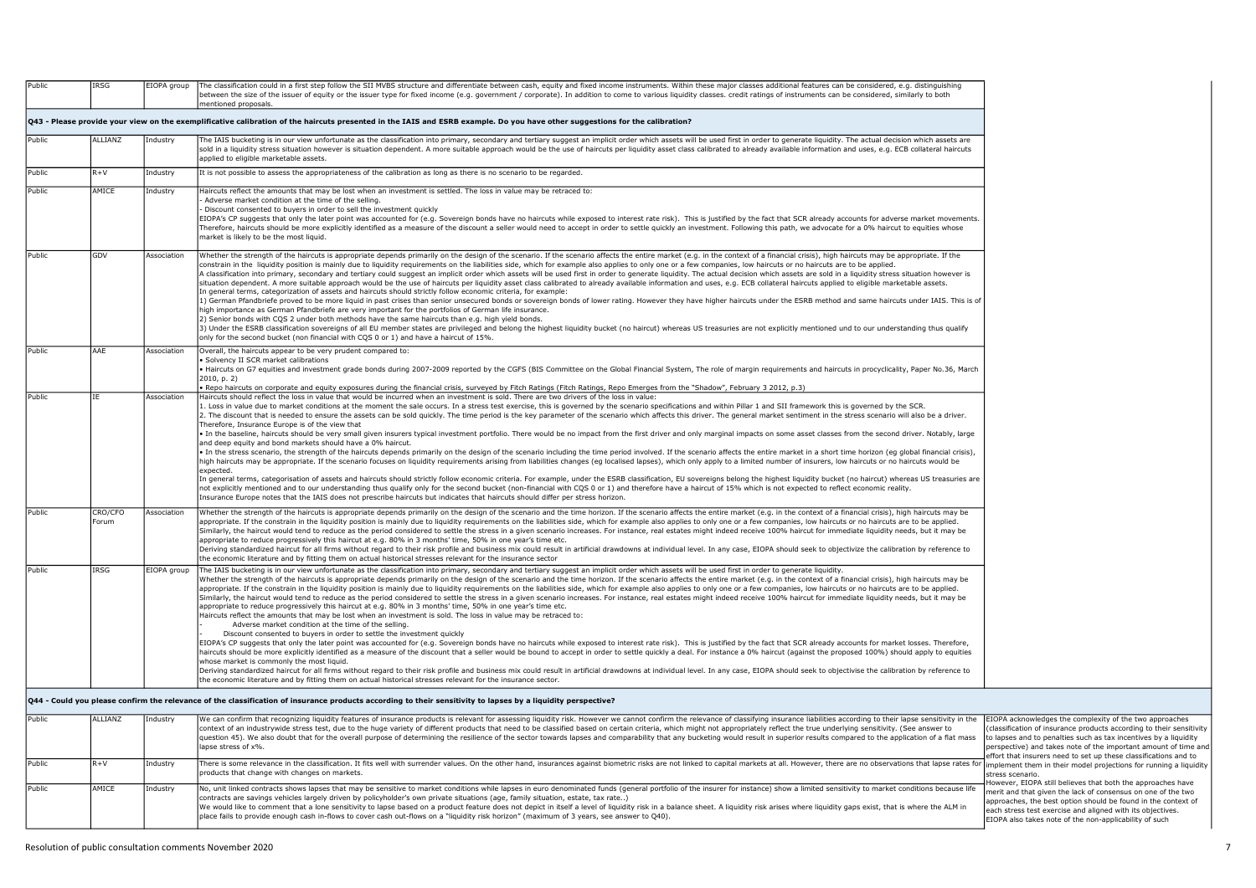| Public | IRSG             | EIOPA group | The classification could in a first step follow the SII MVBS structure and differentiate between cash, equity and fixed income instruments. Within these major classes additional features can be considered, e.g. distinguish<br>between the size of the issuer of equity or the issuer type for fixed income (e.g. government / corporate). In addition to come to various liquidity classes. credit ratings of instruments can be considered, similarly to bo                                                                                                                                                                                                                                                                                                                                                                                                                                                                                                                                                                                                                                                                                                                                                                                                                                                                                                                                                                                                                                                                                                                                                                                                                                                                                                                                                                                                                                                                                                                                                                                                                                                                               |                                                                                                                                                                                                                                                                                                                                            |
|--------|------------------|-------------|------------------------------------------------------------------------------------------------------------------------------------------------------------------------------------------------------------------------------------------------------------------------------------------------------------------------------------------------------------------------------------------------------------------------------------------------------------------------------------------------------------------------------------------------------------------------------------------------------------------------------------------------------------------------------------------------------------------------------------------------------------------------------------------------------------------------------------------------------------------------------------------------------------------------------------------------------------------------------------------------------------------------------------------------------------------------------------------------------------------------------------------------------------------------------------------------------------------------------------------------------------------------------------------------------------------------------------------------------------------------------------------------------------------------------------------------------------------------------------------------------------------------------------------------------------------------------------------------------------------------------------------------------------------------------------------------------------------------------------------------------------------------------------------------------------------------------------------------------------------------------------------------------------------------------------------------------------------------------------------------------------------------------------------------------------------------------------------------------------------------------------------------|--------------------------------------------------------------------------------------------------------------------------------------------------------------------------------------------------------------------------------------------------------------------------------------------------------------------------------------------|
|        |                  |             | mentioned proposals.<br>Q43 - Please provide your view on the exemplificative calibration of the haircuts presented in the IAIS and ESRB example. Do you have other suggestions for the calibration?                                                                                                                                                                                                                                                                                                                                                                                                                                                                                                                                                                                                                                                                                                                                                                                                                                                                                                                                                                                                                                                                                                                                                                                                                                                                                                                                                                                                                                                                                                                                                                                                                                                                                                                                                                                                                                                                                                                                           |                                                                                                                                                                                                                                                                                                                                            |
|        |                  |             |                                                                                                                                                                                                                                                                                                                                                                                                                                                                                                                                                                                                                                                                                                                                                                                                                                                                                                                                                                                                                                                                                                                                                                                                                                                                                                                                                                                                                                                                                                                                                                                                                                                                                                                                                                                                                                                                                                                                                                                                                                                                                                                                                |                                                                                                                                                                                                                                                                                                                                            |
| Public | ALLIANZ          | Industry    | The IAIS bucketing is in our view unfortunate as the classification into primary, secondary and tertiary suggest an implicit order which assets will be used first in order to generate liquidity. The actual decision which a<br>sold in a liquidity stress situation however is situation dependent. A more suitable approach would be the use of haircuts per liquidity asset class calibrated to already available information and uses, e.g. ECB collateral<br>applied to eligible marketable assets.                                                                                                                                                                                                                                                                                                                                                                                                                                                                                                                                                                                                                                                                                                                                                                                                                                                                                                                                                                                                                                                                                                                                                                                                                                                                                                                                                                                                                                                                                                                                                                                                                                     |                                                                                                                                                                                                                                                                                                                                            |
| Public | $R+V$            | Industry    | It is not possible to assess the appropriateness of the calibration as long as there is no scenario to be regarded.                                                                                                                                                                                                                                                                                                                                                                                                                                                                                                                                                                                                                                                                                                                                                                                                                                                                                                                                                                                                                                                                                                                                                                                                                                                                                                                                                                                                                                                                                                                                                                                                                                                                                                                                                                                                                                                                                                                                                                                                                            |                                                                                                                                                                                                                                                                                                                                            |
| Public | AMICE            | Industry    | Haircuts reflect the amounts that may be lost when an investment is settled. The loss in value may be retraced to:<br>Adverse market condition at the time of the selling.<br>Discount consented to buyers in order to sell the investment quickly<br>EIOPA's CP suggests that only the later point was accounted for (e.g. Sovereign bonds have no haircuts while exposed to interest rate risk). This is justified by the fact that SCR already accounts for adverse market moveme<br>Therefore, haircuts should be more explicitly identified as a measure of the discount a seller would need to accept in order to settle quickly an investment. Following this path, we advocate for a 0% haircut to equities wh<br>market is likely to be the most liquid.                                                                                                                                                                                                                                                                                                                                                                                                                                                                                                                                                                                                                                                                                                                                                                                                                                                                                                                                                                                                                                                                                                                                                                                                                                                                                                                                                                              |                                                                                                                                                                                                                                                                                                                                            |
| Public | GDV              | Association | Whether the strength of the haircuts is appropriate depends primarily on the design of the scenario. If the scenario affects the entire market (e.g. in the context of a financial crisis), high haircuts may be appropriate.<br>constrain in the liquidity position is mainly due to liquidity requirements on the liabilities side, which for example also applies to only one or a few companies, low haircuts or no haircuts are to be applied.<br>A classification into primary, secondary and tertiary could suggest an implicit order which assets will be used first in order to generate liquidity. The actual decision which assets are sold in a liquidity stress situatio<br>situation dependent. A more suitable approach would be the use of haircuts per liquidity asset class calibrated to already available information and uses, e.g. ECB collateral haircuts applied to eligible marketable assets.<br>In general terms, categorization of assets and haircuts should strictly follow economic criteria, for example:<br>1) German Pfandbriefe proved to be more liquid in past crises than senior unsecured bonds or sovereign bonds of lower rating. However they have higher haircuts under the ESRB method and same haircuts under IAIS. This is of<br>high importance as German Pfandbriefe are very important for the portfolios of German life insurance.<br>2) Senior bonds with CQS 2 under both methods have the same haircuts than e.g. high yield bonds.<br>3) Under the ESRB classification sovereigns of all EU member states are privileged and belong the highest liquidity bucket (no haircut) whereas US treasuries are not explicitly mentioned und to our understanding thus quali<br>only for the second bucket (non financial with CQS 0 or 1) and have a haircut of 15%.                                                                                                                                                                                                                                                                                                                            |                                                                                                                                                                                                                                                                                                                                            |
| Public | AAE              | Association | Overall, the haircuts appear to be very prudent compared to:<br>Solvency II SCR market calibrations<br>Haircuts on G7 equities and investment grade bonds during 2007-2009 reported by the CGFS (BIS Committee on the Global Financial System, The role of margin requirements and haircuts in procyclicality, Paper No.36, March<br>2010, p. 2)<br>Repo haircuts on corporate and equity exposures during the financial crisis, surveyed by Fitch Ratings (Fitch Ratings, Repo Emerges from the "Shadow", February 3 2012, p.3)                                                                                                                                                                                                                                                                                                                                                                                                                                                                                                                                                                                                                                                                                                                                                                                                                                                                                                                                                                                                                                                                                                                                                                                                                                                                                                                                                                                                                                                                                                                                                                                                               |                                                                                                                                                                                                                                                                                                                                            |
| Public |                  | Association | Haircuts should reflect the loss in value that would be incurred when an investment is sold. There are two drivers of the loss in value:<br>1. Loss in value due to market conditions at the moment the sale occurs. In a stress test exercise, this is governed by the scenario specifications and within Pillar 1 and SII framework this is governed by the SCR.<br>2. The discount that is needed to ensure the assets can be sold quickly. The time period is the key parameter of the scenario which affects this driver. The general market sentiment in the stress scenario will also be a dr<br>Therefore, Insurance Europe is of the view that<br>In the baseline, haircuts should be very small given insurers typical investment portfolio. There would be no impact from the first driver and only marginal impacts on some asset classes from the second driver. Notably, la<br>and deep equity and bond markets should have a 0% haircut.<br>. In the stress scenario, the strength of the haircuts depends primarily on the design of the scenario including the time period involved. If the scenario affects the entire market in a short time horizon (eg global financ<br>high haircuts may be appropriate. If the scenario focuses on liquidity requirements arising from liabilities changes (eg localised lapses), which only apply to a limited number of insurers, low haircuts or no haircuts woul<br>expected.<br>In general terms, categorisation of assets and haircuts should strictly follow economic criteria. For example, under the ESRB classification, EU sovereigns belong the highest liquidity bucket (no haircut) whereas US treasu<br>not explicitly mentioned and to our understanding thus qualify only for the second bucket (non-financial with COS 0 or 1) and therefore have a haircut of 15% which is not expected to reflect economic reality.<br>nsurance Europe notes that the IAIS does not prescribe haircuts but indicates that haircuts should differ per stress horizon.                                                                                                                |                                                                                                                                                                                                                                                                                                                                            |
| Public | CRO/CFO<br>Forum | Association | Whether the strength of the haircuts is appropriate depends primarily on the design of the scenario and the time horizon. If the scenario affects the entire market (e.g. in the context of a financial crisis), high haircuts<br>appropriate. If the constrain in the liquidity position is mainly due to liquidity requirements on the liabilities side, which for example also applies to only one or a few companies, low haircuts or no haircuts are to be<br>Similarly, the haircut would tend to reduce as the period considered to settle the stress in a given scenario increases. For instance, real estates might indeed receive 100% haircut for immediate liquidity needs, but it ma<br>appropriate to reduce progressively this haircut at e.g. 80% in 3 months' time, 50% in one year's time etc.<br>Deriving standardized haircut for all firms without regard to their risk profile and business mix could result in artificial drawdowns at individual level. In any case, EIOPA should seek to objectivize the calibration by r<br>he economic literature and by fitting them on actual historical stresses relevant for the insurance sector                                                                                                                                                                                                                                                                                                                                                                                                                                                                                                                                                                                                                                                                                                                                                                                                                                                                                                                                                                               |                                                                                                                                                                                                                                                                                                                                            |
| Public | IRSG             | EIOPA group | The IAIS bucketing is in our view unfortunate as the classification into primary, secondary and tertiary suggest an implicit order which assets will be used first in order to generate liquidity.<br>Whether the strength of the haircuts is appropriate depends primarily on the design of the scenario and the time horizon. If the scenario affects the entire market (e.g. in the context of a financial crisis), high haircuts<br>appropriate. If the constrain in the liquidity position is mainly due to liquidity requirements on the liabilities side, which for example also applies to only one or a few companies, low haircuts or no haircuts are to be<br>Similarly, the haircut would tend to reduce as the period considered to settle the stress in a given scenario increases. For instance, real estates might indeed receive 100% haircut for immediate liquidity needs, but it ma<br>appropriate to reduce progressively this haircut at e.g. 80% in 3 months' time, 50% in one year's time etc.<br>Haircuts reflect the amounts that may be lost when an investment is sold. The loss in value may be retraced to:<br>Adverse market condition at the time of the selling.<br>Discount consented to buvers in order to settle the investment quickly<br>EIOPA's CP suggests that only the later point was accounted for (e.g. Sovereign bonds have no haircuts while exposed to interest rate risk). This is justified by the fact that SCR already accounts for market losses. Theref<br>haircuts should be more explicitly identified as a measure of the discount that a seller would be bound to accept in order to settle quickly a deal. For instance a 0% haircut (against the proposed 100%) should apply to equ<br>whose market is commonly the most liquid.<br>Deriving standardized haircut for all firms without regard to their risk profile and business mix could result in artificial drawdowns at individual level. In any case, EIOPA should seek to objectivise the calibration by r<br>the economic literature and by fitting them on actual historical stresses relevant for the insurance sector. |                                                                                                                                                                                                                                                                                                                                            |
|        |                  |             | Q44 - Could you please confirm the relevance of the classification of insurance products according to their sensitivity to lapses by a liquidity perspective?                                                                                                                                                                                                                                                                                                                                                                                                                                                                                                                                                                                                                                                                                                                                                                                                                                                                                                                                                                                                                                                                                                                                                                                                                                                                                                                                                                                                                                                                                                                                                                                                                                                                                                                                                                                                                                                                                                                                                                                  |                                                                                                                                                                                                                                                                                                                                            |
| Public | ALLIANZ          | Industry    | We can confirm that recognizing liquidity features of insurance products is relevant for assessing liquidity risk. However we cannot confirm the relevance of classifying insurance liabilities according to their lapse sensi<br>context of an industrywide stress test, due to the huge variety of different products that need to be classified based on certain criteria, which might not appropriately reflect the true underlying sensitivity. (See answer<br>question 45). We also doubt that for the overall purpose of determining the resilience of the sector towards lapses and comparability that any bucketing would result in superior results compared to the application of a fla<br>lapse stress of x%.                                                                                                                                                                                                                                                                                                                                                                                                                                                                                                                                                                                                                                                                                                                                                                                                                                                                                                                                                                                                                                                                                                                                                                                                                                                                                                                                                                                                                      | EIOPA acknowledges the complexity of the two approaches<br>(classification of insurance products according to their sensitivity<br>to lapses and to penalties such as tax incentives by a liquidity<br>perspective) and takes note of the important amount of time and<br>effort that insurers need to set un these classifications and to |
| Public | $R + V$          | Industry    | There is some relevance in the classification. It fits well with surrender values. On the other hand, insurances against biometric risks are not linked to capital markets at all. However, there are no observations that lap<br>products that change with changes on markets.                                                                                                                                                                                                                                                                                                                                                                                                                                                                                                                                                                                                                                                                                                                                                                                                                                                                                                                                                                                                                                                                                                                                                                                                                                                                                                                                                                                                                                                                                                                                                                                                                                                                                                                                                                                                                                                                | implement them in their model projections for running a liquidity<br>stress scenario.                                                                                                                                                                                                                                                      |
| Public | AMICE            | Industry    | No, unit linked contracts shows lapses that may be sensitive to market conditions while lapses in euro denominated funds (general portfolio of the insurer for instance) show a limited sensitivity to market conditions becau<br>(ontracts are savings vehicles largely driven by policyholder's own private situations (age, family situation, estate, tax rate)<br>We would like to comment that a lone sensitivity to lapse based on a product feature does not depict in itself a level of liquidity risk in a balance sheet. A liquidity risk arises where liquidity gaps exist, that is where<br>place fails to provide enough cash in-flows to cover cash out-flows on a "liquidity risk horizon" (maximum of 3 years, see answer to Q40).                                                                                                                                                                                                                                                                                                                                                                                                                                                                                                                                                                                                                                                                                                                                                                                                                                                                                                                                                                                                                                                                                                                                                                                                                                                                                                                                                                                             | lowever, EIOPA still believes that both the approaches have<br>nerit and that given the lack of consensus on one of the two<br>approaches, the best option should be found in the context of<br>each stress test exercise and aligned with its objectives.<br>EIOPA also takes note of the non-applicability of such                       |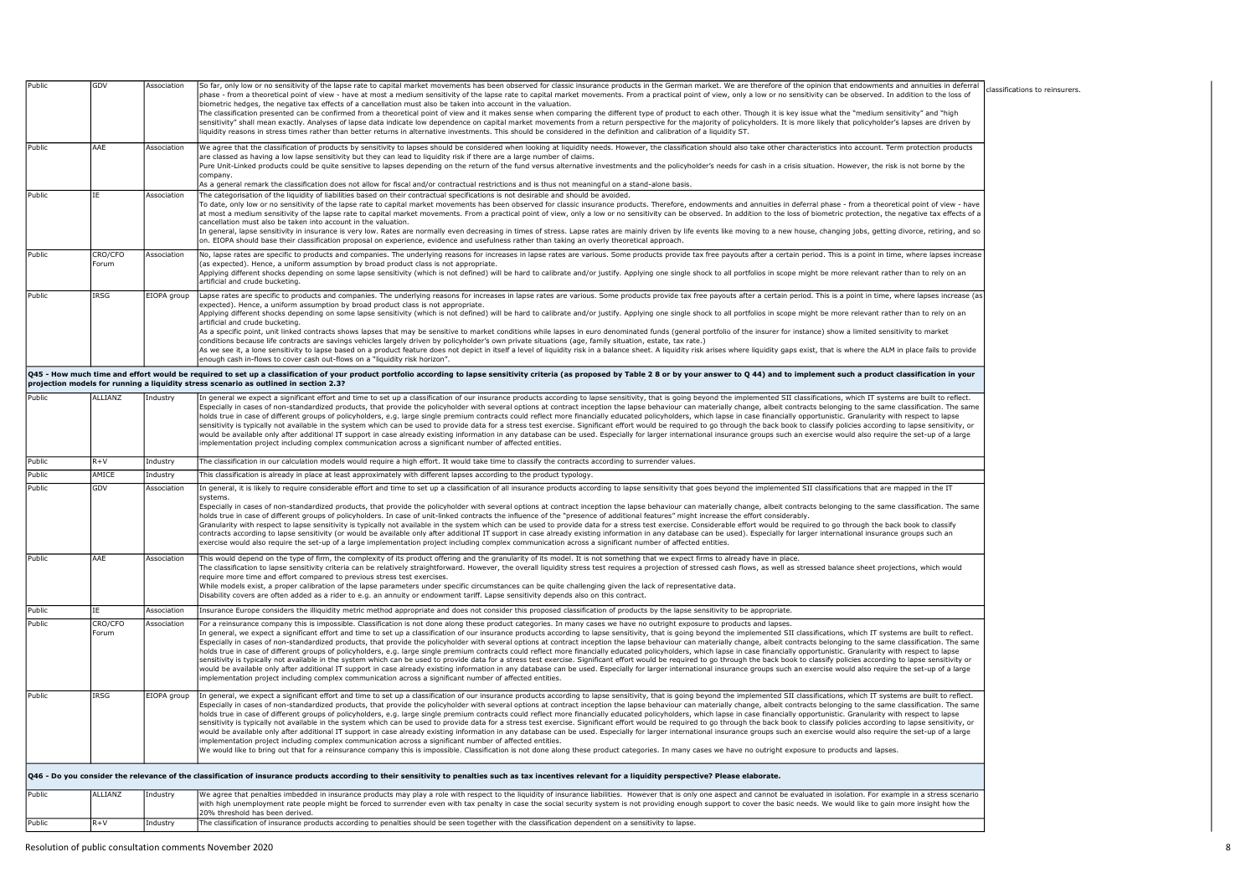|                                                          | GDV              | Association | So far, only low or no sensitivity of the lapse rate to capital market movements has been observed for classic insurance products in the German market. We are therefore of the opinion that endowments and annuities in defer<br>phase - from a theoretical point of view - have at most a medium sensitivity of the lapse rate to capital market movements. From a practical point of view, only a low or no sensitivity can be observed. In addition to the l<br>biometric hedges, the negative tax effects of a cancellation must also be taken into account in the valuation.<br>The classification presented can be confirmed from a theoretical point of view and it makes sense when comparing the different type of product to each other. Though it is key issue what the "medium sensitivity" and "high<br>sensitivity" shall mean exactly. Analyses of lapse data indicate low dependence on capital market movements from a return perspective for the majority of policyholders. It is more likely that policyholder's lapses are driv<br>iquidity reasons in stress times rather than better returns in alternative investments. This should be considered in the definition and calibration of a liquidity ST.                                                                                                                                                                                                                                                                  |
|----------------------------------------------------------|------------------|-------------|-------------------------------------------------------------------------------------------------------------------------------------------------------------------------------------------------------------------------------------------------------------------------------------------------------------------------------------------------------------------------------------------------------------------------------------------------------------------------------------------------------------------------------------------------------------------------------------------------------------------------------------------------------------------------------------------------------------------------------------------------------------------------------------------------------------------------------------------------------------------------------------------------------------------------------------------------------------------------------------------------------------------------------------------------------------------------------------------------------------------------------------------------------------------------------------------------------------------------------------------------------------------------------------------------------------------------------------------------------------------------------------------------------------------------------------------------------------------------------------------------|
| Public                                                   | AAE              | Association | We agree that the classification of products by sensitivity to lapses should be considered when looking at liquidity needs. However, the classification should also take other characteristics into account. Term protection p<br>are classed as having a low lapse sensitivity but they can lead to liquidity risk if there are a large number of claims.<br>Pure Unit-Linked products could be quite sensitive to lapses depending on the return of the fund versus alternative investments and the policyholder's needs for cash in a crisis situation. However, the risk is not borne by<br>company<br>As a general remark the classification does not allow for fiscal and/or contractual restrictions and is thus not meaningful on a stand-alone basis.                                                                                                                                                                                                                                                                                                                                                                                                                                                                                                                                                                                                                                                                                                                                  |
| Public                                                   | <b>TF</b>        | Association | The categorisation of the liquidity of liabilities based on their contractual specifications is not desirable and should be avoided.<br>To date, only low or no sensitivity of the lapse rate to capital market movements has been observed for classic insurance products. Therefore, endowments and annuities in deferral phase - from a theoretical point of view -<br>at most a medium sensitivity of the lapse rate to capital market movements. From a practical point of view, only a low or no sensitivity can be observed. In addition to the loss of biometric protection, the negative tax ef<br>cancellation must also be taken into account in the valuation.<br>in general, lapse sensitivity in insurance is very low. Rates are normally even decreasing in times of stress. Lapse rates are mainly driven by life events like moving to a new house, changing jobs, getting divorce, retiri<br>on. EIOPA should base their classification proposal on experience, evidence and usefulness rather than taking an overly theoretical approach.                                                                                                                                                                                                                                                                                                                                                                                                                                   |
| Public                                                   | CRO/CFO<br>Forum | Association | No, lapse rates are specific to products and companies. The underlying reasons for increases in lapse rates are various. Some products provide tax free payouts after a certain period. This is a point in time, where lapses<br>(as expected). Hence, a uniform assumption by broad product class is not appropriate.<br>Applying different shocks depending on some lapse sensitivity (which is not defined) will be hard to calibrate and/or justify. Applying one single shock to all portfolios in scope might be more relevant rather than to rely<br>artificial and crude bucketing.                                                                                                                                                                                                                                                                                                                                                                                                                                                                                                                                                                                                                                                                                                                                                                                                                                                                                                     |
| Public                                                   | <b>IRSG</b>      | EIOPA group | Lapse rates are specific to products and companies. The underlying reasons for increases in lapse rates are various. Some products provide tax free payouts after a certain period. This is a point in time, where lapses incr<br>expected). Hence, a uniform assumption by broad product class is not appropriate.<br>Applying different shocks depending on some lapse sensitivity (which is not defined) will be hard to calibrate and/or justify. Applying one single shock to all portfolios in scope might be more relevant rather than to rely<br>artificial and crude bucketing.<br>As a specific point, unit linked contracts shows lapses that may be sensitive to market conditions while lapses in euro denominated funds (general portfolio of the insurer for instance) show a limited sensitivity to market<br>conditions because life contracts are savings vehicles largely driven by policyholder's own private situations (age, family situation, estate, tax rate.)<br>As we see it, a lone sensitivity to lapse based on a product feature does not depict in itself a level of liquidity risk in a balance sheet. A liquidity risk arises where liquidity gaps exist, that is where the ALM in plac<br>enough cash in-flows to cover cash out-flows on a "liguidity risk horizon".                                                                                                                                                                                        |
|                                                          |                  |             | Q45 - How much time and effort would be required to set up a classification of your product portfolio according to lapse sensitivity criteria (as proposed by Table 28 or by your answer to Q 44) and to implement such a prod<br>projection models for running a liquidity stress scenario as outlined in section 2.3?                                                                                                                                                                                                                                                                                                                                                                                                                                                                                                                                                                                                                                                                                                                                                                                                                                                                                                                                                                                                                                                                                                                                                                         |
| Public                                                   | ALLTANZ          | Industry    | In general we expect a significant effort and time to set up a classification of our insurance products according to lapse sensitivity, that is going beyond the implemented SII classifications, which IT systems are built t<br>Especially in cases of non-standardized products, that provide the policyholder with several options at contract inception the lapse behaviour can materially change, albeit contracts belonging to the same classification. T<br>holds true in case of different groups of policyholders, e.g. large single premium contracts could reflect more financially educated policyholders, which lapse in case financially opportunistic. Granularity with respect to<br>sensitivity is typically not available in the system which can be used to provide data for a stress test exercise. Significant effort would be required to go through the back book to classify policies according to lapse se<br>would be available only after additional IT support in case already existing information in any database can be used. Especially for larger international insurance groups such an exercise would also require the set-up of a<br>mplementation project including complex communication across a significant number of affected entities.                                                                                                                                                                                                               |
| Public                                                   | $R + V$          | Industry    | The classification in our calculation models would require a high effort. It would take time to classify the contracts according to surrender values.                                                                                                                                                                                                                                                                                                                                                                                                                                                                                                                                                                                                                                                                                                                                                                                                                                                                                                                                                                                                                                                                                                                                                                                                                                                                                                                                           |
|                                                          |                  |             |                                                                                                                                                                                                                                                                                                                                                                                                                                                                                                                                                                                                                                                                                                                                                                                                                                                                                                                                                                                                                                                                                                                                                                                                                                                                                                                                                                                                                                                                                                 |
|                                                          | <b>AMICE</b>     | Industry    | This classification is already in place at least approximately with different lapses according to the product typology.                                                                                                                                                                                                                                                                                                                                                                                                                                                                                                                                                                                                                                                                                                                                                                                                                                                                                                                                                                                                                                                                                                                                                                                                                                                                                                                                                                         |
|                                                          | GDV              | Association | In general, it is likely to require considerable effort and time to set up a classification of all insurance products according to lapse sensitivity that goes beyond the implemented SII classifications that are mapped in t<br>svstems.<br>Especially in cases of non-standardized products, that provide the policyholder with several options at contract inception the lapse behaviour can materially change, albeit contracts belonging to the same classification. T<br>holds true in case of different groups of policyholders. In case of unit-linked contracts the influence of the "presence of additional features" might increase the effort considerably.<br>Granularity with respect to lapse sensitivity is typically not available in the system which can be used to provide data for a stress test exercise. Considerable effort would be required to go through the back book to clas<br>contracts according to lapse sensitivity (or would be available only after additional IT support in case already existing information in any database can be used). Especially for larger international insurance groups such<br>exercise would also require the set-up of a large implementation project including complex communication across a significant number of affected entities.                                                                                                                                                                                       |
|                                                          | AAE              | Association | This would depend on the type of firm, the complexity of its product offering and the granularity of its model. It is not something that we expect firms to already have in place.<br>The classification to lapse sensitivity criteria can be relatively straightforward. However, the overall liquidity stress test requires a projection of stressed cash flows, as well as stressed balance sheet projections, wh<br>require more time and effort compared to previous stress test exercises.<br>While models exist, a proper calibration of the lapse parameters under specific circumstances can be quite challenging given the lack of representative data.<br>Disability covers are often added as a rider to e.g. an annuity or endowment tariff. Lapse sensitivity depends also on this contract.                                                                                                                                                                                                                                                                                                                                                                                                                                                                                                                                                                                                                                                                                      |
|                                                          | TF.              | Association | Insurance Europe considers the illiquidity metric method appropriate and does not consider this proposed classification of products by the lapse sensitivity to be appropriate.                                                                                                                                                                                                                                                                                                                                                                                                                                                                                                                                                                                                                                                                                                                                                                                                                                                                                                                                                                                                                                                                                                                                                                                                                                                                                                                 |
|                                                          | CRO/CFO<br>Forum | Association | For a reinsurance company this is impossible. Classification is not done along these product categories. In many cases we have no outright exposure to products and lapses.<br>In general, we expect a significant effort and time to set up a classification of our insurance products according to lapse sensitivity, that is going beyond the implemented SII classifications, which IT systems are built<br>Especially in cases of non-standardized products, that provide the policyholder with several options at contract inception the lapse behaviour can materially change, albeit contracts belonging to the same classification. T<br>nolds true in case of different groups of policyholders, e.g. large single premium contracts could reflect more financially educated policyholders, which lapse in case financially opportunistic. Granularity with respect to<br>sensitivity is typically not available in the system which can be used to provide data for a stress test exercise. Significant effort would be required to go through the back book to classify policies according to lapse se<br>would be available only after additional IT support in case already existing information in any database can be used. Especially for larger international insurance groups such an exercise would also require the set-up of a<br>mplementation project including complex communication across a significant number of affected entities.                                 |
| Public<br>Public<br>Public<br>Public<br>Public<br>Public | <b>IRSG</b>      | EIOPA group | In general, we expect a significant effort and time to set up a classification of our insurance products according to lapse sensitivity, that is going beyond the implemented SII classifications, which IT systems are built<br>Especially in cases of non-standardized products, that provide the policyholder with several options at contract inception the lapse behaviour can materially change, albeit contracts belonging to the same classification. T<br>nolds true in case of different groups of policyholders, e.g. large single premium contracts could reflect more financially educated policyholders, which lapse in case financially opportunistic. Granularity with respect to<br>sensitivity is typically not available in the system which can be used to provide data for a stress test exercise. Significant effort would be required to go through the back book to classify policies according to lapse se<br>would be available only after additional IT support in case already existing information in any database can be used. Especially for larger international insurance groups such an exercise would also require the set-up of a<br>mplementation project including complex communication across a significant number of affected entities.<br>We would like to bring out that for a reinsurance company this is impossible. Classification is not done along these product categories. In many cases we have no outright exposure to products and lapses. |
|                                                          |                  |             | Q46 - Do you consider the relevance of the classification of insurance products according to their sensitivity to penalties such as tax incentives relevant for a liquidity perspective? Please elaborate.                                                                                                                                                                                                                                                                                                                                                                                                                                                                                                                                                                                                                                                                                                                                                                                                                                                                                                                                                                                                                                                                                                                                                                                                                                                                                      |
| Public                                                   | <b>ALLIANZ</b>   | Industry    | We agree that penalties imbedded in insurance products may play a role with respect to the liquidity of insurance liabilities. However that is only one aspect and cannot be evaluated in isolation. For example in a stress s<br>with high unemployment rate people might be forced to surrender even with tax penalty in case the social security system is not providing enough support to cover the basic needs. We would like to gain more insight how the<br>20% threshold has been derived.                                                                                                                                                                                                                                                                                                                                                                                                                                                                                                                                                                                                                                                                                                                                                                                                                                                                                                                                                                                              |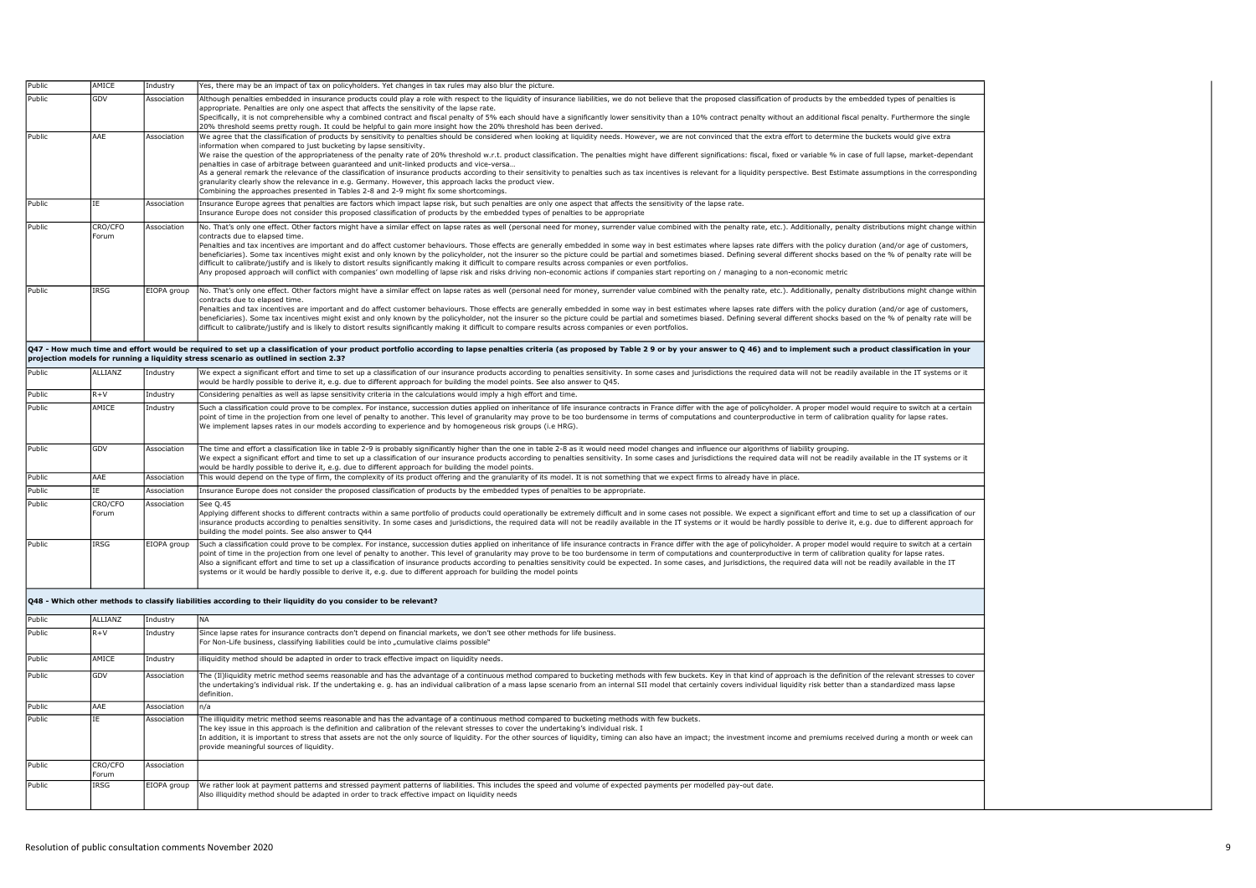| Public | AMICE          | Industry    |                                                                                                                                                                                                                                                                                                                                                                                                                                                                 |
|--------|----------------|-------------|-----------------------------------------------------------------------------------------------------------------------------------------------------------------------------------------------------------------------------------------------------------------------------------------------------------------------------------------------------------------------------------------------------------------------------------------------------------------|
|        |                |             | Yes, there may be an impact of tax on policyholders. Yet changes in tax rules may also blur the picture.                                                                                                                                                                                                                                                                                                                                                        |
| Public | GDV            | Association | Although penalties embedded in insurance products could play a role with respect to the liquidity of insurance liabilities, we do not believe that the proposed classification of products by the embedded types of penalties                                                                                                                                                                                                                                   |
|        |                |             | appropriate. Penalties are only one aspect that affects the sensitivity of the lapse rate.<br>Specifically, it is not comprehensible why a combined contract and fiscal penalty of 5% each should have a significantly lower sensitivity than a 10% contract penalty without an additional fiscal penalty. Furthermore the s                                                                                                                                    |
|        |                |             | 20% threshold seems pretty rough. It could be helpful to gain more insight how the 20% threshold has been derived.                                                                                                                                                                                                                                                                                                                                              |
| Public | AAE            | Association | We agree that the classification of products by sensitivity to penalties should be considered when looking at liquidity needs. However, we are not convinced that the extra effort to determine the buckets would give extra                                                                                                                                                                                                                                    |
|        |                |             | information when compared to just bucketing by lapse sensitivity.                                                                                                                                                                                                                                                                                                                                                                                               |
|        |                |             | We raise the question of the appropriateness of the penalty rate of 20% threshold w.r.t. product classification. The penalties might have different significations: fiscal, fixed or variable % in case of full lapse, market-                                                                                                                                                                                                                                  |
|        |                |             | penalties in case of arbitrage between guaranteed and unit-linked products and vice-versa<br>As a general remark the relevance of the classification of insurance products according to their sensitivity to penalties such as tax incentives is relevant for a liquidity perspective. Best Estimate assumptions in the cor                                                                                                                                     |
|        |                |             | granularity clearly show the relevance in e.g. Germany. However, this approach lacks the product view.                                                                                                                                                                                                                                                                                                                                                          |
|        |                |             | Combining the approaches presented in Tables 2-8 and 2-9 might fix some shortcomings.                                                                                                                                                                                                                                                                                                                                                                           |
| Public | IE             | Association | Insurance Europe agrees that penalties are factors which impact lapse risk, but such penalties are only one aspect that affects the sensitivity of the lapse rate.                                                                                                                                                                                                                                                                                              |
|        |                |             | Insurance Europe does not consider this proposed classification of products by the embedded types of penalties to be appropriate                                                                                                                                                                                                                                                                                                                                |
| Public | CRO/CFO        | Association | No. That's only one effect. Other factors might have a similar effect on lapse rates as well (personal need for money, surrender value combined with the penalty rate, etc.). Additionally, penalty distributions might change                                                                                                                                                                                                                                  |
|        | Forum          |             | contracts due to elapsed time.                                                                                                                                                                                                                                                                                                                                                                                                                                  |
|        |                |             | Penalties and tax incentives are important and do affect customer behaviours. Those effects are generally embedded in some way in best estimates where lapses rate differs with the policy duration (and/or age of customers,                                                                                                                                                                                                                                   |
|        |                |             | beneficiaries). Some tax incentives might exist and only known by the policyholder, not the insurer so the picture could be partial and sometimes biased. Defining several different shocks based on the % of penalty rate wil<br>difficult to calibrate/justify and is likely to distort results significantly making it difficult to compare results across companies or even portfolios.                                                                     |
|        |                |             | Any proposed approach will conflict with companies' own modelling of lapse risk and risks driving non-economic actions if companies start reporting on / managing to a non-economic metric                                                                                                                                                                                                                                                                      |
|        |                |             |                                                                                                                                                                                                                                                                                                                                                                                                                                                                 |
| Public | <b>IRSG</b>    | EIOPA group | No. That's only one effect. Other factors might have a similar effect on lapse rates as well (personal need for money, surrender value combined with the penalty rate, etc.). Additionally, penalty distributions might change                                                                                                                                                                                                                                  |
|        |                |             | contracts due to elansed time.                                                                                                                                                                                                                                                                                                                                                                                                                                  |
|        |                |             | Penalties and tax incentives are important and do affect customer behaviours. Those effects are generally embedded in some way in best estimates where lapses rate differs with the policy duration (and/or age of customers,<br>beneficiaries). Some tax incentives might exist and only known by the policyholder, not the insurer so the picture could be partial and sometimes biased. Defining several different shocks based on the % of penalty rate wil |
|        |                |             | difficult to calibrate/justify and is likely to distort results significantly making it difficult to compare results across companies or even portfolios.                                                                                                                                                                                                                                                                                                       |
|        |                |             |                                                                                                                                                                                                                                                                                                                                                                                                                                                                 |
|        |                |             | Q47 - How much time and effort would be required to set up a classification of your product portfolio according to lapse penalties criteria (as proposed by Table 2 9 or by your answer to Q 46) and to implement such a produ                                                                                                                                                                                                                                  |
|        |                |             | projection models for running a liquidity stress scenario as outlined in section 2.3?                                                                                                                                                                                                                                                                                                                                                                           |
| Public | <b>ALLIANZ</b> | Industry    | We expect a significant effort and time to set up a classification of our insurance products according to penalties sensitivity. In some cases and jurisdictions the required data will not be readily available in the IT sys                                                                                                                                                                                                                                  |
|        |                |             | would be hardly possible to derive it, e.g. due to different approach for building the model points. See also answer to Q45.                                                                                                                                                                                                                                                                                                                                    |
| Public | $R + V$        | Industry    | Considering penalties as well as lapse sensitivity criteria in the calculations would imply a high effort and time.                                                                                                                                                                                                                                                                                                                                             |
| Public | AMICE          | Industry    | Such a classification could prove to be complex. For instance, succession duties applied on inheritance of life insurance contracts in France differ with the age of policyholder. A proper model would require to switch at a                                                                                                                                                                                                                                  |
|        |                |             | point of time in the projection from one level of penalty to another. This level of granularity may prove to be too burdensome in terms of computations and counterproductive in term of calibration quality for lapse rates.                                                                                                                                                                                                                                   |
|        |                |             | We implement lapses rates in our models according to experience and by homogeneous risk groups (i.e HRG).                                                                                                                                                                                                                                                                                                                                                       |
|        |                |             |                                                                                                                                                                                                                                                                                                                                                                                                                                                                 |
| Public | GDV            | Association | The time and effort a classification like in table 2-9 is probably significantly higher than the one in table 2-8 as it would need model changes and influence our algorithms of liability grouping.                                                                                                                                                                                                                                                            |
|        |                |             | We expect a significant effort and time to set up a classification of our insurance products according to penalties sensitivity. In some cases and jurisdictions the required data will not be readily available in the IT sys                                                                                                                                                                                                                                  |
|        |                |             | would be hardly possible to derive it, e.g. due to different approach for building the model points.                                                                                                                                                                                                                                                                                                                                                            |
| Public | AAE            | Association | This would depend on the type of firm, the complexity of its product offering and the granularity of its model. It is not something that we expect firms to already have in place.                                                                                                                                                                                                                                                                              |
| Public | ſF             | Association | Insurance Europe does not consider the proposed classification of products by the embedded types of penalties to be appropriate.                                                                                                                                                                                                                                                                                                                                |
| Public | CRO/CFO        | Association | See 0.45                                                                                                                                                                                                                                                                                                                                                                                                                                                        |
|        | Forum          |             | Applying different shocks to different contracts within a same portfolio of products could operationally be extremely difficult and in some cases not possible. We expect a significant effort and time to set up a classifica                                                                                                                                                                                                                                  |
|        |                |             | insurance products according to penalties sensitivity. In some cases and jurisdictions, the required data will not be readily available in the IT systems or it would be hardly possible to derive it, e.g. due to different a<br>building the model points. See also answer to Q44                                                                                                                                                                             |
|        |                |             |                                                                                                                                                                                                                                                                                                                                                                                                                                                                 |
| Public | IRSG           | EIOPA group | Such a classification could prove to be complex. For instance, succession duties applied on inheritance of life insurance contracts in France differ with the age of policyholder. A proper model would require to switch at a<br>point of time in the projection from one level of penalty to another. This level of granularity may prove to be too burdensome in term of computations and counterproductive in term of calibration quality for lapse rates.  |
|        |                |             | Also a significant effort and time to set up a classification of insurance products according to penalties sensitivity could be expected. In some cases, and jurisdictions, the required data will not be readily available in                                                                                                                                                                                                                                  |
|        |                |             | systems or it would be hardly possible to derive it, e.g. due to different approach for building the model points                                                                                                                                                                                                                                                                                                                                               |
|        |                |             |                                                                                                                                                                                                                                                                                                                                                                                                                                                                 |
|        |                |             |                                                                                                                                                                                                                                                                                                                                                                                                                                                                 |
|        |                |             | Q48 - Which other methods to classify liabilities according to their liquidity do you consider to be relevant?                                                                                                                                                                                                                                                                                                                                                  |
| Public | <b>ALLIANZ</b> | Industry    | <b>NA</b>                                                                                                                                                                                                                                                                                                                                                                                                                                                       |
| Public |                |             |                                                                                                                                                                                                                                                                                                                                                                                                                                                                 |
|        |                |             |                                                                                                                                                                                                                                                                                                                                                                                                                                                                 |
|        | $R + V$        | Industry    | Since lapse rates for insurance contracts don't depend on financial markets, we don't see other methods for life business.                                                                                                                                                                                                                                                                                                                                      |
|        |                |             | For Non-Life business, classifying liabilities could be into "cumulative claims possible"                                                                                                                                                                                                                                                                                                                                                                       |
| Public | AMICE          | Industry    | illiquidity method should be adapted in order to track effective impact on liquidity needs.                                                                                                                                                                                                                                                                                                                                                                     |
|        |                |             |                                                                                                                                                                                                                                                                                                                                                                                                                                                                 |
| Public | GDV            | Association | The (II)liquidity metric method seems reasonable and has the advantage of a continuous method compared to bucketing methods with few buckets. Key in that kind of approach is the definition of the relevant stresses to cover<br>the undertaking's individual risk. If the undertaking e. g. has an individual calibration of a mass lapse scenario from an internal SII model that certainly covers individual liquidity risk better than a standardized mass |
|        |                |             | definition.                                                                                                                                                                                                                                                                                                                                                                                                                                                     |
| Public | AAE            | Association | n/a                                                                                                                                                                                                                                                                                                                                                                                                                                                             |
|        |                |             |                                                                                                                                                                                                                                                                                                                                                                                                                                                                 |
| Public | ΙE             | Association | The illiquidity metric method seems reasonable and has the advantage of a continuous method compared to bucketing methods with few buckets.<br>The key issue in this approach is the definition and calibration of the relevant stresses to cover the undertaking's individual risk. I                                                                                                                                                                          |
|        |                |             | In addition, it is important to stress that assets are not the only source of liquidity. For the other sources of liquidity, timing can also have an impact; the investment income and premiums received during a month or wee                                                                                                                                                                                                                                  |
|        |                |             | provide meaningful sources of liquidity.                                                                                                                                                                                                                                                                                                                                                                                                                        |
| Public | CRO/CFO        | Association |                                                                                                                                                                                                                                                                                                                                                                                                                                                                 |
|        | Forum          |             |                                                                                                                                                                                                                                                                                                                                                                                                                                                                 |
| Public | IRSG           | EIOPA group | We rather look at payment patterns and stressed payment patterns of liabilities. This includes the speed and volume of expected payments per modelled pay-out date.                                                                                                                                                                                                                                                                                             |
|        |                |             | Also illiquidity method should be adapted in order to track effective impact on liquidity needs                                                                                                                                                                                                                                                                                                                                                                 |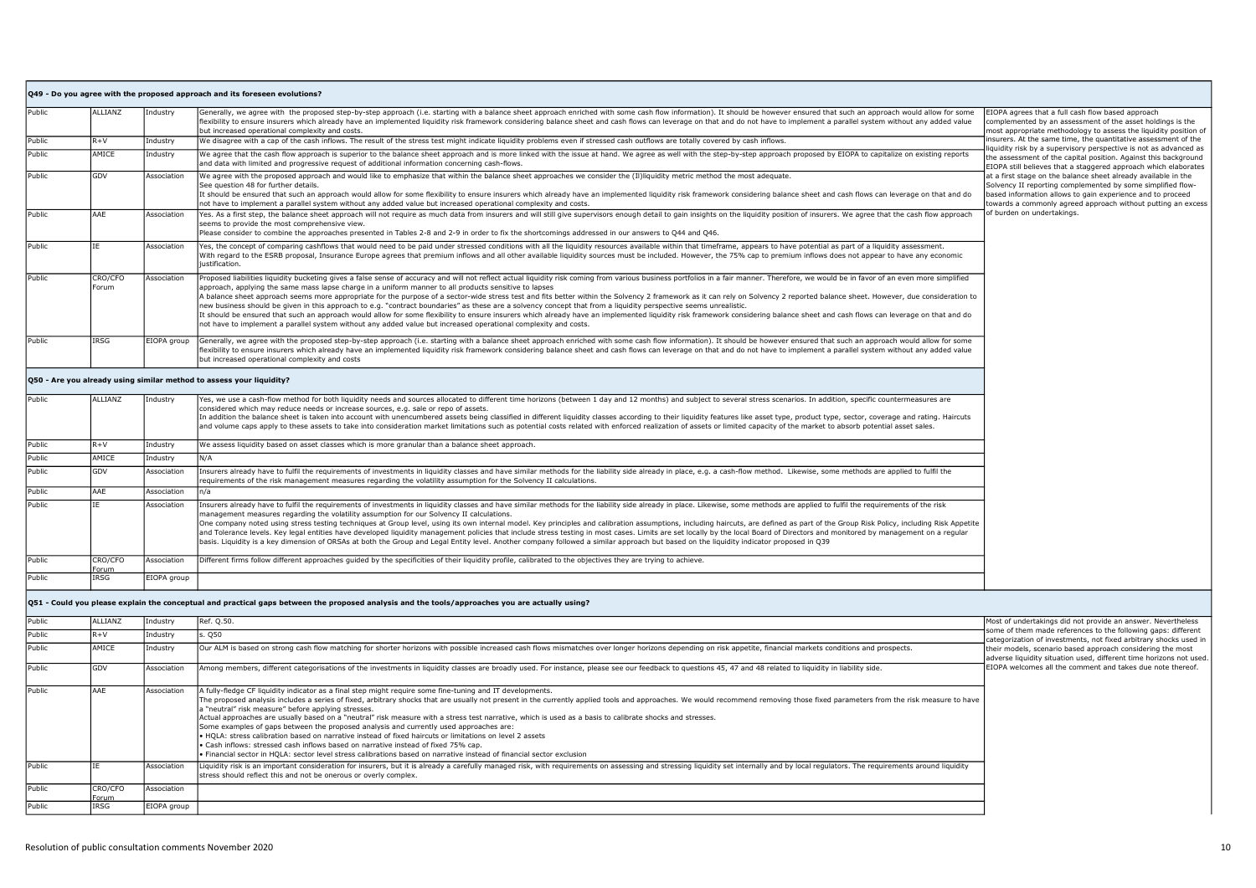|        |                  |             | Q49 - Do you agree with the proposed approach and its foreseen evolutions?                                                                                                                                                                                                                                                                                                                                                                                                                                                                                                                                                                                                                                                                                                                                                                                                                                                                                                                                                                                                                        |                                                                                                                                                                                                                                                                                                                                                                                                                                                                                                                                          |
|--------|------------------|-------------|---------------------------------------------------------------------------------------------------------------------------------------------------------------------------------------------------------------------------------------------------------------------------------------------------------------------------------------------------------------------------------------------------------------------------------------------------------------------------------------------------------------------------------------------------------------------------------------------------------------------------------------------------------------------------------------------------------------------------------------------------------------------------------------------------------------------------------------------------------------------------------------------------------------------------------------------------------------------------------------------------------------------------------------------------------------------------------------------------|------------------------------------------------------------------------------------------------------------------------------------------------------------------------------------------------------------------------------------------------------------------------------------------------------------------------------------------------------------------------------------------------------------------------------------------------------------------------------------------------------------------------------------------|
| Public | ALLIANZ          | Industry    | Generally, we agree with the proposed step-by-step approach (i.e. starting with a balance sheet approach enriched with some cash flow information). It should be however ensured that such an approach would allow for some<br>flexibility to ensure insurers which already have an implemented liquidity risk framework considering balance sheet and cash flows can leverage on that and do not have to implement a parallel system without any added value<br>but increased operational complexity and costs.                                                                                                                                                                                                                                                                                                                                                                                                                                                                                                                                                                                  | EIOPA agrees that a full cash flow based approach<br>complemented by an assessment of the asset holdings is the<br>most appropriate methodology to assess the liquidity position of                                                                                                                                                                                                                                                                                                                                                      |
| Public | $R+V$            | Industry    | We disagree with a cap of the cash inflows. The result of the stress test might indicate liquidity problems even if stressed cash outflows are totally covered by cash inflows.                                                                                                                                                                                                                                                                                                                                                                                                                                                                                                                                                                                                                                                                                                                                                                                                                                                                                                                   | insurers. At the same time, the quantitative assessment of the<br>liquidity risk by a supervisory perspective is not as advanced as<br>the assessment of the capital position. Against this background<br>EIOPA still believes that a staggered approach which elaborates<br>at a first stage on the balance sheet already available in the<br>Solvency II reporting complemented by some simplified flow-<br>based information allows to gain experience and to proceed<br>towards a commonly agreed approach without putting an excess |
| Public | AMICE            | Industry    | We agree that the cash flow approach is superior to the balance sheet approach and is more linked with the issue at hand. We agree as well with the step-by-step approach proposed by EIOPA to capitalize on existing reports<br>and data with limited and progressive request of additional information concerning cash-flows.                                                                                                                                                                                                                                                                                                                                                                                                                                                                                                                                                                                                                                                                                                                                                                   |                                                                                                                                                                                                                                                                                                                                                                                                                                                                                                                                          |
| Public | GDV              | Association | We agree with the proposed approach and would like to emphasize that within the balance sheet approaches we consider the (II)liquidity metric method the most adequate.<br>See question 48 for further details.<br>It should be ensured that such an approach would allow for some flexibility to ensure insurers which already have an implemented liquidity risk framework considering balance sheet and cash flows can leverage on that and do<br>not have to implement a parallel system without any added value but increased operational complexity and costs.                                                                                                                                                                                                                                                                                                                                                                                                                                                                                                                              |                                                                                                                                                                                                                                                                                                                                                                                                                                                                                                                                          |
| Public | AAE              | Association | Yes. As a first step, the balance sheet approach will not require as much data from insurers and will still give supervisors enough detail to gain insights on the liquidity position of insurers. We agree that the cash flow<br>seems to provide the most comprehensive view.<br>Please consider to combine the approaches presented in Tables 2-8 and 2-9 in order to fix the shortcomings addressed in our answers to Q44 and Q46.                                                                                                                                                                                                                                                                                                                                                                                                                                                                                                                                                                                                                                                            | of burden on undertakings.                                                                                                                                                                                                                                                                                                                                                                                                                                                                                                               |
| Public | IE               | Association | Yes, the concept of comparing cashflows that would need to be paid under stressed conditions with all the liquidity resources available within that timeframe, appears to have potential as part of a liquidity assessment.<br>With regard to the ESRB proposal, Insurance Europe agrees that premium inflows and all other available liquidity sources must be included. However, the 75% cap to premium inflows does not appear to have any economic<br>justification.                                                                                                                                                                                                                                                                                                                                                                                                                                                                                                                                                                                                                          |                                                                                                                                                                                                                                                                                                                                                                                                                                                                                                                                          |
| Public | CRO/CFO<br>Forum | Association | Proposed liabilities liquidity bucketing gives a false sense of accuracy and will not reflect actual liquidity risk coming from various business portfolios in a fair manner. Therefore, we would be in favor of an even more<br>approach, applying the same mass lapse charge in a uniform manner to all products sensitive to lapses<br>A balance sheet approach seems more appropriate for the purpose of a sector-wide stress test and fits better within the Solvency 2 framework as it can rely on Solvency 2 reported balance sheet. However, due consideration t<br>new business should be given in this approach to e.g. "contract boundaries" as these are a solvency concept that from a liquidity perspective seems unrealistic.<br>It should be ensured that such an approach would allow for some flexibility to ensure insurers which already have an implemented liquidity risk framework considering balance sheet and cash flows can leverage on that and do<br>not have to implement a parallel system without any added value but increased operational complexity and costs. |                                                                                                                                                                                                                                                                                                                                                                                                                                                                                                                                          |
| Public | IRSG             | EIOPA group | Generally, we agree with the proposed step-by-step approach (i.e. starting with a balance sheet approach enriched with some cash flow information). It should be however ensured that such an approach would allow for some<br>flexibility to ensure insurers which already have an implemented liquidity risk framework considering balance sheet and cash flows can leverage on that and do not have to implement a parallel system without any added value<br>but increased operational complexity and costs                                                                                                                                                                                                                                                                                                                                                                                                                                                                                                                                                                                   |                                                                                                                                                                                                                                                                                                                                                                                                                                                                                                                                          |
|        |                  |             | Q50 - Are you already using similar method to assess your liquidity?                                                                                                                                                                                                                                                                                                                                                                                                                                                                                                                                                                                                                                                                                                                                                                                                                                                                                                                                                                                                                              |                                                                                                                                                                                                                                                                                                                                                                                                                                                                                                                                          |
| Public | ALLIANZ          | Industry    | Yes, we use a cash-flow method for both liquidity needs and sources allocated to different time horizons (between 1 day and 12 months) and subject to several stress scenarios. In addition, specific countermeasures are<br>considered which may reduce needs or increase sources, e.g. sale or repo of assets.<br>In addition the balance sheet is taken into account with unencumbered assets being classified in different liquidity classes according to their liquidity features like asset type, product type, sector, coverage and rating.<br>and volume caps apply to these assets to take into consideration market limitations such as potential costs related with enforced realization of assets or limited capacity of the market to absorb potential asset sales.                                                                                                                                                                                                                                                                                                                  |                                                                                                                                                                                                                                                                                                                                                                                                                                                                                                                                          |
| Public | $R+V$            | Industry    | We assess liquidity based on asset classes which is more granular than a balance sheet approach.                                                                                                                                                                                                                                                                                                                                                                                                                                                                                                                                                                                                                                                                                                                                                                                                                                                                                                                                                                                                  |                                                                                                                                                                                                                                                                                                                                                                                                                                                                                                                                          |
| Public | AMICE            | Industry    | N/A                                                                                                                                                                                                                                                                                                                                                                                                                                                                                                                                                                                                                                                                                                                                                                                                                                                                                                                                                                                                                                                                                               |                                                                                                                                                                                                                                                                                                                                                                                                                                                                                                                                          |
| Public | GDV              | Association | Insurers already have to fulfil the requirements of investments in liquidity classes and have similar methods for the liability side already in place, e.g. a cash-flow method. Likewise, some methods are applied to fulfil t<br>requirements of the risk management measures regarding the volatility assumption for the Solvency II calculations.                                                                                                                                                                                                                                                                                                                                                                                                                                                                                                                                                                                                                                                                                                                                              |                                                                                                                                                                                                                                                                                                                                                                                                                                                                                                                                          |
| Public | AAE              | Association | n/a                                                                                                                                                                                                                                                                                                                                                                                                                                                                                                                                                                                                                                                                                                                                                                                                                                                                                                                                                                                                                                                                                               |                                                                                                                                                                                                                                                                                                                                                                                                                                                                                                                                          |
| Public | ĪΕ               | Association | Insurers already have to fulfil the requirements of investments in liquidity classes and have similar methods for the liability side already in place. Likewise, some methods are applied to fulfil the requirements of the ri<br>management measures regarding the volatility assumption for our Solvency II calculations.<br>One company noted using stress testing techniques at Group level, using its own internal model. Key principles and calibration assumptions, including haircuts, are defined as part of the Group Risk Policy, including Risk A<br>and Tolerance levels. Key legal entities have developed liquidity management policies that include stress testing in most cases. Limits are set locally by the local Board of Directors and monitored by management on a regul<br>basis. Liquidity is a key dimension of ORSAs at both the Group and Legal Entity level. Another company followed a similar approach but based on the liquidity indicator proposed in Q39                                                                                                        |                                                                                                                                                                                                                                                                                                                                                                                                                                                                                                                                          |
| Public | CRO/CFO<br>Forum | Association | Different firms follow different approaches quided by the specificities of their liquidity profile, calibrated to the objectives they are trying to achieve.                                                                                                                                                                                                                                                                                                                                                                                                                                                                                                                                                                                                                                                                                                                                                                                                                                                                                                                                      |                                                                                                                                                                                                                                                                                                                                                                                                                                                                                                                                          |
| Public | <b>IRSG</b>      | EIOPA group |                                                                                                                                                                                                                                                                                                                                                                                                                                                                                                                                                                                                                                                                                                                                                                                                                                                                                                                                                                                                                                                                                                   |                                                                                                                                                                                                                                                                                                                                                                                                                                                                                                                                          |
|        |                  |             | Q51 - Could you please explain the conceptual and practical gaps between the proposed analysis and the tools/approaches you are actually using?                                                                                                                                                                                                                                                                                                                                                                                                                                                                                                                                                                                                                                                                                                                                                                                                                                                                                                                                                   |                                                                                                                                                                                                                                                                                                                                                                                                                                                                                                                                          |
| Public | ALLIANZ          | Industry    | Ref. 0.50.                                                                                                                                                                                                                                                                                                                                                                                                                                                                                                                                                                                                                                                                                                                                                                                                                                                                                                                                                                                                                                                                                        | Most of undertakings did not provide an answer. Nevertheless                                                                                                                                                                                                                                                                                                                                                                                                                                                                             |
| Public | $R + V$          | Industry    | . Q50                                                                                                                                                                                                                                                                                                                                                                                                                                                                                                                                                                                                                                                                                                                                                                                                                                                                                                                                                                                                                                                                                             | some of them made references to the following gaps: different<br>categorization of investments, not fixed arbitrary shocks used in                                                                                                                                                                                                                                                                                                                                                                                                       |
| Public | AMICE            | Industry    | Our ALM is based on strong cash flow matching for shorter horizons with possible increased cash flows mismatches over longer horizons depending on risk appetite, financial markets conditions and prospects.                                                                                                                                                                                                                                                                                                                                                                                                                                                                                                                                                                                                                                                                                                                                                                                                                                                                                     | their models, scenario based approach considering the most<br>adverse liquidity situation used, different time horizons not used.                                                                                                                                                                                                                                                                                                                                                                                                        |
| Public | GDV              | Association | Among members, different categorisations of the investments in liquidity classes are broadly used. For instance, please see our feedback to questions 45, 47 and 48 related to liquidity in liability side.                                                                                                                                                                                                                                                                                                                                                                                                                                                                                                                                                                                                                                                                                                                                                                                                                                                                                       | EIOPA welcomes all the comment and takes due note thereof.                                                                                                                                                                                                                                                                                                                                                                                                                                                                               |
| Public | AAE              | Association | A fully-fledge CF liquidity indicator as a final step might require some fine-tuning and IT developments.<br>The proposed analysis includes a series of fixed, arbitrary shocks that are usually not present in the currently applied tools and approaches. We would recommend removing those fixed parameters from the risk measure to hav<br>a "neutral" risk measure" before applying stresses.<br>Actual approaches are usually based on a "neutral" risk measure with a stress test narrative, which is used as a basis to calibrate shocks and stresses.<br>Some examples of gaps between the proposed analysis and currently used approaches are:<br>HOLA: stress calibration based on narrative instead of fixed haircuts or limitations on level 2 assets<br>· Cash inflows: stressed cash inflows based on narrative instead of fixed 75% cap.<br>· Financial sector in HOLA: sector level stress calibrations based on narrative instead of financial sector exclusion                                                                                                                 |                                                                                                                                                                                                                                                                                                                                                                                                                                                                                                                                          |

IE Association Liquidity risk is an important consideration for insurers, but it is already a carefully managed risk, with requirements on assessing and stressing liquidity set internally and by local regulators. The requi

Association

Public CRO/CFO

Forum<br>IRSG

Public IRSG EIOPA group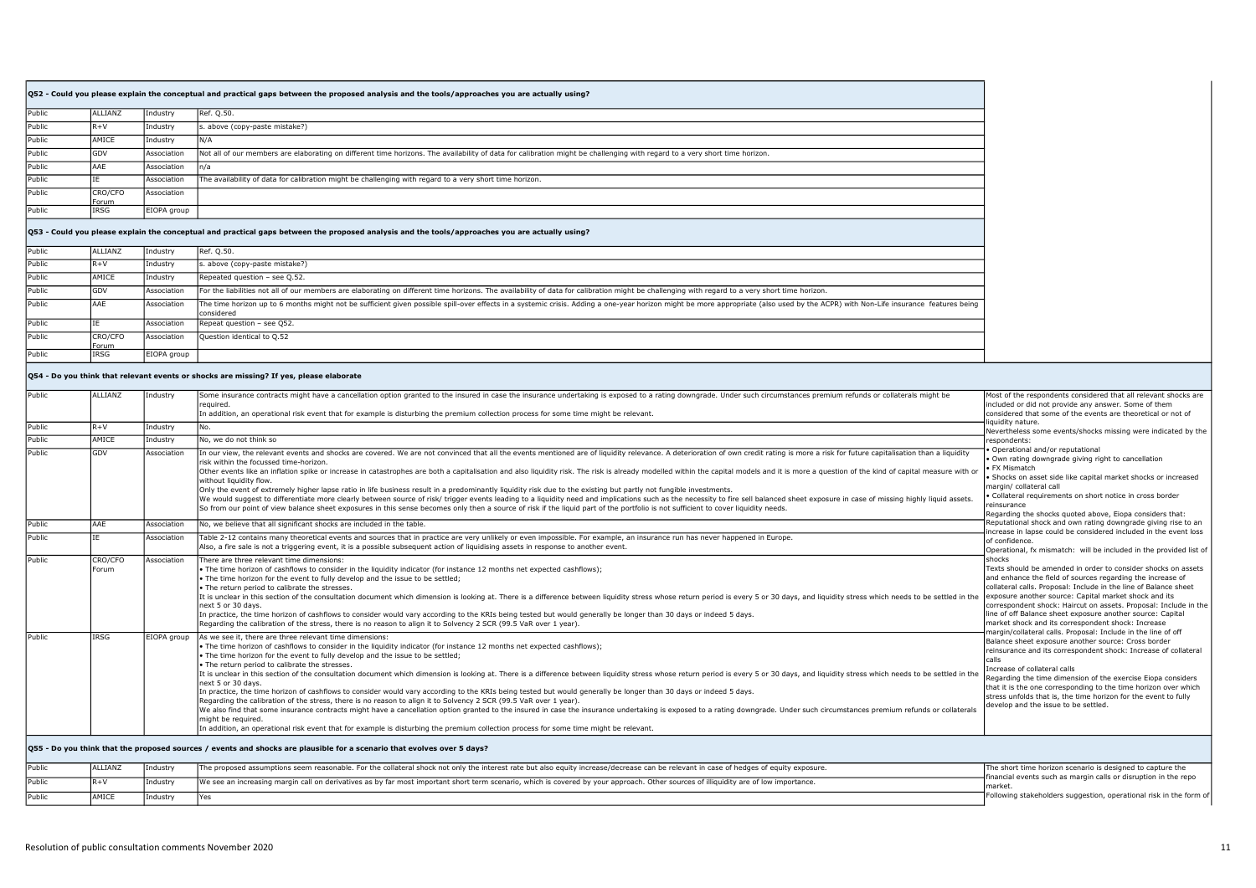|        |                                                                                                                                                 |             | Q52 - Could you please explain the conceptual and practical gaps between the proposed analysis and the tools/approaches you are actually using?                            |  |
|--------|-------------------------------------------------------------------------------------------------------------------------------------------------|-------------|----------------------------------------------------------------------------------------------------------------------------------------------------------------------------|--|
| Public | ALLIANZ                                                                                                                                         | Industry    | Ref. Q.50.                                                                                                                                                                 |  |
| Public | $R + V$                                                                                                                                         | Industry    | s. above (copy-paste mistake?)                                                                                                                                             |  |
| Public | AMICE                                                                                                                                           | Industry    | N/A                                                                                                                                                                        |  |
| Public | GDV                                                                                                                                             | Association | Not all of our members are elaborating on different time horizons. The availability of data for calibration might be challenging with regard to a very short time horizon. |  |
| Public | AAE                                                                                                                                             | Association | In/a                                                                                                                                                                       |  |
| Public |                                                                                                                                                 | Association | The availability of data for calibration might be challenging with regard to a very short time horizon.                                                                    |  |
| Public | CRO/CFO<br>Forum                                                                                                                                | Association |                                                                                                                                                                            |  |
| Public | IRSG                                                                                                                                            | EIOPA group |                                                                                                                                                                            |  |
|        | Q53 - Could you please explain the conceptual and practical gaps between the proposed analysis and the tools/approaches you are actually using? |             |                                                                                                                                                                            |  |
| Public | ALLIANZ                                                                                                                                         | Industry    | Ref. Q.50.                                                                                                                                                                 |  |
|        |                                                                                                                                                 |             |                                                                                                                                                                            |  |

| Public        | $R+V$            | Industry    | s. above (copy-paste mistake?)                                                                                                                                                                                                                |
|---------------|------------------|-------------|-----------------------------------------------------------------------------------------------------------------------------------------------------------------------------------------------------------------------------------------------|
| <b>Public</b> | AMICE            | Industry    | Repeated question - see Q.52.                                                                                                                                                                                                                 |
| <b>Public</b> | <b>GDV</b>       | Association | For the liabilities not all of our members are elaborating on different time horizons. The availability of data for calibration might be challenging with regard to a very short time horizon.                                                |
| Public        | AAE              | Association | The time horizon up to 6 months might not be sufficient given possible spill-over effects in a systemic crisis. Adding a one-year horizon might be more appropriate (also used by the ACPR) with Non-Life insurance features b<br>lconsidered |
| Public        |                  | Association | Repeat question - see Q52.                                                                                                                                                                                                                    |
| Public        | CRO/CFO<br>Forum | Association | Ouestion identical to 0.52                                                                                                                                                                                                                    |
| <b>Public</b> | <b>IRSG</b>      | EIOPA group |                                                                                                                                                                                                                                               |

## $\vert$ Q54 - Do you think that relevant events or shocks are missing? If yes, please elaborate

| Public | ALLIANZ          | Industry    | Some insurance contracts might have a cancellation option granted to the insured in case the insurance undertaking is exposed to a rating downgrade. Under such circumstances premium refunds or collaterals might be<br>required.<br>In addition, an operational risk event that for example is disturbing the premium collection process for some time might be relevant.                                                                                                                                                                                                                                                                                                                                                                                                                                                                                                                                                                                                                                                                                                                                                                                                                                                                                                           | Most of the respondents considered that all relevant shocks are<br>included or did not provide any answer. Some of them<br>considered that some of the events are theoretical or not of                                                                                                                                                                                                                                                                                        |
|--------|------------------|-------------|---------------------------------------------------------------------------------------------------------------------------------------------------------------------------------------------------------------------------------------------------------------------------------------------------------------------------------------------------------------------------------------------------------------------------------------------------------------------------------------------------------------------------------------------------------------------------------------------------------------------------------------------------------------------------------------------------------------------------------------------------------------------------------------------------------------------------------------------------------------------------------------------------------------------------------------------------------------------------------------------------------------------------------------------------------------------------------------------------------------------------------------------------------------------------------------------------------------------------------------------------------------------------------------|--------------------------------------------------------------------------------------------------------------------------------------------------------------------------------------------------------------------------------------------------------------------------------------------------------------------------------------------------------------------------------------------------------------------------------------------------------------------------------|
| Public | $R + V$          | Industry    | lNo.                                                                                                                                                                                                                                                                                                                                                                                                                                                                                                                                                                                                                                                                                                                                                                                                                                                                                                                                                                                                                                                                                                                                                                                                                                                                                  | iquidity nature.<br>Nevertheless some events/shocks missing were indicated by the                                                                                                                                                                                                                                                                                                                                                                                              |
| Public | AMICE            | Industrv    | No, we do not think so                                                                                                                                                                                                                                                                                                                                                                                                                                                                                                                                                                                                                                                                                                                                                                                                                                                                                                                                                                                                                                                                                                                                                                                                                                                                | respondents:                                                                                                                                                                                                                                                                                                                                                                                                                                                                   |
| Public | GDV              | Association | In our view, the relevant events and shocks are covered. We are not convinced that all the events mentioned are of liquidity relevance. A deterioration of own credit rating is more a risk for future capitalisation than a l<br>risk within the focussed time-horizon.<br>Other events like an inflation spike or increase in catastrophes are both a capitalisation and also liquidity risk. The risk is already modelled within the capital models and it is more a question of the kind of capital me<br>without liquidity flow.<br>Only the event of extremely higher lapse ratio in life business result in a predominantly liquidity risk due to the existing but partly not fungible investments.<br>We would suggest to differentiate more clearly between source of risk/ trigger events leading to a liquidity need and implications such as the necessity to fire sell balanced sheet exposure in case of missing highly liquid<br>So from our point of view balance sheet exposures in this sense becomes only then a source of risk if the liquid part of the portfolio is not sufficient to cover liquidity needs.                                                                                                                                                    | Operational and/or reputational<br>. Own rating downgrade giving right to cancellation<br>FX Mismatch<br>· Shocks on asset side like capital market shocks or increased<br>margin/ collateral call<br>· Collateral requirements on short notice in cross border<br>reinsurance<br>Regarding the shocks guoted above, Eiopa considers that:                                                                                                                                     |
| Public | AAE              | Association | No, we believe that all significant shocks are included in the table.                                                                                                                                                                                                                                                                                                                                                                                                                                                                                                                                                                                                                                                                                                                                                                                                                                                                                                                                                                                                                                                                                                                                                                                                                 | Reputational shock and own rating downgrade giving rise to an<br>increase in lapse could be considered included in the event loss                                                                                                                                                                                                                                                                                                                                              |
| Public |                  | Association | Table 2-12 contains many theoretical events and sources that in practice are very unlikely or even impossible. For example, an insurance run has never happened in Europe.<br>Also, a fire sale is not a triggering event, it is a possible subsequent action of liquidising assets in response to another event.                                                                                                                                                                                                                                                                                                                                                                                                                                                                                                                                                                                                                                                                                                                                                                                                                                                                                                                                                                     | of confidence.<br>Operational, fx mismatch: will be included in the provided list of                                                                                                                                                                                                                                                                                                                                                                                           |
| Public | CRO/CFO<br>Forum | Association | There are three relevant time dimensions:<br>• The time horizon of cashflows to consider in the liquidity indicator (for instance 12 months net expected cashflows);<br>. The time horizon for the event to fully develop and the issue to be settled;<br>. The return period to calibrate the stresses.<br>It is unclear in this section of the consultation document which dimension is looking at. There is a difference between liquidity stress whose return period is every 5 or 30 days, and liquidity stress which needs to be set<br>next 5 or 30 days.<br>In practice, the time horizon of cashflows to consider would vary according to the KRIs being tested but would generally be longer than 30 days or indeed 5 days.<br>Regarding the calibration of the stress, there is no reason to align it to Solvency 2 SCR (99.5 VaR over 1 year).                                                                                                                                                                                                                                                                                                                                                                                                                            | shocks<br>Texts should be amended in order to consider shocks on assets<br>and enhance the field of sources regarding the increase of<br>collateral calls. Proposal: Include in the line of Balance sheet<br>exposure another source: Capital market shock and its<br>correspondent shock: Haircut on assets. Proposal: Include in the<br>line of off Balance sheet exposure another source: Capital<br>market shock and its correspondent shock: Increase                     |
| Public | IRSG             |             | EIOPA group As we see it, there are three relevant time dimensions:<br>. The time horizon of cashflows to consider in the liquidity indicator (for instance 12 months net expected cashflows);<br>. The time horizon for the event to fully develop and the issue to be settled;<br>. The return period to calibrate the stresses.<br>It is unclear in this section of the consultation document which dimension is looking at. There is a difference between liquidity stress whose return period is every 5 or 30 days, and liquidity stress which needs to be set<br>next 5 or 30 days.<br>In practice, the time horizon of cashflows to consider would vary according to the KRIs being tested but would generally be longer than 30 days or indeed 5 days.<br>Regarding the calibration of the stress, there is no reason to align it to Solvency 2 SCR (99.5 VaR over 1 year).<br>We also find that some insurance contracts might have a cancellation option granted to the insured in case the insurance undertaking is exposed to a rating downgrade. Under such circumstances premium refunds or collaterals<br>might be required.<br>In addition, an operational risk event that for example is disturbing the premium collection process for some time might be relevant. | margin/collateral calls. Proposal: Include in the line of off<br>Balance sheet exposure another source: Cross border<br>reinsurance and its correspondent shock: Increase of collateral<br>calls<br>Increase of collateral calls<br>Regarding the time dimension of the exercise Eiopa considers<br>that it is the one corresponding to the time horizon over which<br>stress unfolds that is, the time horizon for the event to fully<br>develop and the issue to be settled. |
|        |                  |             | Q55 - Do you think that the proposed sources / events and shocks are plausible for a scenario that evolves over 5 days?                                                                                                                                                                                                                                                                                                                                                                                                                                                                                                                                                                                                                                                                                                                                                                                                                                                                                                                                                                                                                                                                                                                                                               |                                                                                                                                                                                                                                                                                                                                                                                                                                                                                |
| Public | ALLIANZ          | Industry    | The proposed assumptions seem reasonable. For the collateral shock not only the interest rate but also equity increase/decrease can be relevant in case of hedges of equity exposure.                                                                                                                                                                                                                                                                                                                                                                                                                                                                                                                                                                                                                                                                                                                                                                                                                                                                                                                                                                                                                                                                                                 | The short time horizon scenario is designed to capture the<br>financial events such as margin calls or disruption in the repo                                                                                                                                                                                                                                                                                                                                                  |
| Public | $R + V$          | Industry    | We see an increasing margin call on derivatives as by far most important short term scenario, which is covered by your approach. Other sources of illiquidity are of low importance.                                                                                                                                                                                                                                                                                                                                                                                                                                                                                                                                                                                                                                                                                                                                                                                                                                                                                                                                                                                                                                                                                                  | market                                                                                                                                                                                                                                                                                                                                                                                                                                                                         |
| Public | AMICE            | Industry    | Yes                                                                                                                                                                                                                                                                                                                                                                                                                                                                                                                                                                                                                                                                                                                                                                                                                                                                                                                                                                                                                                                                                                                                                                                                                                                                                   | Following stakeholders suggestion, operational risk in the form of                                                                                                                                                                                                                                                                                                                                                                                                             |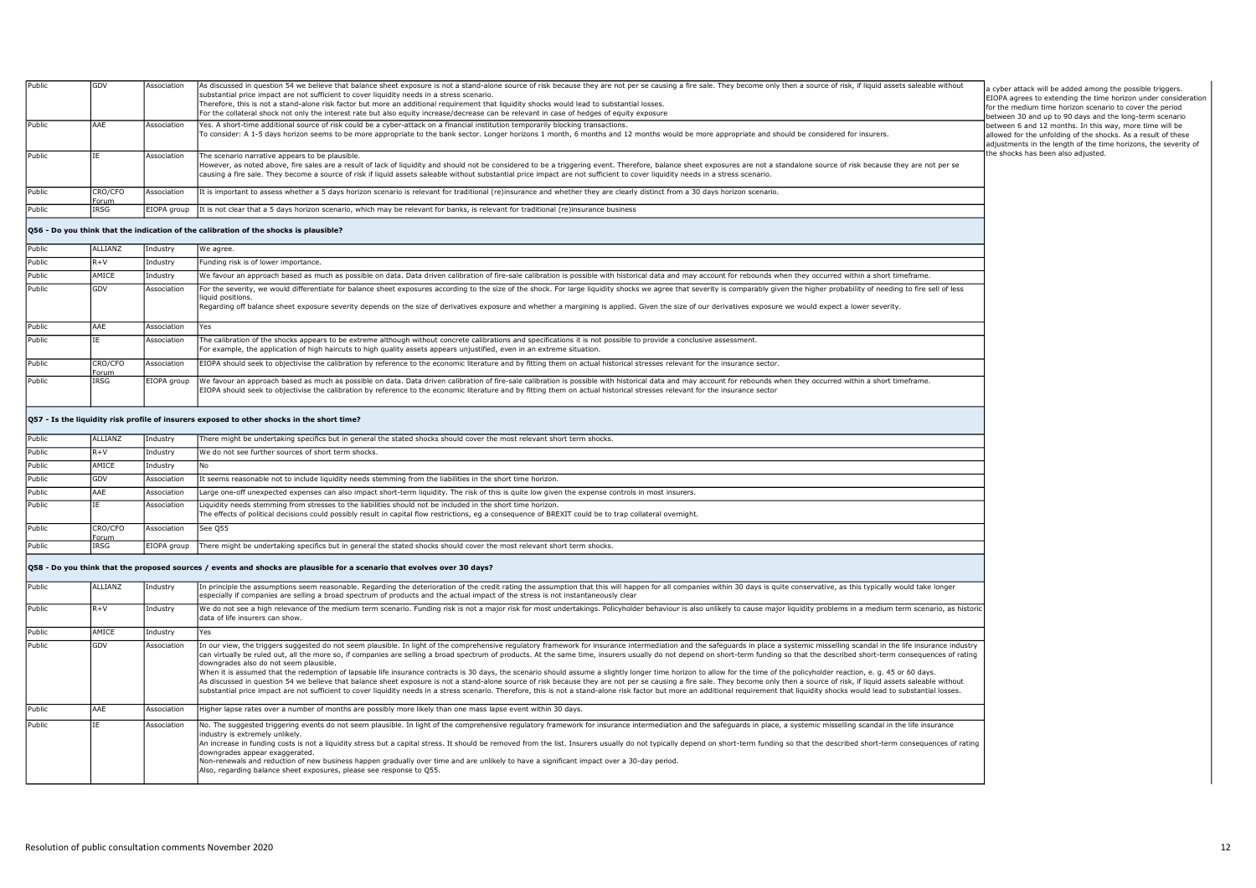| Public | GDV                     | Association | As discussed in question 54 we believe that balance sheet exposure is not a stand-alone source of risk because they are not per se causing a fire sale. They become only then a source of risk, if liquid assets saleable with<br>substantial price impact are not sufficient to cover liquidity needs in a stress scenario.<br>Therefore, this is not a stand-alone risk factor but more an additional requirement that liquidity shocks would lead to substantial losses.<br>For the collateral shock not only the interest rate but also equity increase/decrease can be relevant in case of hedges of equity exposure                                                                                                                                                                                                                                                                                                                                                                                                                                                                                                                                                                                   | a cyber attack will be added among the possible triggers.<br>EIOPA agrees to extending the time horizon under consideration<br>for the medium time horizon scenario to cover the period<br>between 30 and up to 90 days and the long-term scenario |
|--------|-------------------------|-------------|-------------------------------------------------------------------------------------------------------------------------------------------------------------------------------------------------------------------------------------------------------------------------------------------------------------------------------------------------------------------------------------------------------------------------------------------------------------------------------------------------------------------------------------------------------------------------------------------------------------------------------------------------------------------------------------------------------------------------------------------------------------------------------------------------------------------------------------------------------------------------------------------------------------------------------------------------------------------------------------------------------------------------------------------------------------------------------------------------------------------------------------------------------------------------------------------------------------|----------------------------------------------------------------------------------------------------------------------------------------------------------------------------------------------------------------------------------------------------|
| Public | AAE                     | Association | Yes. A short-time additional source of risk could be a cyber-attack on a financial institution temporarily blocking transactions.<br>To consider: A 1-5 days horizon seems to be more appropriate to the bank sector. Longer horizons 1 month, 6 months and 12 months would be more appropriate and should be considered for insurers.                                                                                                                                                                                                                                                                                                                                                                                                                                                                                                                                                                                                                                                                                                                                                                                                                                                                      | between 6 and 12 months. In this way, more time will be<br>allowed for the unfolding of the shocks. As a result of these<br>adjustments in the length of the time horizons, the severity of                                                        |
| Public | IE                      | Association | The scenario narrative appears to be plausible.<br>However, as noted above, fire sales are a result of lack of liquidity and should not be considered to be a triggering event. Therefore, balance sheet exposures are not a standalone source of risk because they are not per s<br>causing a fire sale. They become a source of risk if liquid assets saleable without substantial price impact are not sufficient to cover liquidity needs in a stress scenario.                                                                                                                                                                                                                                                                                                                                                                                                                                                                                                                                                                                                                                                                                                                                         | the shocks has been also adjusted.                                                                                                                                                                                                                 |
| Public | CRO/CFO<br><b>Forum</b> | Association | It is important to assess whether a 5 days horizon scenario is relevant for traditional (re)insurance and whether they are clearly distinct from a 30 days horizon scenario.                                                                                                                                                                                                                                                                                                                                                                                                                                                                                                                                                                                                                                                                                                                                                                                                                                                                                                                                                                                                                                |                                                                                                                                                                                                                                                    |
| Public | IRSG                    | EIOPA group | It is not clear that a 5 days horizon scenario, which may be relevant for banks, is relevant for traditional (re)insurance business                                                                                                                                                                                                                                                                                                                                                                                                                                                                                                                                                                                                                                                                                                                                                                                                                                                                                                                                                                                                                                                                         |                                                                                                                                                                                                                                                    |
|        |                         |             | Q56 - Do you think that the indication of the calibration of the shocks is plausible?                                                                                                                                                                                                                                                                                                                                                                                                                                                                                                                                                                                                                                                                                                                                                                                                                                                                                                                                                                                                                                                                                                                       |                                                                                                                                                                                                                                                    |
| Public | ALLIANZ                 | Industry    | We agree.                                                                                                                                                                                                                                                                                                                                                                                                                                                                                                                                                                                                                                                                                                                                                                                                                                                                                                                                                                                                                                                                                                                                                                                                   |                                                                                                                                                                                                                                                    |
| Public | $R + V$                 | Industry    | Funding risk is of lower importance.                                                                                                                                                                                                                                                                                                                                                                                                                                                                                                                                                                                                                                                                                                                                                                                                                                                                                                                                                                                                                                                                                                                                                                        |                                                                                                                                                                                                                                                    |
| Public | AMICE                   | Industry    | We favour an approach based as much as possible on data. Data driven calibration of fire-sale calibration is possible with historical data and may account for rebounds when they occurred within a short timeframe.                                                                                                                                                                                                                                                                                                                                                                                                                                                                                                                                                                                                                                                                                                                                                                                                                                                                                                                                                                                        |                                                                                                                                                                                                                                                    |
| Public | GDV                     | Association | For the severity, we would differentiate for balance sheet exposures according to the size of the shock. For large liquidity shocks we agree that severity is comparably given the higher probability of needing to fire sell<br>iguid positions<br>Regarding off balance sheet exposure severity depends on the size of derivatives exposure and whether a margining is applied. Given the size of our derivatives exposure we would expect a lower severity.                                                                                                                                                                                                                                                                                                                                                                                                                                                                                                                                                                                                                                                                                                                                              |                                                                                                                                                                                                                                                    |
| Public | AAE                     | Association | Yes                                                                                                                                                                                                                                                                                                                                                                                                                                                                                                                                                                                                                                                                                                                                                                                                                                                                                                                                                                                                                                                                                                                                                                                                         |                                                                                                                                                                                                                                                    |
| Public | IE                      | Association | The calibration of the shocks appears to be extreme although without concrete calibrations and specifications it is not possible to provide a conclusive assessment.<br>For example, the application of high haircuts to high quality assets appears unjustified, even in an extreme situation.                                                                                                                                                                                                                                                                                                                                                                                                                                                                                                                                                                                                                                                                                                                                                                                                                                                                                                             |                                                                                                                                                                                                                                                    |
| Public | CRO/CFO                 | Association | EIOPA should seek to objectivise the calibration by reference to the economic literature and by fitting them on actual historical stresses relevant for the insurance sector.                                                                                                                                                                                                                                                                                                                                                                                                                                                                                                                                                                                                                                                                                                                                                                                                                                                                                                                                                                                                                               |                                                                                                                                                                                                                                                    |
| Public | Forum<br>IRSG           | EIOPA group | We favour an approach based as much as possible on data. Data driven calibration of fire-sale calibration is possible with historical data and may account for rebounds when they occurred within a short timeframe.<br>EIOPA should seek to objectivise the calibration by reference to the economic literature and by fitting them on actual historical stresses relevant for the insurance sector                                                                                                                                                                                                                                                                                                                                                                                                                                                                                                                                                                                                                                                                                                                                                                                                        |                                                                                                                                                                                                                                                    |
|        |                         |             | Q57 - Is the liquidity risk profile of insurers exposed to other shocks in the short time?                                                                                                                                                                                                                                                                                                                                                                                                                                                                                                                                                                                                                                                                                                                                                                                                                                                                                                                                                                                                                                                                                                                  |                                                                                                                                                                                                                                                    |
| Public | <b>ALLIANZ</b>          | Industry    | There might be undertaking specifics but in general the stated shocks should cover the most relevant short term shocks.                                                                                                                                                                                                                                                                                                                                                                                                                                                                                                                                                                                                                                                                                                                                                                                                                                                                                                                                                                                                                                                                                     |                                                                                                                                                                                                                                                    |
| Public | $R + V$                 | Industry    | We do not see further sources of short term shocks.                                                                                                                                                                                                                                                                                                                                                                                                                                                                                                                                                                                                                                                                                                                                                                                                                                                                                                                                                                                                                                                                                                                                                         |                                                                                                                                                                                                                                                    |
| Public | AMICE                   | Industry    | No                                                                                                                                                                                                                                                                                                                                                                                                                                                                                                                                                                                                                                                                                                                                                                                                                                                                                                                                                                                                                                                                                                                                                                                                          |                                                                                                                                                                                                                                                    |
| Public | GDV                     | Association | It seems reasonable not to include liquidity needs stemming from the liabilities in the short time horizon.                                                                                                                                                                                                                                                                                                                                                                                                                                                                                                                                                                                                                                                                                                                                                                                                                                                                                                                                                                                                                                                                                                 |                                                                                                                                                                                                                                                    |
| Public | AAE                     | Association | Large one-off unexpected expenses can also impact short-term liquidity. The risk of this is quite low given the expense controls in most insurers.                                                                                                                                                                                                                                                                                                                                                                                                                                                                                                                                                                                                                                                                                                                                                                                                                                                                                                                                                                                                                                                          |                                                                                                                                                                                                                                                    |
| Public | IE                      | Association | Liquidity needs stemming from stresses to the liabilities should not be included in the short time horizon.<br>The effects of political decisions could possibly result in capital flow restrictions, eq a consequence of BREXIT could be to trap collateral overnight.                                                                                                                                                                                                                                                                                                                                                                                                                                                                                                                                                                                                                                                                                                                                                                                                                                                                                                                                     |                                                                                                                                                                                                                                                    |
| Public | CRO/CFO<br>Forum        | Association | See 055                                                                                                                                                                                                                                                                                                                                                                                                                                                                                                                                                                                                                                                                                                                                                                                                                                                                                                                                                                                                                                                                                                                                                                                                     |                                                                                                                                                                                                                                                    |
| Public | IRSG                    | EIOPA group | There might be undertaking specifics but in general the stated shocks should cover the most relevant short term shocks.                                                                                                                                                                                                                                                                                                                                                                                                                                                                                                                                                                                                                                                                                                                                                                                                                                                                                                                                                                                                                                                                                     |                                                                                                                                                                                                                                                    |
|        |                         |             | Q58 - Do you think that the proposed sources / events and shocks are plausible for a scenario that evolves over 30 days?                                                                                                                                                                                                                                                                                                                                                                                                                                                                                                                                                                                                                                                                                                                                                                                                                                                                                                                                                                                                                                                                                    |                                                                                                                                                                                                                                                    |
| Public | ALLIANZ                 | Industry    | In principle the assumptions seem reasonable. Regarding the deterioration of the credit rating the assumption that this will happen for all companies within 30 days is quite conservative, as this typically would take longe<br>especially if companies are selling a broad spectrum of products and the actual impact of the stress is not instantaneously clear                                                                                                                                                                                                                                                                                                                                                                                                                                                                                                                                                                                                                                                                                                                                                                                                                                         |                                                                                                                                                                                                                                                    |
| Public | $R + V$                 | Industry    | We do not see a high relevance of the medium term scenario. Funding risk is not a major risk for most undertakings. Policyholder behaviour is also unlikely to cause major liquidity problems in a medium term scenario, as hi<br>data of life insurers can show.                                                                                                                                                                                                                                                                                                                                                                                                                                                                                                                                                                                                                                                                                                                                                                                                                                                                                                                                           |                                                                                                                                                                                                                                                    |
| Public | AMICE                   | Industry    | Yes                                                                                                                                                                                                                                                                                                                                                                                                                                                                                                                                                                                                                                                                                                                                                                                                                                                                                                                                                                                                                                                                                                                                                                                                         |                                                                                                                                                                                                                                                    |
| Public | GDV                     | Association | In our view, the triggers suggested do not seem plausible. In light of the comprehensive regulatory framework for insurance intermediation and the safeguards in place a systemic misselling scandal in the life insurance ind<br>can virtually be ruled out, all the more so, if companies are selling a broad spectrum of products. At the same time, insurers usually do not depend on short-term funding so that the described short-term consequences of ra<br>downgrades also do not seem plausible<br>When it is assumed that the redemption of lapsable life insurance contracts is 30 days, the scenario should assume a slightly longer time horizon to allow for the time of the policyholder reaction, e. g. 45 or 60 days.<br>As discussed in question 54 we believe that balance sheet exposure is not a stand-alone source of risk because they are not per se causing a fire sale. They become only then a source of risk, if liquid assets saleable with<br>substantial price impact are not sufficient to cover liquidity needs in a stress scenario. Therefore, this is not a stand-alone risk factor but more an additional requirement that liquidity shocks would lead to substantial |                                                                                                                                                                                                                                                    |
| Public | AAE                     | Association | Higher lapse rates over a number of months are possibly more likely than one mass lapse event within 30 days.                                                                                                                                                                                                                                                                                                                                                                                                                                                                                                                                                                                                                                                                                                                                                                                                                                                                                                                                                                                                                                                                                               |                                                                                                                                                                                                                                                    |
| Public | IE                      | Association | No. The suggested triggering events do not seem plausible. In light of the comprehensive regulatory framework for insurance intermediation and the safeguards in place, a systemic misselling scandal in the life insurance<br>industry is extremely unlikely<br>An increase in funding costs is not a liquidity stress but a capital stress. It should be removed from the list. Insurers usually do not typically depend on short-term funding so that the described short-term consequences<br>downgrades appear exaggerated.<br>Non-renewals and reduction of new business happen gradually over time and are unlikely to have a significant impact over a 30-day period.<br>Also, regarding balance sheet exposures, please see response to Q55.                                                                                                                                                                                                                                                                                                                                                                                                                                                       |                                                                                                                                                                                                                                                    |
|        |                         |             |                                                                                                                                                                                                                                                                                                                                                                                                                                                                                                                                                                                                                                                                                                                                                                                                                                                                                                                                                                                                                                                                                                                                                                                                             |                                                                                                                                                                                                                                                    |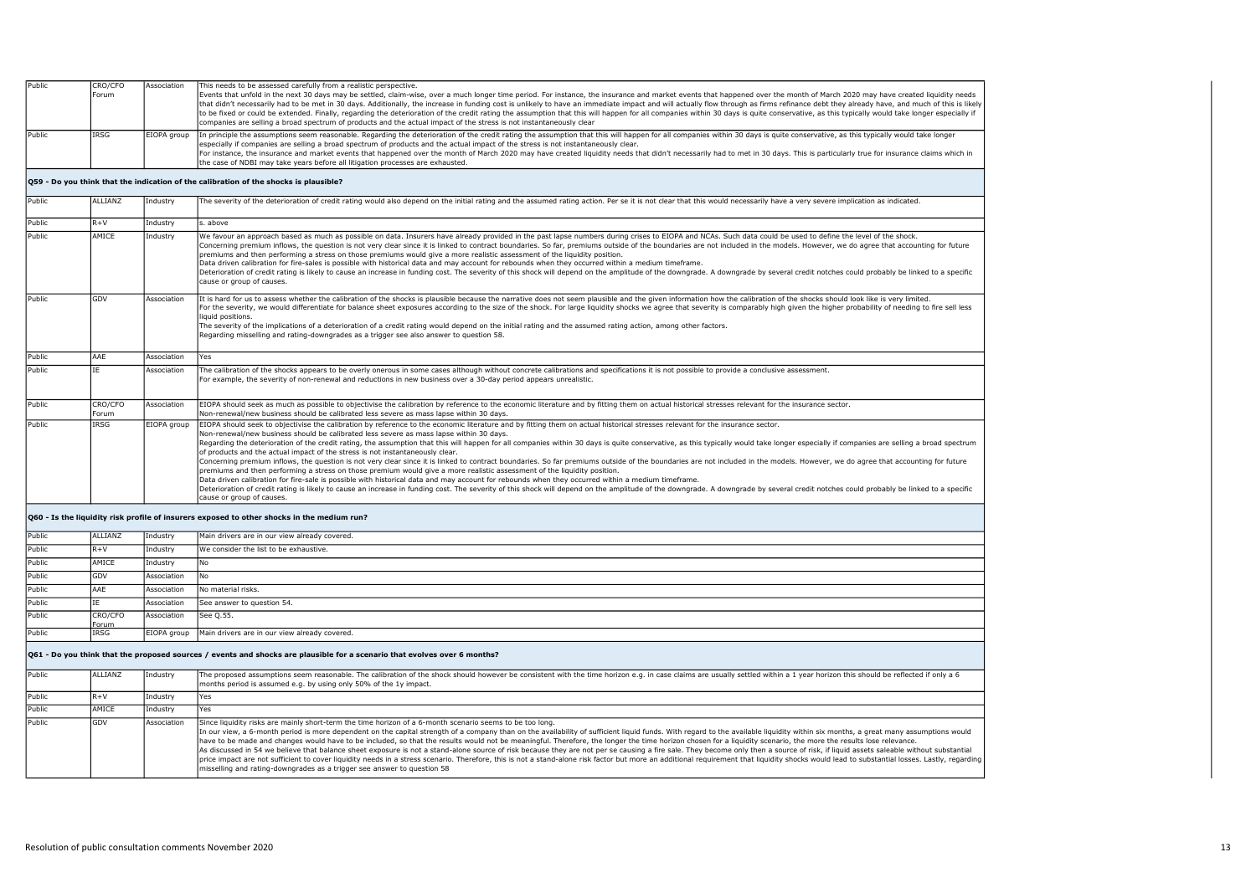| Public | CRO/CFO<br>Forum | Association | This needs to be assessed carefully from a realistic perspective.<br>Events that unfold in the next 30 days may be settled, claim-wise, over a much longer time period. For instance, the insurance and market events that happened over the month of March 2020 may have created liquidity needs<br>that didn't necessarily had to be met in 30 days. Additionally, the increase in funding cost is unlikely to have an immediate impact and will actually flow through as firms refinance debt they already have, and much of thi<br>to be fixed or could be extended. Finally, regarding the deterioration of the credit rating the assumption that this will happen for all companies within 30 days is quite conservative, as this typically would take longer e<br>companies are selling a broad spectrum of products and the actual impact of the stress is not instantaneously clear                                                                                                                                                                                                                                                                                                                                                                                                                                                                                  |
|--------|------------------|-------------|-------------------------------------------------------------------------------------------------------------------------------------------------------------------------------------------------------------------------------------------------------------------------------------------------------------------------------------------------------------------------------------------------------------------------------------------------------------------------------------------------------------------------------------------------------------------------------------------------------------------------------------------------------------------------------------------------------------------------------------------------------------------------------------------------------------------------------------------------------------------------------------------------------------------------------------------------------------------------------------------------------------------------------------------------------------------------------------------------------------------------------------------------------------------------------------------------------------------------------------------------------------------------------------------------------------------------------------------------------------------------------|
|        |                  |             |                                                                                                                                                                                                                                                                                                                                                                                                                                                                                                                                                                                                                                                                                                                                                                                                                                                                                                                                                                                                                                                                                                                                                                                                                                                                                                                                                                               |
| Public | IRSG             | EIOPA group | In principle the assumptions seem reasonable. Regarding the deterioration of the credit rating the assumption that this will happen for all companies within 30 days is quite conservative, as this typically would take longe<br>especially if companies are selling a broad spectrum of products and the actual impact of the stress is not instantaneously clear.<br>For instance, the insurance and market events that happened over the month of March 2020 may have created liquidity needs that didn't necessarily had to met in 30 days. This is particularly true for insurance claims which<br>the case of NDBI may take years before all litigation processes are exhausted.                                                                                                                                                                                                                                                                                                                                                                                                                                                                                                                                                                                                                                                                                       |
|        |                  |             | Q59 - Do you think that the indication of the calibration of the shocks is plausible?                                                                                                                                                                                                                                                                                                                                                                                                                                                                                                                                                                                                                                                                                                                                                                                                                                                                                                                                                                                                                                                                                                                                                                                                                                                                                         |
| Public | <b>ALLIANZ</b>   | Industry    | The severity of the deterioration of credit rating would also depend on the initial rating and the assumed rating action. Per se it is not clear that this would necessarily have a very severe implication as indicated.                                                                                                                                                                                                                                                                                                                                                                                                                                                                                                                                                                                                                                                                                                                                                                                                                                                                                                                                                                                                                                                                                                                                                     |
| Public | $R + V$          | Industry    | s. above                                                                                                                                                                                                                                                                                                                                                                                                                                                                                                                                                                                                                                                                                                                                                                                                                                                                                                                                                                                                                                                                                                                                                                                                                                                                                                                                                                      |
| Public | AMICE            | Industry    | We favour an approach based as much as possible on data. Insurers have already provided in the past lapse numbers during crises to EIOPA and NCAs. Such data could be used to define the level of the shock.<br>Concerning premium inflows, the question is not very clear since it is linked to contract boundaries. So far, premiums outside of the boundaries are not included in the models. However, we do agree that accounting for futu<br>premiums and then performing a stress on those premiums would give a more realistic assessment of the liquidity position.<br>Data driven calibration for fire-sales is possible with historical data and may account for rebounds when they occurred within a medium timeframe.<br>Deterioration of credit rating is likely to cause an increase in funding cost. The severity of this shock will depend on the amplitude of the downgrade. A downgrade by several credit notches could probably be linked to a s<br>cause or group of causes.                                                                                                                                                                                                                                                                                                                                                                              |
| Public | GDV              | Association | It is hard for us to assess whether the calibration of the shocks is plausible because the narrative does not seem plausible and the given information how the calibration of the shocks should look like is very limited.<br>For the severity, we would differentiate for balance sheet exposures according to the size of the shock. For large liquidity shocks we agree that severity is comparably high given the higher probability of needing to fire<br>liquid positions.<br>The severity of the implications of a deterioration of a credit rating would depend on the initial rating and the assumed rating action, among other factors.<br>Regarding misselling and rating-downgrades as a trigger see also answer to question 58.                                                                                                                                                                                                                                                                                                                                                                                                                                                                                                                                                                                                                                  |
| Public | AAF              | Association | Yes                                                                                                                                                                                                                                                                                                                                                                                                                                                                                                                                                                                                                                                                                                                                                                                                                                                                                                                                                                                                                                                                                                                                                                                                                                                                                                                                                                           |
| Public | ΙĒ               | Association | The calibration of the shocks appears to be overly onerous in some cases although without concrete calibrations and specifications it is not possible to provide a conclusive assessment.<br>For example, the severity of non-renewal and reductions in new business over a 30-day period appears unrealistic.                                                                                                                                                                                                                                                                                                                                                                                                                                                                                                                                                                                                                                                                                                                                                                                                                                                                                                                                                                                                                                                                |
| Public | CRO/CFO<br>Forum | Association | EIOPA should seek as much as possible to objectivise the calibration by reference to the economic literature and by fitting them on actual historical stresses relevant for the insurance sector.<br>Non-renewal/new business should be calibrated less severe as mass lapse within 30 days.                                                                                                                                                                                                                                                                                                                                                                                                                                                                                                                                                                                                                                                                                                                                                                                                                                                                                                                                                                                                                                                                                  |
| Public | IRSG             | EIOPA group | EIOPA should seek to objectivise the calibration by reference to the economic literature and by fitting them on actual historical stresses relevant for the insurance sector.<br>Non-renewal/new business should be calibrated less severe as mass lapse within 30 days.<br>Regarding the deterioration of the credit rating, the assumption that this will happen for all companies within 30 days is quite conservative, as this typically would take longer especially if companies are selling a broad<br>of products and the actual impact of the stress is not instantaneously clear.<br>Concerning premium inflows, the question is not very clear since it is linked to contract boundaries. So far premiums outside of the boundaries are not included in the models. However, we do agree that accounting for futur<br>premiums and then performing a stress on those premium would give a more realistic assessment of the liquidity position.<br>Data driven calibration for fire-sale is possible with historical data and may account for rebounds when they occurred within a medium timeframe.<br>Deterioration of credit rating is likely to cause an increase in funding cost. The severity of this shock will depend on the amplitude of the downgrade. A downgrade by several credit notches could probably be linked to a s<br>cause or group of causes. |
|        |                  |             | Q60 - Is the liquidity risk profile of insurers exposed to other shocks in the medium run?                                                                                                                                                                                                                                                                                                                                                                                                                                                                                                                                                                                                                                                                                                                                                                                                                                                                                                                                                                                                                                                                                                                                                                                                                                                                                    |
| Public | <b>ALLIANZ</b>   | Industry    | Main drivers are in our view already covered.                                                                                                                                                                                                                                                                                                                                                                                                                                                                                                                                                                                                                                                                                                                                                                                                                                                                                                                                                                                                                                                                                                                                                                                                                                                                                                                                 |
| Public | $R + V$          | Industry    | We consider the list to be exhaustive.                                                                                                                                                                                                                                                                                                                                                                                                                                                                                                                                                                                                                                                                                                                                                                                                                                                                                                                                                                                                                                                                                                                                                                                                                                                                                                                                        |
| Public | AMICE            | Industry    | No                                                                                                                                                                                                                                                                                                                                                                                                                                                                                                                                                                                                                                                                                                                                                                                                                                                                                                                                                                                                                                                                                                                                                                                                                                                                                                                                                                            |
| Public | GDV              | Association | No                                                                                                                                                                                                                                                                                                                                                                                                                                                                                                                                                                                                                                                                                                                                                                                                                                                                                                                                                                                                                                                                                                                                                                                                                                                                                                                                                                            |
| Public | AAE              | Association | No material risks.                                                                                                                                                                                                                                                                                                                                                                                                                                                                                                                                                                                                                                                                                                                                                                                                                                                                                                                                                                                                                                                                                                                                                                                                                                                                                                                                                            |
| Public | ĪΕ               | Association | See answer to question 54.                                                                                                                                                                                                                                                                                                                                                                                                                                                                                                                                                                                                                                                                                                                                                                                                                                                                                                                                                                                                                                                                                                                                                                                                                                                                                                                                                    |
| Public | CRO/CFO<br>Forum | Association | See 0.55.                                                                                                                                                                                                                                                                                                                                                                                                                                                                                                                                                                                                                                                                                                                                                                                                                                                                                                                                                                                                                                                                                                                                                                                                                                                                                                                                                                     |
| Public | <b>TRSG</b>      | EIOPA group | Main drivers are in our view already covered.                                                                                                                                                                                                                                                                                                                                                                                                                                                                                                                                                                                                                                                                                                                                                                                                                                                                                                                                                                                                                                                                                                                                                                                                                                                                                                                                 |
|        |                  |             | Q61 - Do you think that the proposed sources / events and shocks are plausible for a scenario that evolves over 6 months?                                                                                                                                                                                                                                                                                                                                                                                                                                                                                                                                                                                                                                                                                                                                                                                                                                                                                                                                                                                                                                                                                                                                                                                                                                                     |
| Public | ALLIANZ          | Industry    | The proposed assumptions seem reasonable. The calibration of the shock should however be consistent with the time horizon e.g. in case claims are usually settled within a 1 year horizon this should be reflected if only a 6<br>months period is assumed e.g. by using only 50% of the 1y impact.                                                                                                                                                                                                                                                                                                                                                                                                                                                                                                                                                                                                                                                                                                                                                                                                                                                                                                                                                                                                                                                                           |
| Public | $R + V$          | Industry    | Yes                                                                                                                                                                                                                                                                                                                                                                                                                                                                                                                                                                                                                                                                                                                                                                                                                                                                                                                                                                                                                                                                                                                                                                                                                                                                                                                                                                           |
| Public | AMICE            | Industry    | Yes                                                                                                                                                                                                                                                                                                                                                                                                                                                                                                                                                                                                                                                                                                                                                                                                                                                                                                                                                                                                                                                                                                                                                                                                                                                                                                                                                                           |
| Public | GDV              | Association | Since liquidity risks are mainly short-term the time horizon of a 6-month scenario seems to be too long.<br>In our view, a 6-month period is more dependent on the capital strength of a company than on the availability of sufficient liquid funds. With regard to the available liquidity within six months, a great many assumptions w<br>have to be made and changes would have to be included, so that the results would not be meaningful. Therefore, the longer the time horizon chosen for a liquidity scenario, the more the results lose relevance.<br>As discussed in 54 we believe that balance sheet exposure is not a stand-alone source of risk because they are not per se causing a fire sale. They become only then a source of risk, if liquid assets saleable without subst<br>price impact are not sufficient to cover liquidity needs in a stress scenario. Therefore, this is not a stand-alone risk factor but more an additional requirement that liquidity shocks would lead to substantial losses. Las<br>misselling and rating-downgrades as a trigger see answer to question 58                                                                                                                                                                                                                                                                 |
|        |                  |             |                                                                                                                                                                                                                                                                                                                                                                                                                                                                                                                                                                                                                                                                                                                                                                                                                                                                                                                                                                                                                                                                                                                                                                                                                                                                                                                                                                               |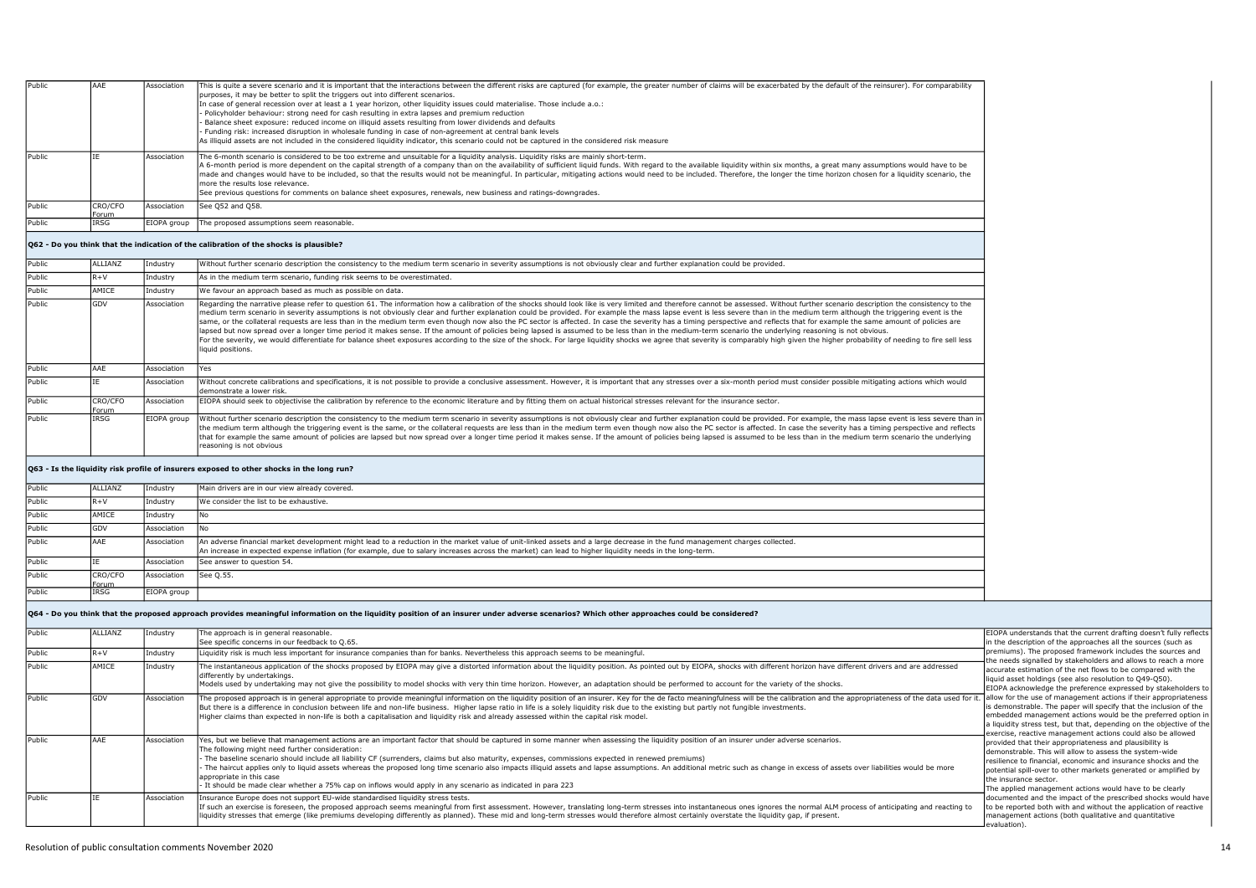| Public                     | AAE             | Association                | This is quite a severe scenario and it is important that the interactions between the different risks are captured (for example, the greater number of claims will be exacerbated by the default of the reinsurer). For compar<br>purposes, it may be better to split the triggers out into different scenarios.<br>In case of general recession over at least a 1 year horizon, other liquidity issues could materialise. Those include a.o.:<br>Policyholder behaviour: strong need for cash resulting in extra lapses and premium reduction<br>Balance sheet exposure: reduced income on illiquid assets resulting from lower dividends and defaults<br>Funding risk: increased disruption in wholesale funding in case of non-agreement at central bank levels<br>As illiquid assets are not included in the considered liquidity indicator, this scenario could not be captured in the considered risk measure                                                                                                                                                                                                                                            |                                                                                                                                                                                                                                                                                                                                                                                                                                                                             |
|----------------------------|-----------------|----------------------------|----------------------------------------------------------------------------------------------------------------------------------------------------------------------------------------------------------------------------------------------------------------------------------------------------------------------------------------------------------------------------------------------------------------------------------------------------------------------------------------------------------------------------------------------------------------------------------------------------------------------------------------------------------------------------------------------------------------------------------------------------------------------------------------------------------------------------------------------------------------------------------------------------------------------------------------------------------------------------------------------------------------------------------------------------------------------------------------------------------------------------------------------------------------|-----------------------------------------------------------------------------------------------------------------------------------------------------------------------------------------------------------------------------------------------------------------------------------------------------------------------------------------------------------------------------------------------------------------------------------------------------------------------------|
| Public                     |                 | Association                | The 6-month scenario is considered to be too extreme and unsuitable for a liquidity analysis. Liquidity risks are mainly short-term.<br>A 6-month period is more dependent on the capital strength of a company than on the availability of sufficient liquid funds. With regard to the available liquidity within six months, a great many assumptions would have to<br>made and changes would have to be included, so that the results would not be meaningful. In particular, mitigating actions would need to be included. Therefore, the longer the time horizon chosen for a liquidity scenario,<br>more the results lose relevance.<br>See previous questions for comments on balance sheet exposures, renewals, new business and ratings-downgrades.                                                                                                                                                                                                                                                                                                                                                                                                   |                                                                                                                                                                                                                                                                                                                                                                                                                                                                             |
| Public                     | CRO/CFO<br>orum | Association                | See Q52 and Q58                                                                                                                                                                                                                                                                                                                                                                                                                                                                                                                                                                                                                                                                                                                                                                                                                                                                                                                                                                                                                                                                                                                                                |                                                                                                                                                                                                                                                                                                                                                                                                                                                                             |
| Public                     | IRSG            | EIOPA group                | The proposed assumptions seem reasonable.                                                                                                                                                                                                                                                                                                                                                                                                                                                                                                                                                                                                                                                                                                                                                                                                                                                                                                                                                                                                                                                                                                                      |                                                                                                                                                                                                                                                                                                                                                                                                                                                                             |
|                            |                 |                            | Q62 - Do you think that the indication of the calibration of the shocks is plausible?                                                                                                                                                                                                                                                                                                                                                                                                                                                                                                                                                                                                                                                                                                                                                                                                                                                                                                                                                                                                                                                                          |                                                                                                                                                                                                                                                                                                                                                                                                                                                                             |
| Public                     | ALLIANZ         | Industry                   | Without further scenario description the consistency to the medium term scenario in severity assumptions is not obviously clear and further explanation could be provided.                                                                                                                                                                                                                                                                                                                                                                                                                                                                                                                                                                                                                                                                                                                                                                                                                                                                                                                                                                                     |                                                                                                                                                                                                                                                                                                                                                                                                                                                                             |
| Public                     | $R + V$         | Industry                   | As in the medium term scenario, funding risk seems to be overestimated.                                                                                                                                                                                                                                                                                                                                                                                                                                                                                                                                                                                                                                                                                                                                                                                                                                                                                                                                                                                                                                                                                        |                                                                                                                                                                                                                                                                                                                                                                                                                                                                             |
| Public                     | AMICE           | ndustry                    | We favour an approach based as much as possible on data.                                                                                                                                                                                                                                                                                                                                                                                                                                                                                                                                                                                                                                                                                                                                                                                                                                                                                                                                                                                                                                                                                                       |                                                                                                                                                                                                                                                                                                                                                                                                                                                                             |
| Public                     | GDV             | Association                | Regarding the narrative please refer to question 61. The information how a calibration of the shocks should look like is very limited and therefore cannot be assessed. Without further scenario description the consistency t<br>medium term scenario in severity assumptions is not obviously clear and further explanation could be provided. For example the mass lapse event is less severe than in the medium term although the triggering event is the<br>same, or the collateral requests are less than in the medium term even though now also the PC sector is affected. In case the severity has a timing perspective and reflects that for example the same amount of policies are<br>lapsed but now spread over a longer time period it makes sense. If the amount of policies being lapsed is assumed to be less than in the medium-term scenario the underlying reasoning is not obvious.<br>For the severity, we would differentiate for balance sheet exposures according to the size of the shock. For large liquidity shocks we agree that severity is comparably high given the higher probability of needing to fire<br>liquid positions. |                                                                                                                                                                                                                                                                                                                                                                                                                                                                             |
| Public                     | AAE             | Association                | Yes                                                                                                                                                                                                                                                                                                                                                                                                                                                                                                                                                                                                                                                                                                                                                                                                                                                                                                                                                                                                                                                                                                                                                            |                                                                                                                                                                                                                                                                                                                                                                                                                                                                             |
| Public                     |                 | Association                | Without concrete calibrations and specifications, it is not possible to provide a conclusive assessment. However, it is important that any stresses over a six-month period must consider possible mitigating actions which wo<br>demonstrate a lower risk                                                                                                                                                                                                                                                                                                                                                                                                                                                                                                                                                                                                                                                                                                                                                                                                                                                                                                     |                                                                                                                                                                                                                                                                                                                                                                                                                                                                             |
| Public                     | CRO/CFO<br>orum | Association                | EIOPA should seek to objectivise the calibration by reference to the economic literature and by fitting them on actual historical stresses relevant for the insurance sector.                                                                                                                                                                                                                                                                                                                                                                                                                                                                                                                                                                                                                                                                                                                                                                                                                                                                                                                                                                                  |                                                                                                                                                                                                                                                                                                                                                                                                                                                                             |
| Public                     | IRSG            | EIOPA group                | Without further scenario description the consistency to the medium term scenario in severity assumptions is not obviously clear and further explanation could be provided. For example, the mass lapse event is less severe th<br>the medium term although the triggering event is the same, or the collateral requests are less than in the medium term even though now also the PC sector is affected. In case the severity has a timing perspective and refle<br>that for example the same amount of policies are lapsed but now spread over a longer time period it makes sense. If the amount of policies being lapsed is assumed to be less than in the medium term scenario the underlying<br>reasoning is not obvious                                                                                                                                                                                                                                                                                                                                                                                                                                  |                                                                                                                                                                                                                                                                                                                                                                                                                                                                             |
|                            |                 |                            | Q63 - Is the liquidity risk profile of insurers exposed to other shocks in the long run?                                                                                                                                                                                                                                                                                                                                                                                                                                                                                                                                                                                                                                                                                                                                                                                                                                                                                                                                                                                                                                                                       |                                                                                                                                                                                                                                                                                                                                                                                                                                                                             |
| Public                     | ALLTANZ         | Industry                   | Main drivers are in our view already covered                                                                                                                                                                                                                                                                                                                                                                                                                                                                                                                                                                                                                                                                                                                                                                                                                                                                                                                                                                                                                                                                                                                   |                                                                                                                                                                                                                                                                                                                                                                                                                                                                             |
| Public                     | $R + V$         | Industry                   | We consider the list to be exhaustive.                                                                                                                                                                                                                                                                                                                                                                                                                                                                                                                                                                                                                                                                                                                                                                                                                                                                                                                                                                                                                                                                                                                         |                                                                                                                                                                                                                                                                                                                                                                                                                                                                             |
| Public                     | AMICE           | Industry                   | Nο                                                                                                                                                                                                                                                                                                                                                                                                                                                                                                                                                                                                                                                                                                                                                                                                                                                                                                                                                                                                                                                                                                                                                             |                                                                                                                                                                                                                                                                                                                                                                                                                                                                             |
| Public                     | GDV             | Association                | No                                                                                                                                                                                                                                                                                                                                                                                                                                                                                                                                                                                                                                                                                                                                                                                                                                                                                                                                                                                                                                                                                                                                                             |                                                                                                                                                                                                                                                                                                                                                                                                                                                                             |
| Public                     | AAE             | Association                | An adverse financial market development might lead to a reduction in the market value of unit-linked assets and a large decrease in the fund management charges collected.                                                                                                                                                                                                                                                                                                                                                                                                                                                                                                                                                                                                                                                                                                                                                                                                                                                                                                                                                                                     |                                                                                                                                                                                                                                                                                                                                                                                                                                                                             |
|                            |                 |                            | An increase in expected expense inflation (for example, due to salary increases across the market) can lead to higher liquidity needs in the long-term.                                                                                                                                                                                                                                                                                                                                                                                                                                                                                                                                                                                                                                                                                                                                                                                                                                                                                                                                                                                                        |                                                                                                                                                                                                                                                                                                                                                                                                                                                                             |
| Public                     |                 | Association                | See answer to question 54.                                                                                                                                                                                                                                                                                                                                                                                                                                                                                                                                                                                                                                                                                                                                                                                                                                                                                                                                                                                                                                                                                                                                     |                                                                                                                                                                                                                                                                                                                                                                                                                                                                             |
| Public                     | CRO/CFO<br>orum | Association                | See Q.55.                                                                                                                                                                                                                                                                                                                                                                                                                                                                                                                                                                                                                                                                                                                                                                                                                                                                                                                                                                                                                                                                                                                                                      |                                                                                                                                                                                                                                                                                                                                                                                                                                                                             |
| Public                     | :RSG            | EIOPA group                |                                                                                                                                                                                                                                                                                                                                                                                                                                                                                                                                                                                                                                                                                                                                                                                                                                                                                                                                                                                                                                                                                                                                                                |                                                                                                                                                                                                                                                                                                                                                                                                                                                                             |
|                            |                 |                            |                                                                                                                                                                                                                                                                                                                                                                                                                                                                                                                                                                                                                                                                                                                                                                                                                                                                                                                                                                                                                                                                                                                                                                |                                                                                                                                                                                                                                                                                                                                                                                                                                                                             |
|                            |                 |                            | Q64 - Do you think that the proposed approach provides meaningful information on the liquidity position of an insurer under adverse scenarios? Which other approaches could be considered?                                                                                                                                                                                                                                                                                                                                                                                                                                                                                                                                                                                                                                                                                                                                                                                                                                                                                                                                                                     |                                                                                                                                                                                                                                                                                                                                                                                                                                                                             |
|                            | ALLIANZ         | Industry                   | The approach is in general reasonable.                                                                                                                                                                                                                                                                                                                                                                                                                                                                                                                                                                                                                                                                                                                                                                                                                                                                                                                                                                                                                                                                                                                         | EIOPA understands that the current drafting doesn't fully reflects                                                                                                                                                                                                                                                                                                                                                                                                          |
|                            | $R + V$         | Industry                   | See specific concerns in our feedback to Q.65.<br>Liquidity risk is much less important for insurance companies than for banks. Nevertheless this approach seems to be meaningful.                                                                                                                                                                                                                                                                                                                                                                                                                                                                                                                                                                                                                                                                                                                                                                                                                                                                                                                                                                             | in the description of the approaches all the sources (such as<br>premiums). The proposed framework includes the sources and                                                                                                                                                                                                                                                                                                                                                 |
| Public<br>Public<br>Public | AMICE           | Industry                   |                                                                                                                                                                                                                                                                                                                                                                                                                                                                                                                                                                                                                                                                                                                                                                                                                                                                                                                                                                                                                                                                                                                                                                | the needs signalled by stakeholders and allows to reach a more                                                                                                                                                                                                                                                                                                                                                                                                              |
|                            |                 |                            | The instantaneous application of the shocks proposed by EIOPA may give a distorted information about the liquidity position. As pointed out by EIOPA, shocks with different horizon have different drivers and are addressed<br>differently by undertakings.<br>Models used by undertaking may not give the possibility to model shocks with very thin time horizon. However, an adaptation should be performed to account for the variety of the shocks.                                                                                                                                                                                                                                                                                                                                                                                                                                                                                                                                                                                                                                                                                                      | accurate estimation of the net flows to be compared with the<br>liquid asset holdings (see also resolution to Q49-Q50).                                                                                                                                                                                                                                                                                                                                                     |
| Public                     | GDV             | Association                | The proposed approach is in general appropriate to provide meaningful information on the liquidity position of an insurer. Key for the de facto meaningfulness will be the calibration and the appropriateness of the data use<br>But there is a difference in conclusion between life and non-life business. Higher lapse ratio in life is a solely liquidity risk due to the existing but partly not fungible investments.<br>Higher claims than expected in non-life is both a capitalisation and liquidity risk and already assessed within the capital risk model.                                                                                                                                                                                                                                                                                                                                                                                                                                                                                                                                                                                        | EIOPA acknowledge the preference expressed by stakeholders to<br>allow for the use of management actions if their appropriateness<br>s demonstrable. The paper will specify that the inclusion of the<br>embedded management actions would be the preferred option in<br>a liquidity stress test, but that, depending on the objective of the                                                                                                                               |
| Public<br>Public           | AAE<br>TF.      | Association<br>Association | Yes, but we believe that management actions are an important factor that should be captured in some manner when assessing the liquidity position of an insurer under adverse scenarios.<br>The following might need further consideration:<br>The baseline scenario should include all liability CF (surrenders, claims but also maturity, expenses, commissions expected in renewed premiums)<br>The haircut applies only to liquid assets whereas the proposed long time scenario also impacts illiquid assets and lapse assumptions. An additional metric such as change in excess of assets over liabilities would be more<br>appropriate in this case<br>It should be made clear whether a 75% cap on inflows would apply in any scenario as indicated in para 223<br>Insurance Europe does not support EU-wide standardised liquidity stress tests.                                                                                                                                                                                                                                                                                                      | exercise, reactive management actions could also be allowed<br>provided that their appropriateness and plausibility is<br>demonstrable. This will allow to assess the system-wide<br>resilience to financial, economic and insurance shocks and the<br>potential spill-over to other markets generated or amplified by<br>the insurance sector.<br>The applied management actions would have to be clearly<br>locumented and the impact of the prescribed shocks would have |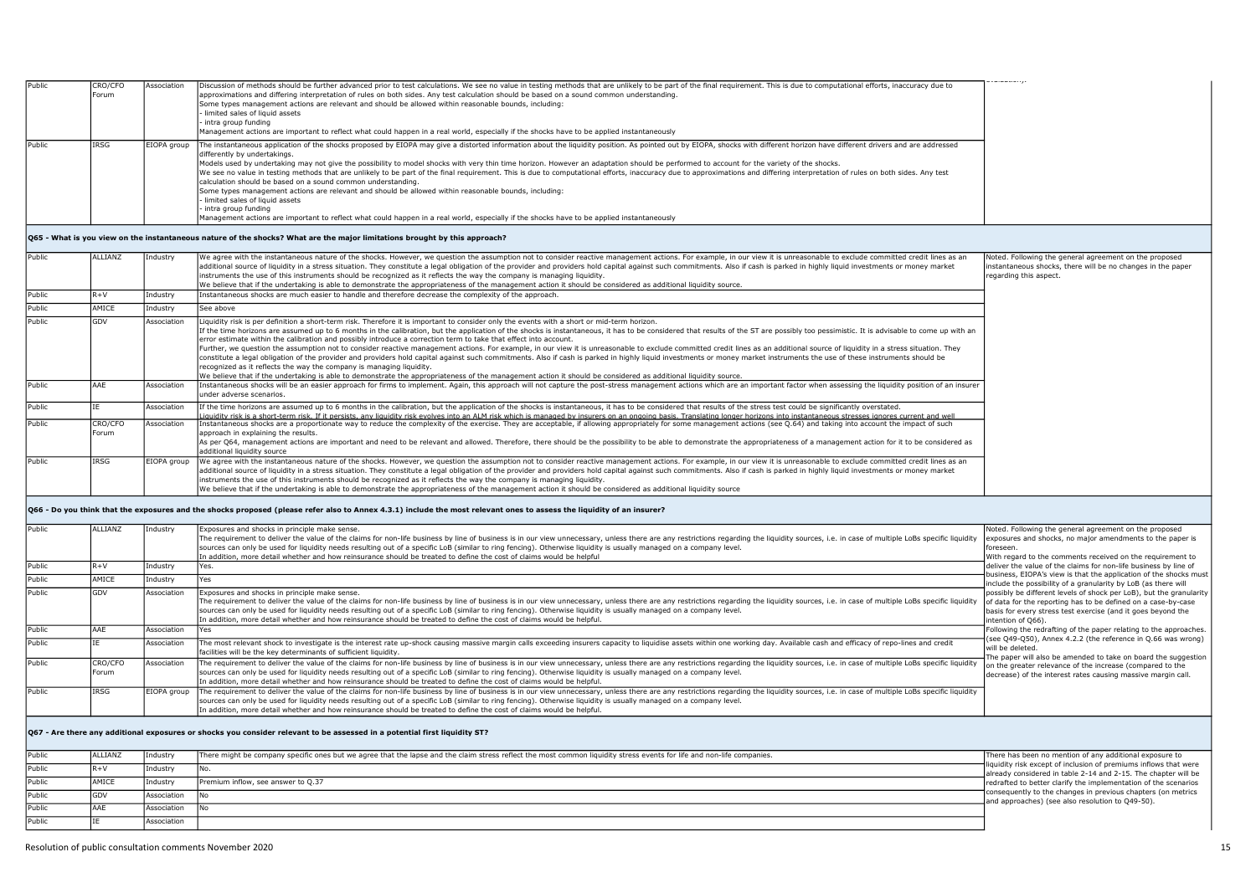| Public | CRO/CFO        | Association | Discussion of methods should be further advanced prior to test calculations. We see no value in testing methods that are unlikely to be part of the final requirement. This is due to computational efforts, inaccuracy due to                                                                                                                                                                                                                           |                                                                                                                                |
|--------|----------------|-------------|----------------------------------------------------------------------------------------------------------------------------------------------------------------------------------------------------------------------------------------------------------------------------------------------------------------------------------------------------------------------------------------------------------------------------------------------------------|--------------------------------------------------------------------------------------------------------------------------------|
|        | Forum          |             | approximations and differing interpretation of rules on both sides. Any test calculation should be based on a sound common understanding.                                                                                                                                                                                                                                                                                                                |                                                                                                                                |
|        |                |             | Some types management actions are relevant and should be allowed within reasonable bounds, including:                                                                                                                                                                                                                                                                                                                                                    |                                                                                                                                |
|        |                |             | limited sales of liquid assets                                                                                                                                                                                                                                                                                                                                                                                                                           |                                                                                                                                |
|        |                |             | intra group funding                                                                                                                                                                                                                                                                                                                                                                                                                                      |                                                                                                                                |
|        |                |             | Management actions are important to reflect what could happen in a real world, especially if the shocks have to be applied instantaneously                                                                                                                                                                                                                                                                                                               |                                                                                                                                |
| Public | IRSG           | EIOPA group | The instantaneous application of the shocks proposed by EIOPA may give a distorted information about the liquidity position. As pointed out by EIOPA, shocks with different horizon have different drivers and are addressed<br>differently by undertakings.                                                                                                                                                                                             |                                                                                                                                |
|        |                |             | Models used by undertaking may not give the possibility to model shocks with very thin time horizon. However an adaptation should be performed to account for the variety of the shocks.                                                                                                                                                                                                                                                                 |                                                                                                                                |
|        |                |             | We see no value in testing methods that are unlikely to be part of the final requirement. This is due to computational efforts, inaccuracy due to approximations and differing interpretation of rules on both sides. Any test                                                                                                                                                                                                                           |                                                                                                                                |
|        |                |             | calculation should be based on a sound common understanding.                                                                                                                                                                                                                                                                                                                                                                                             |                                                                                                                                |
|        |                |             | Some types management actions are relevant and should be allowed within reasonable bounds, including:<br>limited sales of liquid assets                                                                                                                                                                                                                                                                                                                  |                                                                                                                                |
|        |                |             | intra group funding                                                                                                                                                                                                                                                                                                                                                                                                                                      |                                                                                                                                |
|        |                |             | Management actions are important to reflect what could happen in a real world, especially if the shocks have to be applied instantaneously                                                                                                                                                                                                                                                                                                               |                                                                                                                                |
|        |                |             | Q65 - What is you view on the instantaneous nature of the shocks? What are the major limitations brought by this approach?                                                                                                                                                                                                                                                                                                                               |                                                                                                                                |
| Public | ALLIANZ        | Industry    | We agree with the instantaneous nature of the shocks. However, we question the assumption not to consider reactive management actions. For example, in our view it is unreasonable to exclude committed credit lines as an                                                                                                                                                                                                                               | Noted. Following the general agreement on the proposed                                                                         |
|        |                |             | additional source of liquidity in a stress situation. They constitute a legal obligation of the provider and providers hold capital against such commitments. Also if cash is parked in highly liquid investments or money mar                                                                                                                                                                                                                           | instantaneous shocks, there will be no changes in the paper                                                                    |
|        |                |             | instruments the use of this instruments should be recognized as it reflects the way the company is managing liquidity.<br>We believe that if the undertaking is able to demonstrate the appropriateness of the management action it should be considered as additional liquidity source.                                                                                                                                                                 | egarding this aspect.                                                                                                          |
| Public | $R+V$          | Industry    | Instantaneous shocks are much easier to handle and therefore decrease the complexity of the approach.                                                                                                                                                                                                                                                                                                                                                    |                                                                                                                                |
|        |                |             |                                                                                                                                                                                                                                                                                                                                                                                                                                                          |                                                                                                                                |
| Public | AMICE          | Industry    | See above                                                                                                                                                                                                                                                                                                                                                                                                                                                |                                                                                                                                |
| Public | GDV            | Association | Liquidity risk is per definition a short-term risk. Therefore it is important to consider only the events with a short or mid-term horizon.                                                                                                                                                                                                                                                                                                              |                                                                                                                                |
|        |                |             | If the time horizons are assumed up to 6 months in the calibration, but the application of the shocks is instantaneous, it has to be considered that results of the ST are possibly too pessimistic. It is advisable to come u<br>error estimate within the calibration and possibly introduce a correction term to take that effect into account.                                                                                                       |                                                                                                                                |
|        |                |             | Further, we question the assumption not to consider reactive management actions. For example, in our view it is unreasonable to exclude committed credit lines as an additional source of liquidity in a stress situation. The                                                                                                                                                                                                                           |                                                                                                                                |
|        |                |             | constitute a legal obligation of the provider and providers hold capital against such commitments. Also if cash is parked in highly liquid investments or money market instruments the use of these instruments should be                                                                                                                                                                                                                                |                                                                                                                                |
|        |                |             | recognized as it reflects the way the company is managing liquidity.                                                                                                                                                                                                                                                                                                                                                                                     |                                                                                                                                |
|        |                |             | We believe that if the undertaking is able to demonstrate the appropriateness of the management action it should be considered as additional liquidity source.                                                                                                                                                                                                                                                                                           |                                                                                                                                |
| Public | AAE            | Association | Instantaneous shocks will be an easier approach for firms to implement. Again, this approach will not capture the post-stress management actions which are an important factor when assessing the liquidity position of an ins                                                                                                                                                                                                                           |                                                                                                                                |
|        |                |             | inder adverse scenarios.                                                                                                                                                                                                                                                                                                                                                                                                                                 |                                                                                                                                |
| Public |                | Association | If the time horizons are assumed up to 6 months in the calibration, but the application of the shocks is instantaneous, it has to be considered that results of the stress test could be significantly overstated.                                                                                                                                                                                                                                       |                                                                                                                                |
| Public | CRO/CFO        | Association | iquidity risk is a short-term risk. If it persists, any liquidity risk evolves into an ALM risk which is managed by insurers on an ongoing basis. Translating longer horizons into instantaneous stresses ignores current and<br>Instantaneous shocks are a proportionate way to reduce the complexity of the exercise. They are acceptable, if allowing appropriately for some management actions (see Q.64) and taking into account the impact of such |                                                                                                                                |
|        | Forum          |             | approach in explaining the results.                                                                                                                                                                                                                                                                                                                                                                                                                      |                                                                                                                                |
|        |                |             | As per Q64, management actions are important and need to be relevant and allowed. Therefore, there should be the possibility to be able to demonstrate the appropriateness of a management action for it to be considered as                                                                                                                                                                                                                             |                                                                                                                                |
|        |                |             | additional liquidity source                                                                                                                                                                                                                                                                                                                                                                                                                              |                                                                                                                                |
| Public | IRSG           | EIOPA group | We agree with the instantaneous nature of the shocks. However, we question the assumption not to consider reactive management actions. For example, in our view it is unreasonable to exclude committed credit lines as an                                                                                                                                                                                                                               |                                                                                                                                |
|        |                |             | additional source of liquidity in a stress situation. They constitute a legal obligation of the provider and providers hold capital against such commitments. Also if cash is parked in highly liquid investments or money mar                                                                                                                                                                                                                           |                                                                                                                                |
|        |                |             | instruments the use of this instruments should be recognized as it reflects the way the company is managing liquidity.                                                                                                                                                                                                                                                                                                                                   |                                                                                                                                |
|        |                |             | We believe that if the undertaking is able to demonstrate the appropriateness of the management action it should be considered as additional liquidity source                                                                                                                                                                                                                                                                                            |                                                                                                                                |
|        |                |             | Q66 - Do you think that the exposures and the shocks proposed (please refer also to Annex 4.3.1) include the most relevant ones to assess the liquidity of an insurer?                                                                                                                                                                                                                                                                                   |                                                                                                                                |
|        |                |             |                                                                                                                                                                                                                                                                                                                                                                                                                                                          |                                                                                                                                |
| Public | <b>ALLIANZ</b> | Industry    | Exposures and shocks in principle make sense.                                                                                                                                                                                                                                                                                                                                                                                                            | Voted. Following the general agreement on the proposed                                                                         |
|        |                |             | The requirement to deliver the value of the claims for non-life business by line of business is in our view unnecessary, unless there are any restrictions regarding the liquidity sources, i.e. in case of multiple LoBs spec                                                                                                                                                                                                                           | exposures and shocks, no major amendments to the paper is                                                                      |
|        |                |             | sources can only be used for liquidity needs resulting out of a specific LoB (similar to ring fencing). Otherwise liquidity is usually managed on a company level.                                                                                                                                                                                                                                                                                       | foreseen.                                                                                                                      |
| Public | $R + V$        | Industry    | In addition, more detail whether and how reinsurance should be treated to define the cost of claims would be helpful<br>Yes.                                                                                                                                                                                                                                                                                                                             | With regard to the comments received on the requirement to<br>deliver the value of the claims for non-life business by line of |
|        |                |             |                                                                                                                                                                                                                                                                                                                                                                                                                                                          | business, EIOPA's view is that the application of the shocks must                                                              |
| Public | AMICE          | ndustry     | Yes                                                                                                                                                                                                                                                                                                                                                                                                                                                      | nclude the possibility of a granularity by LoB (as there will                                                                  |
| Public | GDV            | Association | Exposures and shocks in principle make sense.                                                                                                                                                                                                                                                                                                                                                                                                            | possibly be different levels of shock per LoB), but the granularity                                                            |
|        |                |             | The requirement to deliver the value of the claims for non-life business by line of business is in our view unnecessary, unless there are any restrictions regarding the liquidity sources, i.e. in case of multiple LoBs spec                                                                                                                                                                                                                           | of data for the reporting has to be defined on a case-by-case                                                                  |
|        |                |             | sources can only be used for liquidity needs resulting out of a specific LoB (similar to ring fencing). Otherwise liquidity is usually managed on a company level.                                                                                                                                                                                                                                                                                       | basis for every stress test exercise (and it goes beyond the                                                                   |
| Public | AAE            | Association | In addition, more detail whether and how reinsurance should be treated to define the cost of claims would be helpful.                                                                                                                                                                                                                                                                                                                                    | ntention of Q66).<br>Following the redrafting of the paper relating to the approaches.                                         |
|        |                |             | Yes                                                                                                                                                                                                                                                                                                                                                                                                                                                      | see Q49-Q50), Annex 4.2.2 (the reference in Q.66 was wrong)                                                                    |
| Public | TF.            | Association | The most relevant shock to investigate is the interest rate up-shock causing massive margin calls exceeding insurers capacity to liquidise assets within one working day. Available cash and efficacy of repo-lines and credit                                                                                                                                                                                                                           | will be deleted.                                                                                                               |
|        |                |             | facilities will be the key determinants of sufficient liquidity.                                                                                                                                                                                                                                                                                                                                                                                         | The paper will also be amended to take on board the suggestion                                                                 |
| Public | CRO/CFO        | Association | The requirement to deliver the value of the claims for non-life business by line of business is in our view unnecessary, unless there are any restrictions regarding the liquidity sources, i.e. in case of multiple LoBs spec                                                                                                                                                                                                                           | on the greater relevance of the increase (compared to the                                                                      |
|        | Forum          |             | sources can only be used for liquidity needs resulting out of a specific LoB (similar to ring fencing). Otherwise liquidity is usually managed on a company level.<br>In addition, more detail whether and how reinsurance should be treated to define the cost of claims would be helpful.                                                                                                                                                              | decrease) of the interest rates causing massive margin call.                                                                   |
| Public | IRSG           | EIOPA group | The requirement to deliver the value of the claims for non-life business by line of business is in our view unnecessary, unless there are any restrictions regarding the liquidity sources, i.e. in case of multiple LoBs spec                                                                                                                                                                                                                           |                                                                                                                                |
|        |                |             | sources can only be used for liquidity needs resulting out of a specific LoB (similar to ring fencing). Otherwise liquidity is usually managed on a company level.                                                                                                                                                                                                                                                                                       |                                                                                                                                |
|        |                |             | In addition, more detail whether and how reinsurance should be treated to define the cost of claims would be helpful                                                                                                                                                                                                                                                                                                                                     |                                                                                                                                |
|        |                |             |                                                                                                                                                                                                                                                                                                                                                                                                                                                          |                                                                                                                                |
|        |                |             | Q67 - Are there any additional exposures or shocks you consider relevant to be assessed in a potential first liquidity ST?                                                                                                                                                                                                                                                                                                                               |                                                                                                                                |
|        |                |             |                                                                                                                                                                                                                                                                                                                                                                                                                                                          |                                                                                                                                |
| Public | ALLIANZ        | Industry    | There might be company specific ones but we agree that the lapse and the claim stress reflect the most common liquidity stress events for life and non-life companies.                                                                                                                                                                                                                                                                                   | There has been no mention of any additional exposure to                                                                        |
| Public | $R + V$        | Industry    | No.                                                                                                                                                                                                                                                                                                                                                                                                                                                      | iquidity risk except of inclusion of premiums inflows that were                                                                |
|        |                |             |                                                                                                                                                                                                                                                                                                                                                                                                                                                          | already considered in table 2-14 and 2-15. The chapter will be                                                                 |
| Public | AMICE          | ndustry     | Premium inflow, see answer to Q.37                                                                                                                                                                                                                                                                                                                                                                                                                       | redrafted to better clarify the implementation of the scenarios                                                                |
| Public | GDV            | Association |                                                                                                                                                                                                                                                                                                                                                                                                                                                          | consequently to the changes in previous chapters (on metrics<br>and approaches) (see also resolution to Q49-50).               |
| Public | AAE            | Association | No                                                                                                                                                                                                                                                                                                                                                                                                                                                       |                                                                                                                                |
| Public | <b>TF</b>      | Association |                                                                                                                                                                                                                                                                                                                                                                                                                                                          |                                                                                                                                |
|        |                |             |                                                                                                                                                                                                                                                                                                                                                                                                                                                          |                                                                                                                                |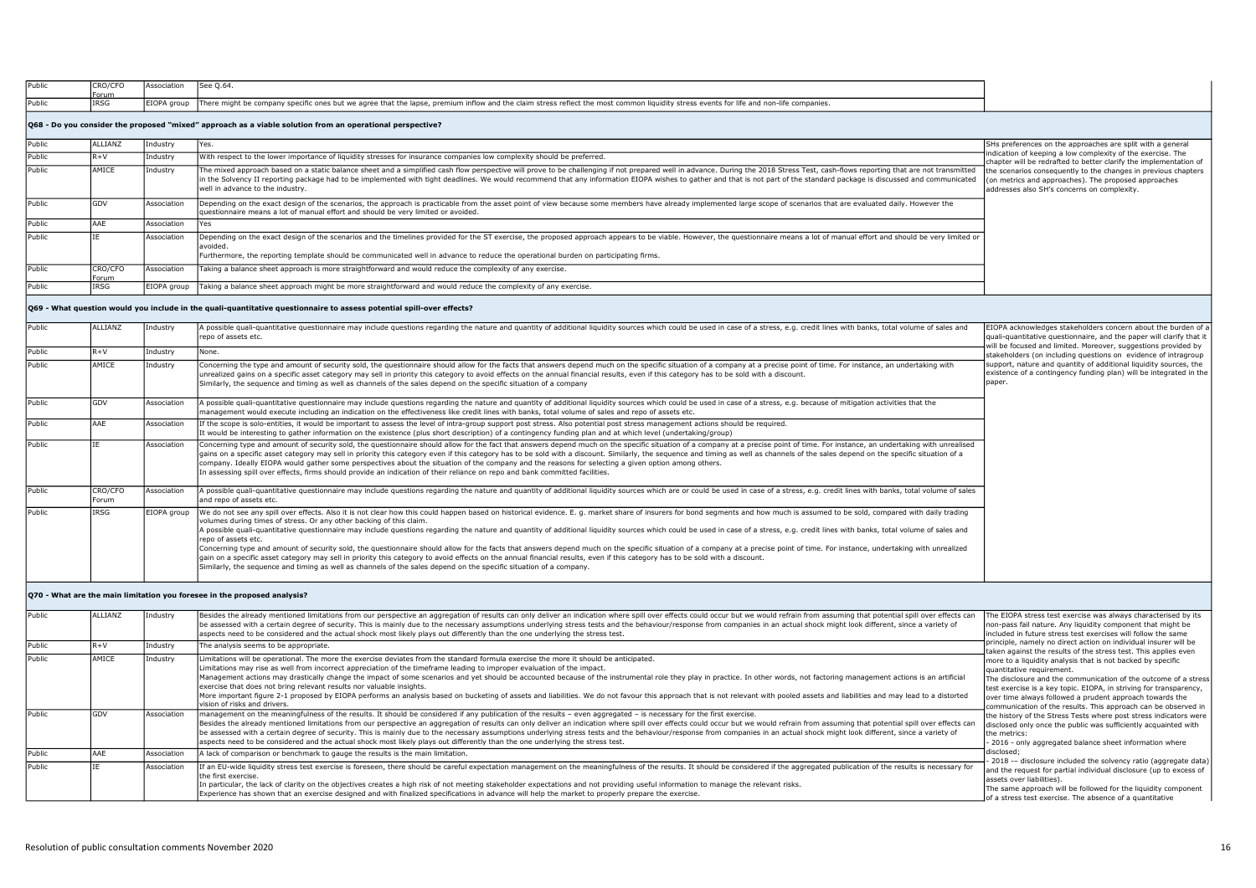| Public                                                   | CRO/CFO          | Association | See 0.64.                                                                                                                                                                                                                                                                                                                                                                                                                                                                                                                                                                                                                                                                                                                                               |                                                                                                                                                                       |
|----------------------------------------------------------|------------------|-------------|---------------------------------------------------------------------------------------------------------------------------------------------------------------------------------------------------------------------------------------------------------------------------------------------------------------------------------------------------------------------------------------------------------------------------------------------------------------------------------------------------------------------------------------------------------------------------------------------------------------------------------------------------------------------------------------------------------------------------------------------------------|-----------------------------------------------------------------------------------------------------------------------------------------------------------------------|
| Public                                                   | Forum<br>IRSG    | EIOPA group | There might be company specific ones but we agree that the lapse, premium inflow and the claim stress reflect the most common liquidity stress events for life and non-life companies.                                                                                                                                                                                                                                                                                                                                                                                                                                                                                                                                                                  |                                                                                                                                                                       |
|                                                          |                  |             | Q68 - Do you consider the proposed "mixed" approach as a viable solution from an operational perspective?                                                                                                                                                                                                                                                                                                                                                                                                                                                                                                                                                                                                                                               |                                                                                                                                                                       |
| Public                                                   | ALLIANZ          | Industry    | Yes.                                                                                                                                                                                                                                                                                                                                                                                                                                                                                                                                                                                                                                                                                                                                                    | SHs preferences on the approaches are split with a general                                                                                                            |
| Public                                                   | $R + V$          | Industry    | With respect to the lower importance of liquidity stresses for insurance companies low complexity should be preferred.                                                                                                                                                                                                                                                                                                                                                                                                                                                                                                                                                                                                                                  | ndication of keeping a low complexity of the exercise. The<br>chapter will be redrafted to better clarify the implementation of                                       |
| Public                                                   | AMICE            | Industry    | The mixed approach based on a static balance sheet and a simplified cash flow perspective will prove to be challenging if not prepared well in advance. During the 2018 Stress Test, cash-flows reporting that are not transmi<br>in the Solvency II reporting package had to be implemented with tight deadlines. We would recommend that any information EIOPA wishes to gather and that is not part of the standard package is discussed and communicated<br>well in advance to the industry.                                                                                                                                                                                                                                                        | the scenarios consequently to the changes in previous chapters<br>(on metrics and approaches). The proposed approaches<br>addresses also SH's concerns on complexity. |
| Public                                                   | GDV              | Association | Depending on the exact design of the scenarios, the approach is practicable from the asset point of view because some members have already implemented large scope of scenarios that are evaluated daily. However the<br>questionnaire means a lot of manual effort and should be very limited or avoided.                                                                                                                                                                                                                                                                                                                                                                                                                                              |                                                                                                                                                                       |
| Public                                                   | AAE              | Association | Yes                                                                                                                                                                                                                                                                                                                                                                                                                                                                                                                                                                                                                                                                                                                                                     |                                                                                                                                                                       |
| Public                                                   |                  | Association | Depending on the exact design of the scenarios and the timelines provided for the ST exercise, the proposed approach appears to be viable. However, the questionnaire means a lot of manual effort and should be very limited<br>avoided.<br>Furthermore, the reporting template should be communicated well in advance to reduce the operational burden on participating firms.                                                                                                                                                                                                                                                                                                                                                                        |                                                                                                                                                                       |
| Public                                                   | CRO/CFO<br>Forum | Association | Taking a balance sheet approach is more straightforward and would reduce the complexity of any exercise.                                                                                                                                                                                                                                                                                                                                                                                                                                                                                                                                                                                                                                                |                                                                                                                                                                       |
| Public                                                   | IRSG             | EIOPA group | Taking a balance sheet approach might be more straightforward and would reduce the complexity of any exercise.                                                                                                                                                                                                                                                                                                                                                                                                                                                                                                                                                                                                                                          |                                                                                                                                                                       |
| Public                                                   | ALLIANZ          | Industry    | A possible quali-quantitative questionnaire may include questions regarding the nature and quantity of additional liquidity sources which could be used in case of a stress, e.q. credit lines with banks, total volume of sal                                                                                                                                                                                                                                                                                                                                                                                                                                                                                                                          | EIOPA acknowledges stakeholders concern about the burden of a                                                                                                         |
|                                                          |                  |             |                                                                                                                                                                                                                                                                                                                                                                                                                                                                                                                                                                                                                                                                                                                                                         |                                                                                                                                                                       |
|                                                          |                  |             | repo of assets etc.                                                                                                                                                                                                                                                                                                                                                                                                                                                                                                                                                                                                                                                                                                                                     | quali-quantitative questionnaire, and the paper will clarify that it<br>will be focused and limited. Moreover, suggestions provided by                                |
|                                                          | $R + V$          | Industry    | None.                                                                                                                                                                                                                                                                                                                                                                                                                                                                                                                                                                                                                                                                                                                                                   | stakeholders (on including questions on evidence of intragroup                                                                                                        |
|                                                          | AMICE            | Industry    | Concerning the type and amount of security sold, the questionnaire should allow for the facts that answers depend much on the specific situation of a company at a precise point of time. For instance, an undertaking with<br>unrealized gains on a specific asset category may sell in priority this category to avoid effects on the annual financial results, even if this category has to be sold with a discount.<br>Similarly, the sequence and timing as well as channels of the sales depend on the specific situation of a company                                                                                                                                                                                                            | paper.                                                                                                                                                                |
|                                                          | GDV              | Association | A possible quali-quantitative questionnaire may include questions regarding the nature and quantity of additional liquidity sources which could be used in case of a stress, e.g. because of mitigation activities that the<br>management would execute including an indication on the effectiveness like credit lines with banks, total volume of sales and repo of assets etc.                                                                                                                                                                                                                                                                                                                                                                        |                                                                                                                                                                       |
|                                                          | AAE              | Association | If the scope is solo-entities, it would be important to assess the level of intra-group support post stress. Also potential post stress management actions should be required.<br>It would be interesting to gather information on the existence (plus short description) of a contingency funding plan and at which level (undertaking/group)                                                                                                                                                                                                                                                                                                                                                                                                          |                                                                                                                                                                       |
|                                                          |                  | Association | Concerning type and amount of security sold, the questionnaire should allow for the fact that answers depend much on the specific situation of a company at a precise point of time. For instance, an undertaking with unreali<br>gains on a specific asset category may sell in priority this category even if this category has to be sold with a discount. Similarly, the sequence and timing as well as channels of the sales depend on the specific situati<br>company. Ideally EIOPA would gather some perspectives about the situation of the company and the reasons for selecting a given option among others.<br>In assessing spill over effects, firms should provide an indication of their reliance on repo and bank committed facilities. |                                                                                                                                                                       |
| Public<br>Public<br>Public<br>Public<br>Public<br>Public | CRO/CFO<br>Forum | Association | A possible quali-quantitative questionnaire may include questions regarding the nature and quantity of additional liquidity sources which are or could be used in case of a stress, e.g. credit lines with banks, total volume<br>and repo of assets etc.                                                                                                                                                                                                                                                                                                                                                                                                                                                                                               | support, nature and quantity of additional liquidity sources, the<br>existence of a contingency funding plan) will be integrated in the                               |

## Q70 - What are the main limitation you foresee in the proposed analysis?

| Public | ALLIANZ    | Industry    | Besides the already mentioned limitations from our perspective an aggregation of results can only deliver an indication where spill over effects could occur but we would refrain from assuming that potential spill over effe<br>be assessed with a certain degree of security. This is mainly due to the necessary assumptions underlying stress tests and the behaviour/response from companies in an actual shock might look different, since a variety of                                                                                                                                                                                                                                                                                                                                                                              | The EIOPA stress test exercise was always characterised by its<br>non-pass fail nature. Any liquidity component that might be                                                                                                                                                                                                                                                                                                                                                                                                                                                       |
|--------|------------|-------------|---------------------------------------------------------------------------------------------------------------------------------------------------------------------------------------------------------------------------------------------------------------------------------------------------------------------------------------------------------------------------------------------------------------------------------------------------------------------------------------------------------------------------------------------------------------------------------------------------------------------------------------------------------------------------------------------------------------------------------------------------------------------------------------------------------------------------------------------|-------------------------------------------------------------------------------------------------------------------------------------------------------------------------------------------------------------------------------------------------------------------------------------------------------------------------------------------------------------------------------------------------------------------------------------------------------------------------------------------------------------------------------------------------------------------------------------|
|        |            |             | aspects need to be considered and the actual shock most likely plays out differently than the one underlying the stress test.                                                                                                                                                                                                                                                                                                                                                                                                                                                                                                                                                                                                                                                                                                               | lincluded in future stress test exercises will follow the same                                                                                                                                                                                                                                                                                                                                                                                                                                                                                                                      |
| Public | $R+V$      | Industry    | The analysis seems to be appropriate.                                                                                                                                                                                                                                                                                                                                                                                                                                                                                                                                                                                                                                                                                                                                                                                                       | principle, namely no direct action on individual insurer will be<br>taken against the results of the stress test. This applies even                                                                                                                                                                                                                                                                                                                                                                                                                                                 |
| Public | AMICE      | Industry    | Limitations will be operational. The more the exercise deviates from the standard formula exercise the more it should be anticipated.<br>Limitations may rise as well from incorrect appreciation of the timeframe leading to improper evaluation of the impact.<br>Management actions may drastically change the impact of some scenarios and yet should be accounted because of the instrumental role they play in practice. In other words, not factoring management actions is an artificial<br>exercise that does not bring relevant results nor valuable insights.<br>More important figure 2-1 proposed by EIOPA performs an analysis based on bucketing of assets and liabilities. We do not favour this approach that is not relevant with pooled assets and liabilities and may lead to a distor<br>lyision of risks and drivers. | more to a liquidity analysis that is not backed by specific<br>quantitative requirement.<br>The disclosure and the communication of the outcome of a stress<br>test exercise is a key topic. EIOPA, in striving for transparency,<br>over time always followed a prudent approach towards the<br>communication of the results. This approach can be observed in<br>the history of the Stress Tests where post stress indicators were<br>disclosed only once the public was sufficiently acquainted with<br>the metrics:<br>- 2016 - only aggregated balance sheet information where |
| Public | <b>GDV</b> | Association | management on the meaningfulness of the results. It should be considered if any publication of the results - even aggregated - is necessary for the first exercise.<br>Besides the already mentioned limitations from our perspective an aggregation of results can only deliver an indication where spill over effects could occur but we would refrain from assuming that potential spill over effe<br>be assessed with a certain degree of security. This is mainly due to the necessary assumptions underlying stress tests and the behaviour/response from companies in an actual shock might look different, since a variety of<br>aspects need to be considered and the actual shock most likely plays out differently than the one underlying the stress test.                                                                      |                                                                                                                                                                                                                                                                                                                                                                                                                                                                                                                                                                                     |
| Public | <b>AAE</b> | Association | A lack of comparison or benchmark to gauge the results is the main limitation.                                                                                                                                                                                                                                                                                                                                                                                                                                                                                                                                                                                                                                                                                                                                                              | disclosed;                                                                                                                                                                                                                                                                                                                                                                                                                                                                                                                                                                          |
| Public |            | Association | If an EU-wide liquidity stress test exercise is foreseen, there should be careful expectation management on the meaningfulness of the results. It should be considered if the aggregated publication of the results is necessa<br>Ithe first exercise.<br>In particular, the lack of clarity on the objectives creates a high risk of not meeting stakeholder expectations and not providing useful information to manage the relevant risks.<br>Experience has shown that an exercise designed and with finalized specifications in advance will help the market to properly prepare the exercise.                                                                                                                                                                                                                                         | - 2018 -- disclosure included the solvency ratio (aggregate data)<br>and the request for partial individual disclosure (up to excess of<br>assets over liabilities).<br>The same approach will be followed for the liquidity component<br>of a stress test exercise. The absence of a quantitative                                                                                                                                                                                                                                                                                  |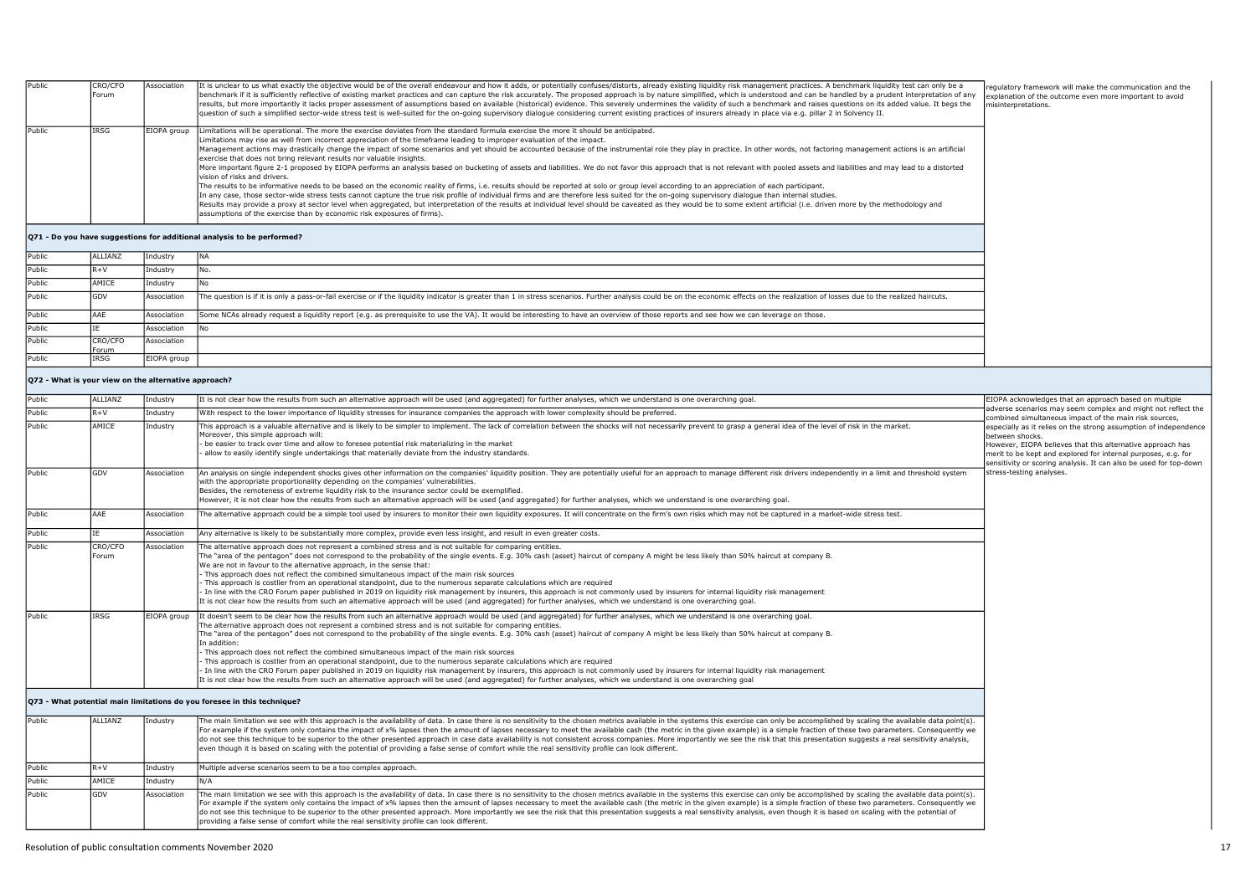| Public | CRO/CFO<br>Forum | Association | It is unclear to us what exactly the objective would be of the overall endeavour and how it adds, or potentially confuses/distorts, already existing liquidity risk management practices. A benchmark liquidity test can only<br>benchmark if it is sufficiently reflective of existing market practices and can capture the risk accurately. The proposed approach is by nature simplified, which is understood and can be handled by a prudent interpretation<br>results, but more importantly it lacks proper assessment of assumptions based on available (historical) evidence. This severely undermines the validity of such a benchmark and raises questions on its added value. It begs t<br>question of such a simplified sector-wide stress test is well-suited for the on-going supervisory dialoque considering current existing practices of insurers already in place via e.g. pillar 2 in Solvency II.                                                                                                                                                                                                                                                                                                                                                                                                                                                                                                                                                                                                                               | requlatory framework will make the communication and the<br>explanation of the outcome even more important to avoid<br>misinterpretations. |
|--------|------------------|-------------|-----------------------------------------------------------------------------------------------------------------------------------------------------------------------------------------------------------------------------------------------------------------------------------------------------------------------------------------------------------------------------------------------------------------------------------------------------------------------------------------------------------------------------------------------------------------------------------------------------------------------------------------------------------------------------------------------------------------------------------------------------------------------------------------------------------------------------------------------------------------------------------------------------------------------------------------------------------------------------------------------------------------------------------------------------------------------------------------------------------------------------------------------------------------------------------------------------------------------------------------------------------------------------------------------------------------------------------------------------------------------------------------------------------------------------------------------------------------------------------------------------------------------------------------------------|--------------------------------------------------------------------------------------------------------------------------------------------|
| Public | <b>IRSG</b>      | EIOPA group | Limitations will be operational. The more the exercise deviates from the standard formula exercise the more it should be anticipated.<br>Limitations may rise as well from incorrect appreciation of the timeframe leading to improper evaluation of the impact.<br>Management actions may drastically change the impact of some scenarios and yet should be accounted because of the instrumental role they play in practice. In other words, not factoring management actions is an artificial<br>exercise that does not bring relevant results nor valuable insights.<br>More important figure 2-1 proposed by EIOPA performs an analysis based on bucketing of assets and liabilities. We do not favor this approach that is not relevant with pooled assets and liabilities and may lead to a distort<br>lyision of risks and drivers.<br>The results to be informative needs to be based on the economic reality of firms, i.e. results should be reported at solo or group level according to an appreciation of each participant.<br>In any case, those sector-wide stress tests cannot capture the true risk profile of individual firms and are therefore less suited for the on-going supervisory dialogue than internal studies.<br>Results may provide a proxy at sector level when aggregated, but interpretation of the results at individual level should be caveated as they would be to some extent artificial (i.e. driven more by the methodology and<br>assumptions of the exercise than by economic risk exposures of firms). |                                                                                                                                            |
|        |                  |             | Q71 - Do you have suggestions for additional analysis to be performed?                                                                                                                                                                                                                                                                                                                                                                                                                                                                                                                                                                                                                                                                                                                                                                                                                                                                                                                                                                                                                                                                                                                                                                                                                                                                                                                                                                                                                                                                              |                                                                                                                                            |
| Public | ALLIANZ          | Industry    | <b>INA</b>                                                                                                                                                                                                                                                                                                                                                                                                                                                                                                                                                                                                                                                                                                                                                                                                                                                                                                                                                                                                                                                                                                                                                                                                                                                                                                                                                                                                                                                                                                                                          |                                                                                                                                            |
| Public | $R+V$            | Industry    |                                                                                                                                                                                                                                                                                                                                                                                                                                                                                                                                                                                                                                                                                                                                                                                                                                                                                                                                                                                                                                                                                                                                                                                                                                                                                                                                                                                                                                                                                                                                                     |                                                                                                                                            |
| Public | AMICE            | Industry    |                                                                                                                                                                                                                                                                                                                                                                                                                                                                                                                                                                                                                                                                                                                                                                                                                                                                                                                                                                                                                                                                                                                                                                                                                                                                                                                                                                                                                                                                                                                                                     |                                                                                                                                            |
| Public | <b>GDV</b>       | Association | The question is if it is only a pass-or-fail exercise or if the liquidity indicator is greater than 1 in stress scenarios. Further analysis could be on the economic effects on the realization of losses due to the realized                                                                                                                                                                                                                                                                                                                                                                                                                                                                                                                                                                                                                                                                                                                                                                                                                                                                                                                                                                                                                                                                                                                                                                                                                                                                                                                       |                                                                                                                                            |

| Public |               | Association | Some NCAs already request a liquidity report (e.g. as prerequisite to use the VA). It would be interesting to have an overview of those reports and see how we can leverage on those. |
|--------|---------------|-------------|---------------------------------------------------------------------------------------------------------------------------------------------------------------------------------------|
| Public |               | ssociation  |                                                                                                                                                                                       |
| Public | <b>RO/CFO</b> | Association |                                                                                                                                                                                       |
|        | Forum         |             |                                                                                                                                                                                       |
| Public | <b>IRSG</b>   | IOPA aroup: |                                                                                                                                                                                       |

## Q72 - What is your view on the alternative approach?

| Public          | ALLIANZ | Industry    | It is not clear how the results from such an alternative approach will be used (and aggregated) for further analyses, which we understand is one overarching goal.                                                                                                                                                                                                                                                                                                                                                                                                                                                                                                                                                                                                                                                                                                                                                                                                                                                                                                                          | EIOPA acknowledges that an approach based on multiple                                                                                          |                                                                                                                                       |
|-----------------|---------|-------------|---------------------------------------------------------------------------------------------------------------------------------------------------------------------------------------------------------------------------------------------------------------------------------------------------------------------------------------------------------------------------------------------------------------------------------------------------------------------------------------------------------------------------------------------------------------------------------------------------------------------------------------------------------------------------------------------------------------------------------------------------------------------------------------------------------------------------------------------------------------------------------------------------------------------------------------------------------------------------------------------------------------------------------------------------------------------------------------------|------------------------------------------------------------------------------------------------------------------------------------------------|---------------------------------------------------------------------------------------------------------------------------------------|
| Public<br>$R+V$ |         | Industry    | With respect to the lower importance of liquidity stresses for insurance companies the approach with lower complexity should be preferred.                                                                                                                                                                                                                                                                                                                                                                                                                                                                                                                                                                                                                                                                                                                                                                                                                                                                                                                                                  | adverse scenarios may seem complex and might not reflect the<br>combined simultaneous impact of the main risk sources.                         |                                                                                                                                       |
| Public<br>AMICE |         | Industry    | This approach is a valuable alternative and is likely to be simpler to implement. The lack of correlation between the shocks will not necessarily prevent to grasp a general idea of the level of risk in the market.<br>Moreover, this simple approach will:<br>- be easier to track over time and allow to foresee potential risk materializing in the market<br>allow to easily identify single undertakings that materially deviate from the industry standards.                                                                                                                                                                                                                                                                                                                                                                                                                                                                                                                                                                                                                        | hetween shocks.<br>However, EIOPA believes that this alternative approach has<br>merit to be kept and explored for internal purposes, e.g. for | especially as it relies on the strong assumption of independence<br>sensitivity or scoring analysis. It can also be used for top-down |
| GDV<br>Public   |         | Association | An analysis on single independent shocks gives other information on the companies' liquidity position. They are potentially useful for an approach to manage different risk drivers independently in a limit and threshold sys<br>with the appropriate proportionality depending on the companies' vulnerabilities.<br>Besides, the remoteness of extreme liquidity risk to the insurance sector could be exemplified.<br>However, it is not clear how the results from such an alternative approach will be used (and aggregated) for further analyses, which we understand is one overarching goal.                                                                                                                                                                                                                                                                                                                                                                                                                                                                                       | stress-testing analyses.                                                                                                                       |                                                                                                                                       |
| Public<br>AAF   |         | Association | The alternative approach could be a simple tool used by insurers to monitor their own liquidity exposures. It will concentrate on the firm's own risks which may not be captured in a market-wide stress test.                                                                                                                                                                                                                                                                                                                                                                                                                                                                                                                                                                                                                                                                                                                                                                                                                                                                              |                                                                                                                                                |                                                                                                                                       |
| Public          |         | Association | Any alternative is likely to be substantially more complex, provide even less insight, and result in even greater costs.                                                                                                                                                                                                                                                                                                                                                                                                                                                                                                                                                                                                                                                                                                                                                                                                                                                                                                                                                                    |                                                                                                                                                |                                                                                                                                       |
| Public<br>Forum | CRO/CFO | Association | The alternative approach does not represent a combined stress and is not suitable for comparing entities.<br>The "area of the pentagon" does not correspond to the probability of the single events. E.g. 30% cash (asset) haircut of company A might be less likely than 50% haircut at company B.<br>We are not in favour to the alternative approach, in the sense that:<br>- This approach does not reflect the combined simultaneous impact of the main risk sources<br>- This approach is costlier from an operational standpoint, due to the numerous separate calculations which are required<br>- In line with the CRO Forum paper published in 2019 on liquidity risk management by insurers, this approach is not commonly used by insurers for internal liquidity risk management<br>It is not clear how the results from such an alternative approach will be used (and aggregated) for further analyses, which we understand is one overarching goal.                                                                                                                         |                                                                                                                                                |                                                                                                                                       |
| Public<br>IRSG  |         | EIOPA group | It doesn't seem to be clear how the results from such an alternative approach would be used (and aggregated) for further analyses, which we understand is one overarching goal.<br>The alternative approach does not represent a combined stress and is not suitable for comparing entities.<br>The "area of the pentagon" does not correspond to the probability of the single events. E.g. 30% cash (asset) haircut of company A might be less likely than 50% haircut at company B.<br>In addition:<br>- This approach does not reflect the combined simultaneous impact of the main risk sources<br>- This approach is costlier from an operational standpoint, due to the numerous separate calculations which are required<br>In line with the CRO Forum paper published in 2019 on liquidity risk management by insurers, this approach is not commonly used by insurers for internal liquidity risk management<br>It is not clear how the results from such an alternative approach will be used (and aggregated) for further analyses, which we understand is one overarching goal |                                                                                                                                                |                                                                                                                                       |

| Public | ALLIANZ    | Industry    | The main limitation we see with this approach is the availability of data. In case there is no sensitivity to the chosen metrics available in the systems this exercise can only be accomplished by scaling the available data<br>For example if the system only contains the impact of x% lapses then the amount of lapses necessary to meet the available cash (the metric in the qiven example) is a simple fraction of these two parameters. Consequently we<br>do not see this technique to be superior to the other presented approach in case data availability is not consistent across companies. More importantly we see the risk that this presentation suggests a real sensitivity ana<br>Jeven though it is based on scaling with the potential of providing a false sense of comfort while the real sensitivity profile can look different. |
|--------|------------|-------------|-----------------------------------------------------------------------------------------------------------------------------------------------------------------------------------------------------------------------------------------------------------------------------------------------------------------------------------------------------------------------------------------------------------------------------------------------------------------------------------------------------------------------------------------------------------------------------------------------------------------------------------------------------------------------------------------------------------------------------------------------------------------------------------------------------------------------------------------------------------|
| Public |            | Industry    | Multiple adverse scenarios seem to be a too complex approach.                                                                                                                                                                                                                                                                                                                                                                                                                                                                                                                                                                                                                                                                                                                                                                                             |
| Public | AMICE      | Industrv    | IN/A                                                                                                                                                                                                                                                                                                                                                                                                                                                                                                                                                                                                                                                                                                                                                                                                                                                      |
| Public | <b>GDV</b> | Association | The main limitation we see with this approach is the availability of data. In case there is no sensitivity to the chosen metrics available in the systems this exercise can only be accomplished by scaling the available data<br>For example if the system only contains the impact of x% lapses then the amount of lapses necessary to meet the available cash (the metric in the given example) is a simple fraction of these two parameters. Consequently we<br>do not see this technique to be superior to the other presented approach. More importantly we see the risk that this presentation suggests a real sensitivity analysis, even though it is based on scaling with the potential<br>providing a false sense of comfort while the real sensitivity profile can look different.                                                            |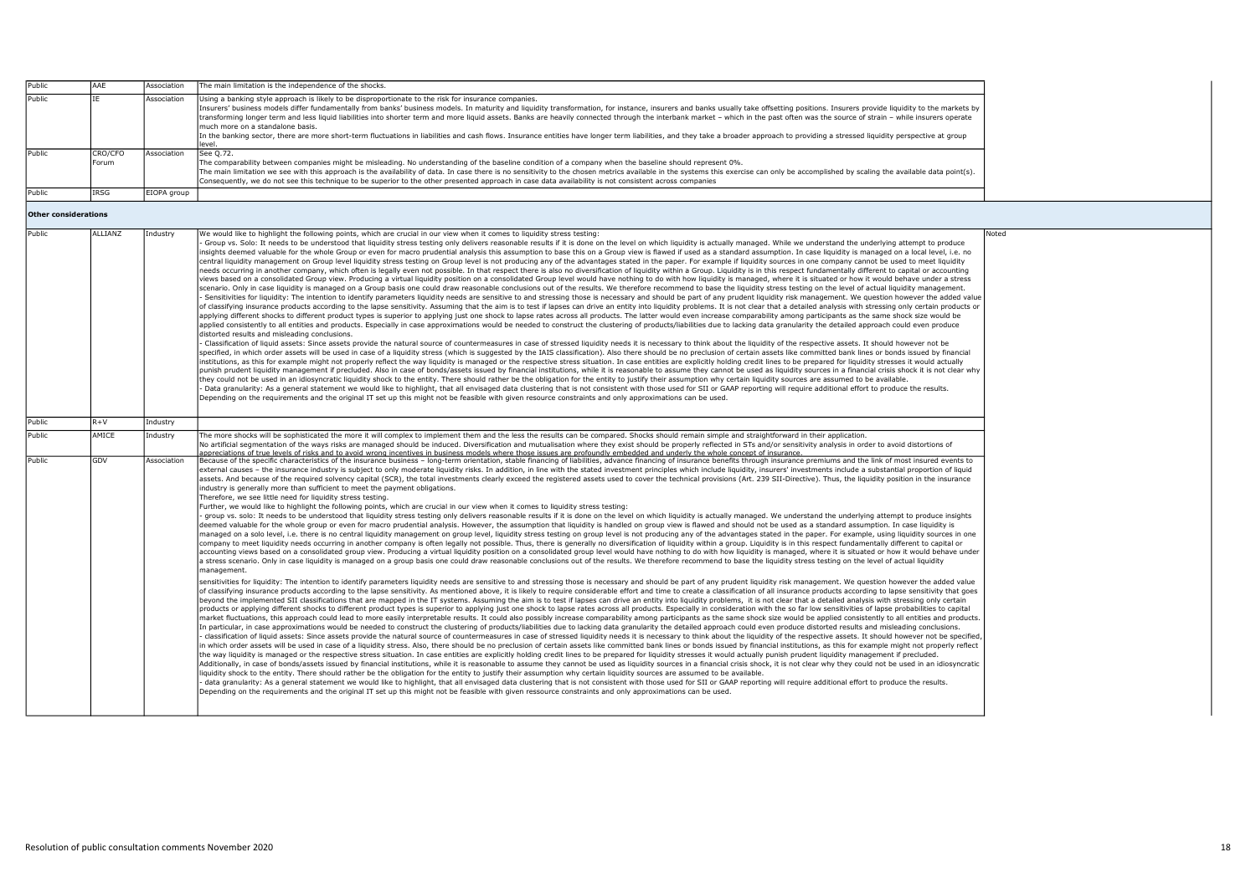| Public                                | AAE              | Association             | The main limitation is the independence of the shocks.                                                                                                                                                                                                                                                                                                                                                                                                                                                                                                                                                                                                                                                                                                                                                                                                                                                                                                                                                                                                                                                                                                                                                                                                                                                                                                                                                                                                                                                                                                                                                                                                                                                                                                                                                                                                                                                                                                                                                                                                                                                                                                                                                                                                                                                                                                                                                                                                                                                                                                                                                                                                                                                                                                                                                                                                                                                                                                                                                                                                                                                                                                                                                                                                                                                                                                                                                                                                                                                                                                                                                                                                                                                                                                                                                                                                                                                                                                                                                                                                                                                                                                                                                                                                                                                                                                                                                                                                                                                                                                                                                                                                                                                                                                                                                                                                                                                                                                                                                                                                                                                                                                                                                                                                                                                                                                                                                                                                                                                                                                                                                                                                                                                                                                                                                                                                                                                                                                           |       |
|---------------------------------------|------------------|-------------------------|------------------------------------------------------------------------------------------------------------------------------------------------------------------------------------------------------------------------------------------------------------------------------------------------------------------------------------------------------------------------------------------------------------------------------------------------------------------------------------------------------------------------------------------------------------------------------------------------------------------------------------------------------------------------------------------------------------------------------------------------------------------------------------------------------------------------------------------------------------------------------------------------------------------------------------------------------------------------------------------------------------------------------------------------------------------------------------------------------------------------------------------------------------------------------------------------------------------------------------------------------------------------------------------------------------------------------------------------------------------------------------------------------------------------------------------------------------------------------------------------------------------------------------------------------------------------------------------------------------------------------------------------------------------------------------------------------------------------------------------------------------------------------------------------------------------------------------------------------------------------------------------------------------------------------------------------------------------------------------------------------------------------------------------------------------------------------------------------------------------------------------------------------------------------------------------------------------------------------------------------------------------------------------------------------------------------------------------------------------------------------------------------------------------------------------------------------------------------------------------------------------------------------------------------------------------------------------------------------------------------------------------------------------------------------------------------------------------------------------------------------------------------------------------------------------------------------------------------------------------------------------------------------------------------------------------------------------------------------------------------------------------------------------------------------------------------------------------------------------------------------------------------------------------------------------------------------------------------------------------------------------------------------------------------------------------------------------------------------------------------------------------------------------------------------------------------------------------------------------------------------------------------------------------------------------------------------------------------------------------------------------------------------------------------------------------------------------------------------------------------------------------------------------------------------------------------------------------------------------------------------------------------------------------------------------------------------------------------------------------------------------------------------------------------------------------------------------------------------------------------------------------------------------------------------------------------------------------------------------------------------------------------------------------------------------------------------------------------------------------------------------------------------------------------------------------------------------------------------------------------------------------------------------------------------------------------------------------------------------------------------------------------------------------------------------------------------------------------------------------------------------------------------------------------------------------------------------------------------------------------------------------------------------------------------------------------------------------------------------------------------------------------------------------------------------------------------------------------------------------------------------------------------------------------------------------------------------------------------------------------------------------------------------------------------------------------------------------------------------------------------------------------------------------------------------------------------------------------------------------------------------------------------------------------------------------------------------------------------------------------------------------------------------------------------------------------------------------------------------------------------------------------------------------------------------------------------------------------------------------------------------------------------------------------------------------------------------------|-------|
| Public                                | IE               | Association             | Using a banking style approach is likely to be disproportionate to the risk for insurance companies.<br>Insurers' business models differ fundamentally from banks' business models. In maturity and liquidity transformation, for instance, insurers and banks usually take offsetting positions. Insurers provide liquidity to the ma<br>transforming longer term and less liquid liabilities into shorter term and more liquid assets. Banks are heavily connected through the interbank market - which in the past often was the source of strain - while insurers op<br>much more on a standalone basis.<br>In the banking sector, there are more short-term fluctuations in liabilities and cash flows. Insurance entities have longer term liabilities, and they take a broader approach to providing a stressed liquidity perspective a<br>level.                                                                                                                                                                                                                                                                                                                                                                                                                                                                                                                                                                                                                                                                                                                                                                                                                                                                                                                                                                                                                                                                                                                                                                                                                                                                                                                                                                                                                                                                                                                                                                                                                                                                                                                                                                                                                                                                                                                                                                                                                                                                                                                                                                                                                                                                                                                                                                                                                                                                                                                                                                                                                                                                                                                                                                                                                                                                                                                                                                                                                                                                                                                                                                                                                                                                                                                                                                                                                                                                                                                                                                                                                                                                                                                                                                                                                                                                                                                                                                                                                                                                                                                                                                                                                                                                                                                                                                                                                                                                                                                                                                                                                                                                                                                                                                                                                                                                                                                                                                                                                                                                                                         |       |
| Public                                | CRO/CFO<br>Forum | Association             | See Q.72.<br>The comparability between companies might be misleading. No understanding of the baseline condition of a company when the baseline should represent 0%.<br>The main limitation we see with this approach is the availability of data. In case there is no sensitivity to the chosen metrics available in the systems this exercise can only be accomplished by scaling the available data<br>Consequently, we do not see this technique to be superior to the other presented approach in case data availability is not consistent across companies                                                                                                                                                                                                                                                                                                                                                                                                                                                                                                                                                                                                                                                                                                                                                                                                                                                                                                                                                                                                                                                                                                                                                                                                                                                                                                                                                                                                                                                                                                                                                                                                                                                                                                                                                                                                                                                                                                                                                                                                                                                                                                                                                                                                                                                                                                                                                                                                                                                                                                                                                                                                                                                                                                                                                                                                                                                                                                                                                                                                                                                                                                                                                                                                                                                                                                                                                                                                                                                                                                                                                                                                                                                                                                                                                                                                                                                                                                                                                                                                                                                                                                                                                                                                                                                                                                                                                                                                                                                                                                                                                                                                                                                                                                                                                                                                                                                                                                                                                                                                                                                                                                                                                                                                                                                                                                                                                                                                 |       |
| Public<br><b>Other considerations</b> | IRSG             | EIOPA group             |                                                                                                                                                                                                                                                                                                                                                                                                                                                                                                                                                                                                                                                                                                                                                                                                                                                                                                                                                                                                                                                                                                                                                                                                                                                                                                                                                                                                                                                                                                                                                                                                                                                                                                                                                                                                                                                                                                                                                                                                                                                                                                                                                                                                                                                                                                                                                                                                                                                                                                                                                                                                                                                                                                                                                                                                                                                                                                                                                                                                                                                                                                                                                                                                                                                                                                                                                                                                                                                                                                                                                                                                                                                                                                                                                                                                                                                                                                                                                                                                                                                                                                                                                                                                                                                                                                                                                                                                                                                                                                                                                                                                                                                                                                                                                                                                                                                                                                                                                                                                                                                                                                                                                                                                                                                                                                                                                                                                                                                                                                                                                                                                                                                                                                                                                                                                                                                                                                                                                                  |       |
| Public                                | ALLIANZ          | Industry                | We would like to highlight the following points, which are crucial in our view when it comes to liguidity stress testing:                                                                                                                                                                                                                                                                                                                                                                                                                                                                                                                                                                                                                                                                                                                                                                                                                                                                                                                                                                                                                                                                                                                                                                                                                                                                                                                                                                                                                                                                                                                                                                                                                                                                                                                                                                                                                                                                                                                                                                                                                                                                                                                                                                                                                                                                                                                                                                                                                                                                                                                                                                                                                                                                                                                                                                                                                                                                                                                                                                                                                                                                                                                                                                                                                                                                                                                                                                                                                                                                                                                                                                                                                                                                                                                                                                                                                                                                                                                                                                                                                                                                                                                                                                                                                                                                                                                                                                                                                                                                                                                                                                                                                                                                                                                                                                                                                                                                                                                                                                                                                                                                                                                                                                                                                                                                                                                                                                                                                                                                                                                                                                                                                                                                                                                                                                                                                                        | Noted |
|                                       |                  |                         | Group vs. Solo: It needs to be understood that liquidity stress testing only delivers reasonable results if it is done on the level on which liquidity is actually managed. While we understand the underlying attempt to prod<br>insights deemed valuable for the whole Group or even for macro prudential analysis this assumption to base this on a Group view is flawed if used as a standard assumption. In case liquidity is managed on a local level, i.e<br>central liguidity management on Group level liguidity stress testing on Group level is not producing any of the advantages stated in the paper. For example if liguidity sources in one company cannot be used to meet liguidi<br>needs occurring in another company, which often is legally even not possible. In that respect there is also no diversification of liquidity within a Group. Liquidity is in this respect fundamentally different to capital or<br>views based on a consolidated Group view. Producing a virtual liquidity position on a consolidated Group level would have nothing to do with how liquidity is managed, where it is situated or how it would behave under a str<br>scenario. Only in case liquidity is managed on a Group basis one could draw reasonable conclusions out of the results. We therefore recommend to base the liquidity stress testing on the level of actual liquidity management<br>Sensitivities for liquidity: The intention to identify parameters liquidity needs are sensitive to and stressing those is necessary and should be part of any prudent liquidity risk management. We question however the added<br>of classifying insurance products according to the lapse sensitivity. Assuming that the aim is to test if lapses can drive an entity into liquidity problems. It is not clear that a detailed analysis with stressing only cer<br>applying different shocks to different product types is superior to applying just one shock to lapse rates across all products. The latter would even increase comparability among participants as the same shock size would b<br>applied consistently to all entities and products. Especially in case approximations would be needed to construct the clustering of products/liabilities due to lacking data granularity the detailed approach could even prod<br>distorted results and misleading conclusions.<br>Classification of liquid assets: Since assets provide the natural source of countermeasures in case of stressed liquidity needs it is necessary to think about the liquidity of the respective assets. It should however not b<br>specified, in which order assets will be used in case of a liguidity stress (which is suggested by the IAIS classification). Also there should be no preclusion of certain assets like committed bank lines or bonds issued by<br>institutions, as this for example might not properly reflect the way liquidity is managed or the respective stress situation. In case entities are explicitly holding credit lines to be prepared for liquidity stresses it wo<br>punish prudent liquidity management if precluded. Also in case of bonds/assets issued by financial institutions, while it is reasonable to assume they cannot be used as liquidity sources in a financial crisis shock it is n<br>they could not be used in an idiosyncratic liquidity shock to the entity. There should rather be the obligation for the entity to justify their assumption why certain liquidity sources are assumed to be available.<br>- Data granularity: As a general statement we would like to highlight, that all envisaged data clustering that is not consistent with those used for SII or GAAP reporting will require additional effort to produce the resul<br>Depending on the requirements and the original IT set up this might not be feasible with given resource constraints and only approximations can be used.                                                                                                                                                                                                                                                                                                                                                                                                                                                                                                                                                                                                                                                                                                                                                                                                                                                                                                                                                                                                                                                                                                                                                                                                                                                                                                                                                                                                                                                                                                                                                                                                                                                                                                                                                                                                                                                                                                                                                                                                 |       |
| Public                                | $R + V$          | Industrv                |                                                                                                                                                                                                                                                                                                                                                                                                                                                                                                                                                                                                                                                                                                                                                                                                                                                                                                                                                                                                                                                                                                                                                                                                                                                                                                                                                                                                                                                                                                                                                                                                                                                                                                                                                                                                                                                                                                                                                                                                                                                                                                                                                                                                                                                                                                                                                                                                                                                                                                                                                                                                                                                                                                                                                                                                                                                                                                                                                                                                                                                                                                                                                                                                                                                                                                                                                                                                                                                                                                                                                                                                                                                                                                                                                                                                                                                                                                                                                                                                                                                                                                                                                                                                                                                                                                                                                                                                                                                                                                                                                                                                                                                                                                                                                                                                                                                                                                                                                                                                                                                                                                                                                                                                                                                                                                                                                                                                                                                                                                                                                                                                                                                                                                                                                                                                                                                                                                                                                                  |       |
| Public<br>Public                      | AMICE<br>GDV     | Industry<br>Association | The more shocks will be sophisticated the more it will complex to implement them and the less the results can be compared. Shocks should remain simple and straightforward in their application.<br>No artificial segmentation of the ways risks are managed should be induced. Diversification and mutualisation where they exist should be properly reflected in STs and/or sensitivity analysis in order to avoid distortions o<br>appreciations of true levels of risks and to avoid wrong incentives in business models where those issues are profoundly embedded and underly the whole concept of insurance.<br>Because of the specific characteristics of the insurance business - long-term orientation, stable financing of liabilities, advance financing of insurance benefits through insurance premiums and the link of most insured ev<br>external causes - the insurance industry is subject to only moderate liquidity risks. In addition, in line with the stated investment principles which include liquidity, insurers' investments include a substantial proporti<br>assets. And because of the required solvency capital (SCR), the total investments clearly exceed the reqistered assets used to cover the technical provisions (Art. 239 SII-Directive). Thus, the liquidity position in the in<br>industry is generally more than sufficient to meet the payment obligations.<br>Therefore, we see little need for liquidity stress testing.<br>Further, we would like to highlight the following points, which are crucial in our view when it comes to liguidity stress testing:<br>group vs. solo: It needs to be understood that liquidity stress testing only delivers reasonable results if it is done on the level on which liquidity is actually managed. We understand the underlying attempt to produce in<br>deemed valuable for the whole group or even for macro prudential analysis. However, the assumption that liquidity is handled on group view is flawed and should not be used as a standard assumption. In case liquidity is<br>managed on a solo level, i.e. there is no central liquidity management on group level, liquidity stress testing on group level is not producing any of the advantages stated in the paper. For example, using liquidity source<br>company to meet liquidity needs occurring in another company is often legally not possible. Thus, there is generally no diversification of liquidity within a group. Liquidity is in this respect fundamentally different to c<br>accounting views based on a consolidated group view. Producing a virtual liquidity position on a consolidated group level would have nothing to do with how liquidity is managed, where it is situated or how it would behave<br>a stress scenario. Only in case liquidity is managed on a group basis one could draw reasonable conclusions out of the results. We therefore recommend to base the liquidity stress testing on the level of actual liquidity<br>management.<br>sensitivities for liquidity: The intention to identify parameters liquidity needs are sensitive to and stressing those is necessary and should be part of any prudent liquidity risk management. We question however the added<br>of classifying insurance products according to the lapse sensitivity. As mentioned above, it is likely to require considerable effort and time to create a classification of all insurance products according to lapse sensiti<br>beyond the implemented SII classifications that are mapped in the IT systems. Assuming the aim is to test if lapses can drive an entity into liquidity problems, it is not clear that a detailed analysis with stressing only<br>products or applying different shocks to different product types is superior to applying just one shock to lapse rates across all products. Especially in consideration with the so far low sensitivities of lapse probabiliti<br>market fluctuations, this approach could lead to more easily interpretable results. It could also possibly increase comparability among participants as the same shock size would be applied consistently to all entities and<br>In particular, in case approximations would be needed to construct the clustering of products/liabilities due to lacking data granularity the detailed approach could even produce distorted results and misleading conclusion<br>classification of liquid assets: Since assets provide the natural source of countermeasures in case of stressed liquidity needs it is necessary to think about the liquidity of the respective assets. It should however not b<br>in which order assets will be used in case of a liquidity stress. Also, there should be no preclusion of certain assets like committed bank lines or bonds issued by financial institutions, as this for example might not pro<br>the way liquidity is managed or the respective stress situation. In case entities are explicitly holding credit lines to be prepared for liquidity stresses it would actually punish prudent liquidity management if precluded<br>Additionally, in case of bonds/assets issued by financial institutions, while it is reasonable to assume they cannot be used as liquidity sources in a financial crisis shock, it is not clear why they could not be used in a<br>liquidity shock to the entity. There should rather be the obligation for the entity to justify their assumption why certain liquidity sources are assumed to be available.<br>data granularity: As a general statement we would like to highlight, that all envisaged data clustering that is not consistent with those used for SII or GAAP reporting will require additional effort to produce the results<br>Depending on the requirements and the original IT set up this might not be feasible with given ressource constraints and only approximations can be used. |       |